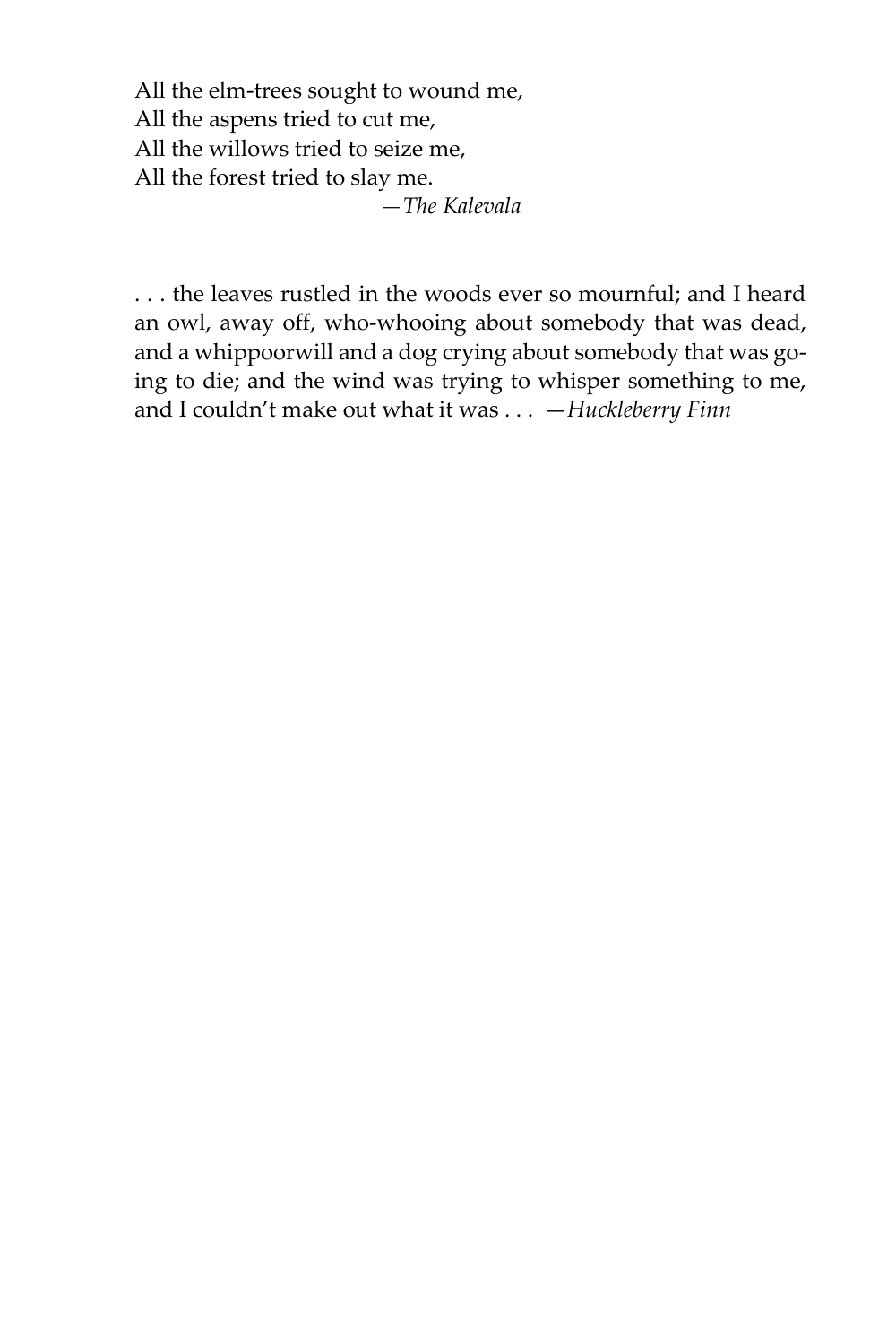All the elm-trees sought to wound me, All the aspens tried to cut me, All the willows tried to seize me, All the forest tried to slay me.  *—The Kalevala*

. . . the leaves rustled in the woods ever so mournful; and I heard an owl, away off, who-whooing about somebody that was dead, and a whippoorwill and a dog crying about somebody that was going to die; and the wind was trying to whisper something to me, and I couldn't make out what it was . . . —*Huckleberry Finn*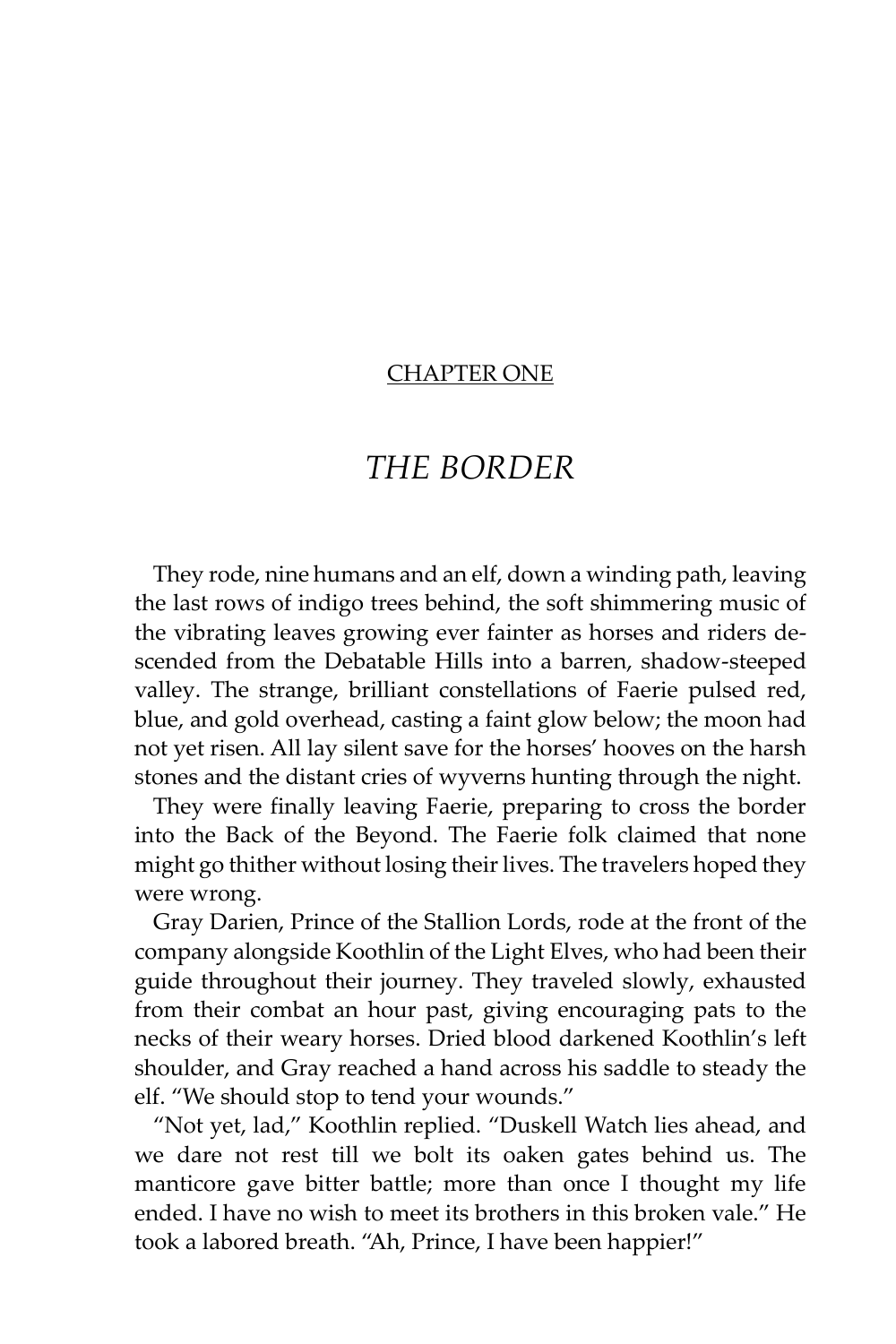### CHAPTER ONE

## *THE BORDER*

They rode, nine humans and an elf, down a winding path, leaving the last rows of indigo trees behind, the soft shimmering music of the vibrating leaves growing ever fainter as horses and riders descended from the Debatable Hills into a barren, shadow-steeped valley. The strange, brilliant constellations of Faerie pulsed red, blue, and gold overhead, casting a faint glow below; the moon had not yet risen. All lay silent save for the horses' hooves on the harsh stones and the distant cries of wyverns hunting through the night.

They were finally leaving Faerie, preparing to cross the border into the Back of the Beyond. The Faerie folk claimed that none might go thither without losing their lives. The travelers hoped they were wrong.

Gray Darien, Prince of the Stallion Lords, rode at the front of the company alongside Koothlin of the Light Elves, who had been their guide throughout their journey. They traveled slowly, exhausted from their combat an hour past, giving encouraging pats to the necks of their weary horses. Dried blood darkened Koothlin's left shoulder, and Gray reached a hand across his saddle to steady the elf. "We should stop to tend your wounds."

"Not yet, lad," Koothlin replied. "Duskell Watch lies ahead, and we dare not rest till we bolt its oaken gates behind us. The manticore gave bitter battle; more than once I thought my life ended. I have no wish to meet its brothers in this broken vale." He took a labored breath. "Ah, Prince, I have been happier!"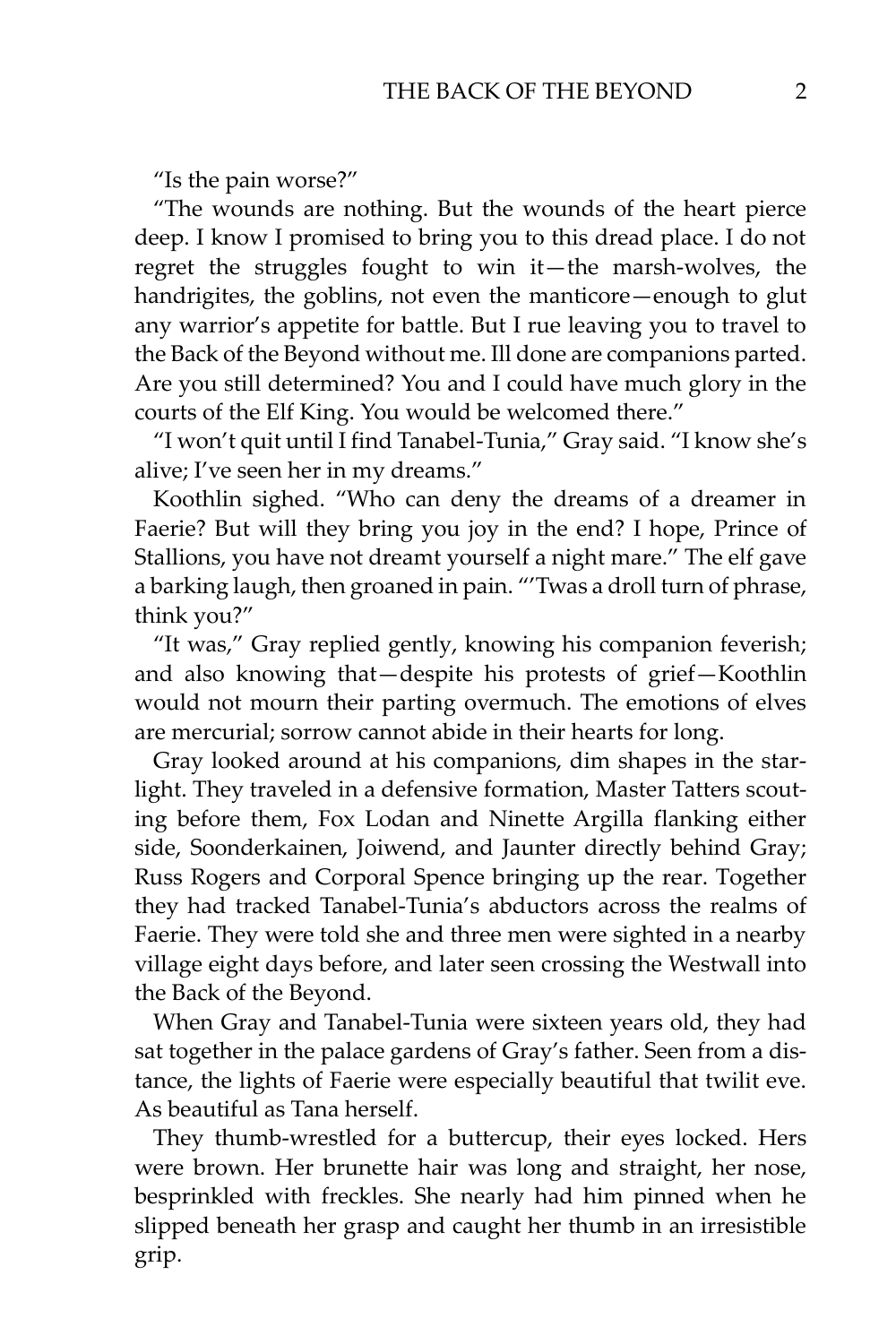"Is the pain worse?"

"The wounds are nothing. But the wounds of the heart pierce deep. I know I promised to bring you to this dread place. I do not regret the struggles fought to win it—the marsh-wolves, the handrigites, the goblins, not even the manticore—enough to glut any warrior's appetite for battle. But I rue leaving you to travel to the Back of the Beyond without me. Ill done are companions parted. Are you still determined? You and I could have much glory in the courts of the Elf King. You would be welcomed there."

"I won't quit until I find Tanabel-Tunia," Gray said. "I know she's alive; I've seen her in my dreams."

Koothlin sighed. "Who can deny the dreams of a dreamer in Faerie? But will they bring you joy in the end? I hope, Prince of Stallions, you have not dreamt yourself a night mare." The elf gave a barking laugh, then groaned in pain. "'Twas a droll turn of phrase, think you?"

"It was," Gray replied gently, knowing his companion feverish; and also knowing that—despite his protests of grief—Koothlin would not mourn their parting overmuch. The emotions of elves are mercurial; sorrow cannot abide in their hearts for long.

Gray looked around at his companions, dim shapes in the starlight. They traveled in a defensive formation, Master Tatters scouting before them, Fox Lodan and Ninette Argilla flanking either side, Soonderkainen, Joiwend, and Jaunter directly behind Gray; Russ Rogers and Corporal Spence bringing up the rear. Together they had tracked Tanabel-Tunia's abductors across the realms of Faerie. They were told she and three men were sighted in a nearby village eight days before, and later seen crossing the Westwall into the Back of the Beyond.

When Gray and Tanabel-Tunia were sixteen years old, they had sat together in the palace gardens of Gray's father. Seen from a distance, the lights of Faerie were especially beautiful that twilit eve. As beautiful as Tana herself.

They thumb-wrestled for a buttercup, their eyes locked. Hers were brown. Her brunette hair was long and straight, her nose, besprinkled with freckles. She nearly had him pinned when he slipped beneath her grasp and caught her thumb in an irresistible grip.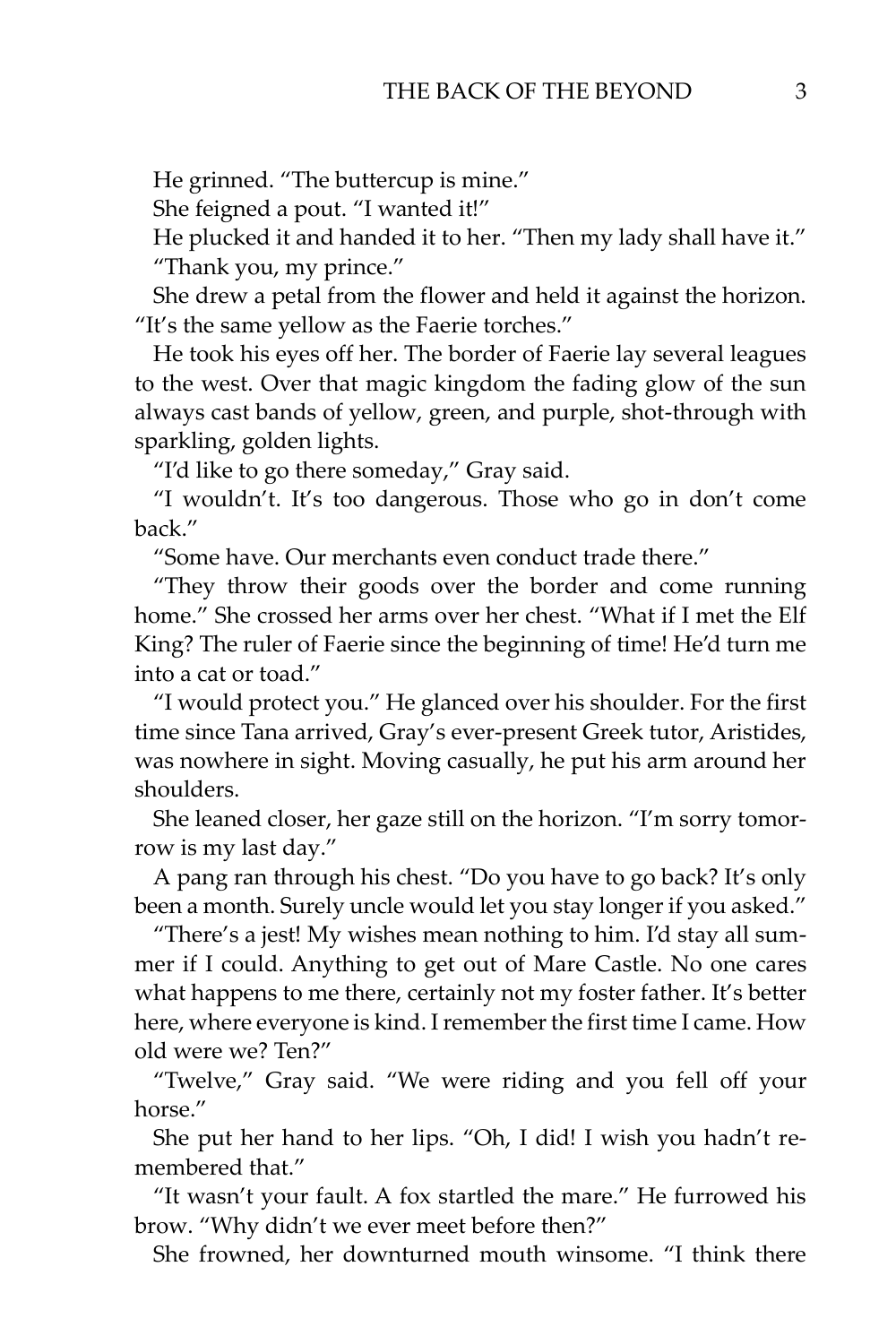He grinned. "The buttercup is mine."

She feigned a pout. "I wanted it!"

He plucked it and handed it to her. "Then my lady shall have it." "Thank you, my prince."

She drew a petal from the flower and held it against the horizon. "It's the same yellow as the Faerie torches."

He took his eyes off her. The border of Faerie lay several leagues to the west. Over that magic kingdom the fading glow of the sun always cast bands of yellow, green, and purple, shot-through with sparkling, golden lights.

"I'd like to go there someday," Gray said.

"I wouldn't. It's too dangerous. Those who go in don't come back."

"Some have. Our merchants even conduct trade there."

"They throw their goods over the border and come running home." She crossed her arms over her chest. "What if I met the Elf King? The ruler of Faerie since the beginning of time! He'd turn me into a cat or toad."

"I would protect you." He glanced over his shoulder. For the first time since Tana arrived, Gray's ever-present Greek tutor, Aristides, was nowhere in sight. Moving casually, he put his arm around her shoulders.

She leaned closer, her gaze still on the horizon. "I'm sorry tomorrow is my last day."

A pang ran through his chest. "Do you have to go back? It's only been a month. Surely uncle would let you stay longer if you asked."

"There's a jest! My wishes mean nothing to him. I'd stay all summer if I could. Anything to get out of Mare Castle. No one cares what happens to me there, certainly not my foster father. It's better here, where everyone is kind. I remember the first time I came. How old were we? Ten?"

"Twelve," Gray said. "We were riding and you fell off your horse."

She put her hand to her lips. "Oh, I did! I wish you hadn't remembered that."

"It wasn't your fault. A fox startled the mare." He furrowed his brow. "Why didn't we ever meet before then?"

She frowned, her downturned mouth winsome. "I think there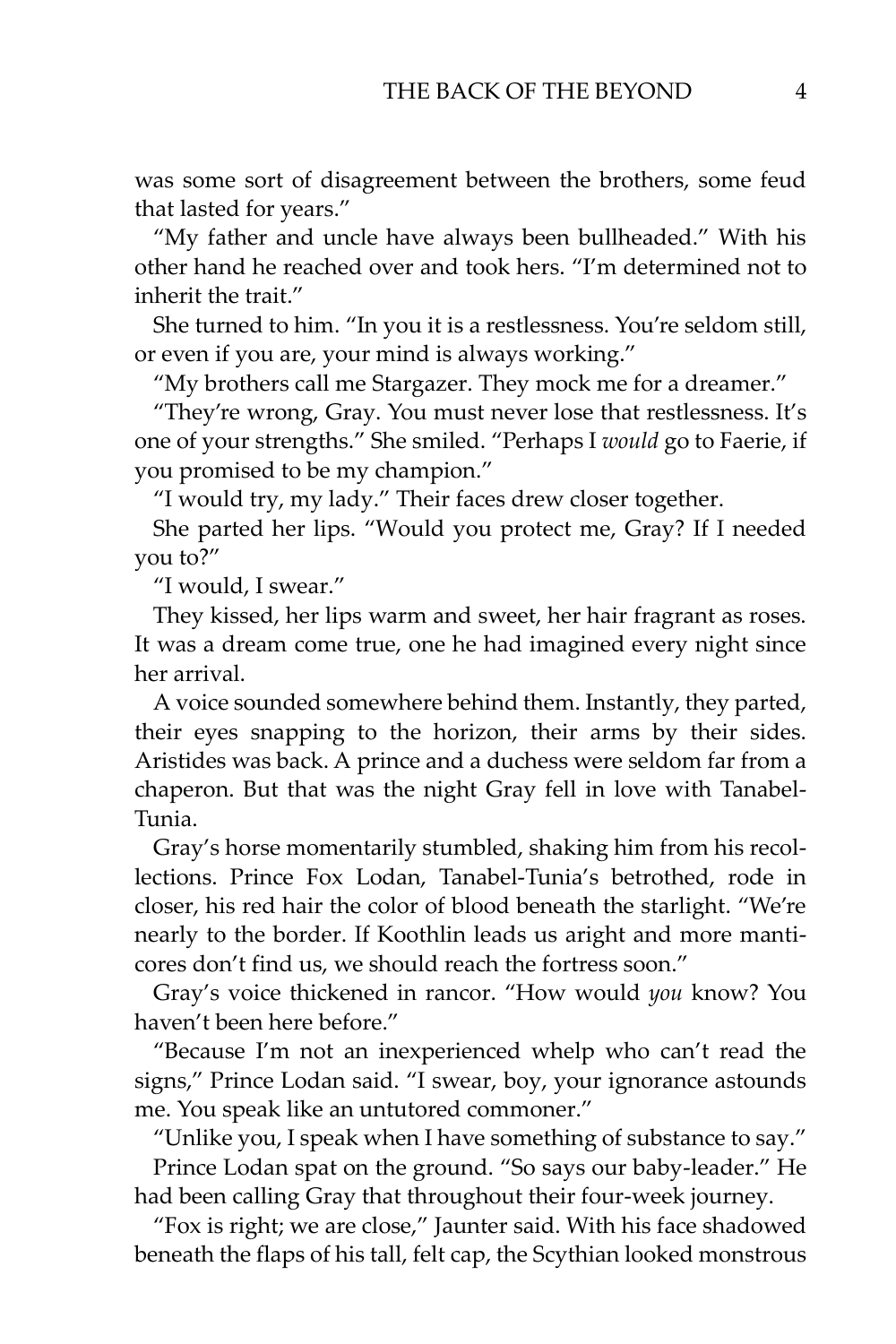was some sort of disagreement between the brothers, some feud that lasted for years."

"My father and uncle have always been bullheaded." With his other hand he reached over and took hers. "I'm determined not to inherit the trait."

She turned to him. "In you it is a restlessness. You're seldom still, or even if you are, your mind is always working."

"My brothers call me Stargazer. They mock me for a dreamer."

"They're wrong, Gray. You must never lose that restlessness. It's one of your strengths." She smiled. "Perhaps I *would* go to Faerie, if you promised to be my champion."

"I would try, my lady." Their faces drew closer together.

She parted her lips. "Would you protect me, Gray? If I needed you to?"

"I would, I swear."

They kissed, her lips warm and sweet, her hair fragrant as roses. It was a dream come true, one he had imagined every night since her arrival.

A voice sounded somewhere behind them. Instantly, they parted, their eyes snapping to the horizon, their arms by their sides. Aristides was back. A prince and a duchess were seldom far from a chaperon. But that was the night Gray fell in love with Tanabel-Tunia.

Gray's horse momentarily stumbled, shaking him from his recollections. Prince Fox Lodan, Tanabel-Tunia's betrothed, rode in closer, his red hair the color of blood beneath the starlight. "We're nearly to the border. If Koothlin leads us aright and more manticores don't find us, we should reach the fortress soon."

Gray's voice thickened in rancor. "How would *you* know? You haven't been here before."

"Because I'm not an inexperienced whelp who can't read the signs," Prince Lodan said. "I swear, boy, your ignorance astounds me. You speak like an untutored commoner."

"Unlike you, I speak when I have something of substance to say." Prince Lodan spat on the ground. "So says our baby-leader." He had been calling Gray that throughout their four-week journey.

"Fox is right; we are close," Jaunter said. With his face shadowed beneath the flaps of his tall, felt cap, the Scythian looked monstrous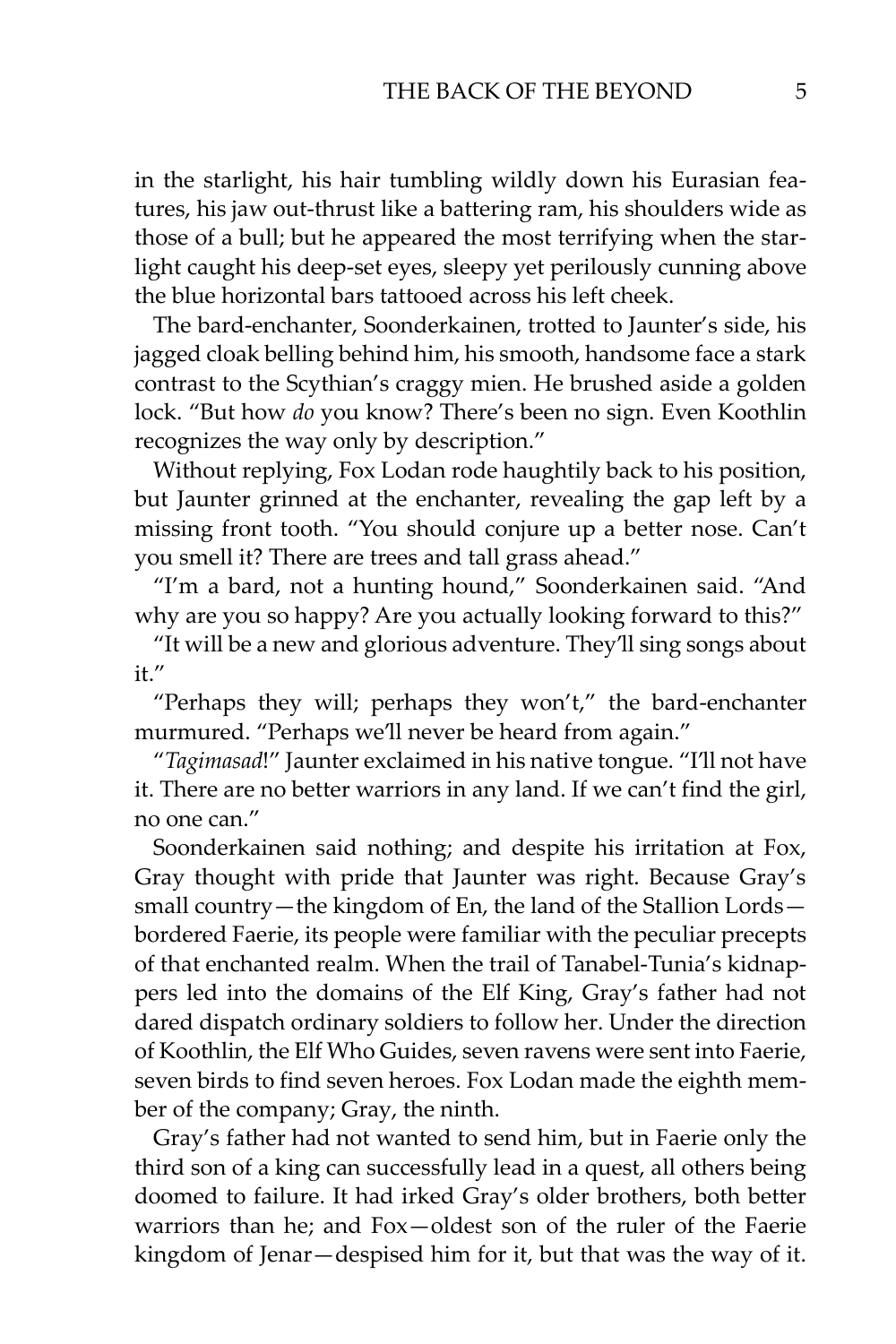in the starlight, his hair tumbling wildly down his Eurasian features, his jaw out-thrust like a battering ram, his shoulders wide as those of a bull; but he appeared the most terrifying when the starlight caught his deep-set eyes, sleepy yet perilously cunning above the blue horizontal bars tattooed across his left cheek.

The bard-enchanter, Soonderkainen, trotted to Jaunter's side, his jagged cloak belling behind him, his smooth, handsome face a stark contrast to the Scythian's craggy mien. He brushed aside a golden lock. "But how *do* you know? There's been no sign. Even Koothlin recognizes the way only by description."

Without replying, Fox Lodan rode haughtily back to his position, but Jaunter grinned at the enchanter, revealing the gap left by a missing front tooth. "You should conjure up a better nose. Can't you smell it? There are trees and tall grass ahead."

"I'm a bard, not a hunting hound," Soonderkainen said. "And why are you so happy? Are you actually looking forward to this?"

"It will be a new and glorious adventure. They'll sing songs about it."

"Perhaps they will; perhaps they won't," the bard-enchanter murmured. "Perhaps we'll never be heard from again."

"*Tagimasad*!" Jaunter exclaimed in his native tongue. "I'll not have it. There are no better warriors in any land. If we can't find the girl, no one can."

Soonderkainen said nothing; and despite his irritation at Fox, Gray thought with pride that Jaunter was right. Because Gray's small country—the kingdom of En, the land of the Stallion Lords bordered Faerie, its people were familiar with the peculiar precepts of that enchanted realm. When the trail of Tanabel-Tunia's kidnappers led into the domains of the Elf King, Gray's father had not dared dispatch ordinary soldiers to follow her. Under the direction of Koothlin, the Elf Who Guides, seven ravens were sent into Faerie, seven birds to find seven heroes. Fox Lodan made the eighth member of the company; Gray, the ninth.

Gray's father had not wanted to send him, but in Faerie only the third son of a king can successfully lead in a quest, all others being doomed to failure. It had irked Gray's older brothers, both better warriors than he; and Fox—oldest son of the ruler of the Faerie kingdom of Jenar—despised him for it, but that was the way of it.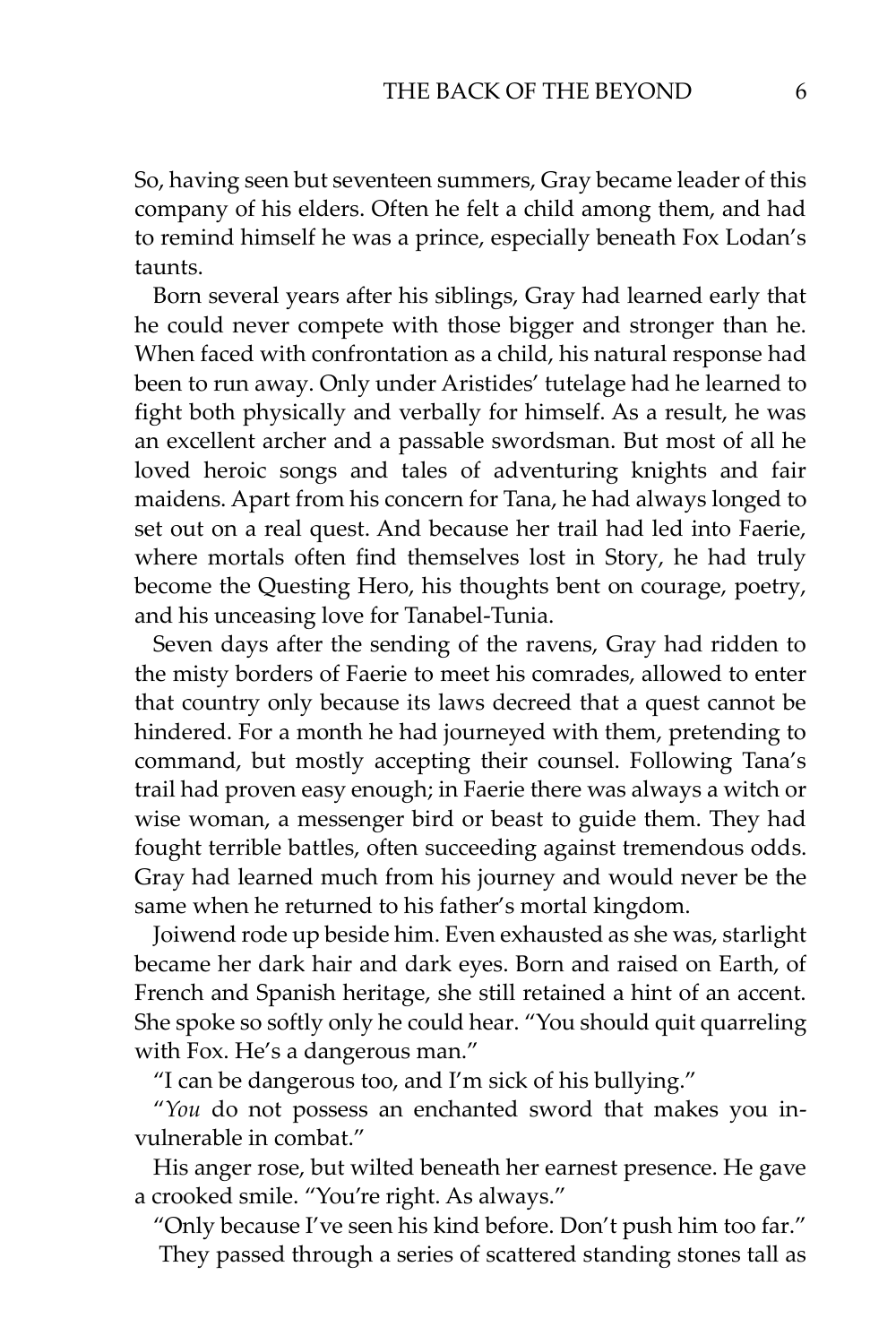So, having seen but seventeen summers, Gray became leader of this company of his elders. Often he felt a child among them, and had to remind himself he was a prince, especially beneath Fox Lodan's taunts.

Born several years after his siblings, Gray had learned early that he could never compete with those bigger and stronger than he. When faced with confrontation as a child, his natural response had been to run away. Only under Aristides' tutelage had he learned to fight both physically and verbally for himself. As a result, he was an excellent archer and a passable swordsman. But most of all he loved heroic songs and tales of adventuring knights and fair maidens. Apart from his concern for Tana, he had always longed to set out on a real quest. And because her trail had led into Faerie, where mortals often find themselves lost in Story, he had truly become the Questing Hero, his thoughts bent on courage, poetry, and his unceasing love for Tanabel-Tunia.

Seven days after the sending of the ravens, Gray had ridden to the misty borders of Faerie to meet his comrades, allowed to enter that country only because its laws decreed that a quest cannot be hindered. For a month he had journeyed with them, pretending to command, but mostly accepting their counsel. Following Tana's trail had proven easy enough; in Faerie there was always a witch or wise woman, a messenger bird or beast to guide them. They had fought terrible battles, often succeeding against tremendous odds. Gray had learned much from his journey and would never be the same when he returned to his father's mortal kingdom.

Joiwend rode up beside him. Even exhausted as she was, starlight became her dark hair and dark eyes. Born and raised on Earth, of French and Spanish heritage, she still retained a hint of an accent. She spoke so softly only he could hear. "You should quit quarreling with Fox. He's a dangerous man."

"I can be dangerous too, and I'm sick of his bullying."

"*You* do not possess an enchanted sword that makes you invulnerable in combat."

His anger rose, but wilted beneath her earnest presence. He gave a crooked smile. "You're right. As always."

"Only because I've seen his kind before. Don't push him too far." They passed through a series of scattered standing stones tall as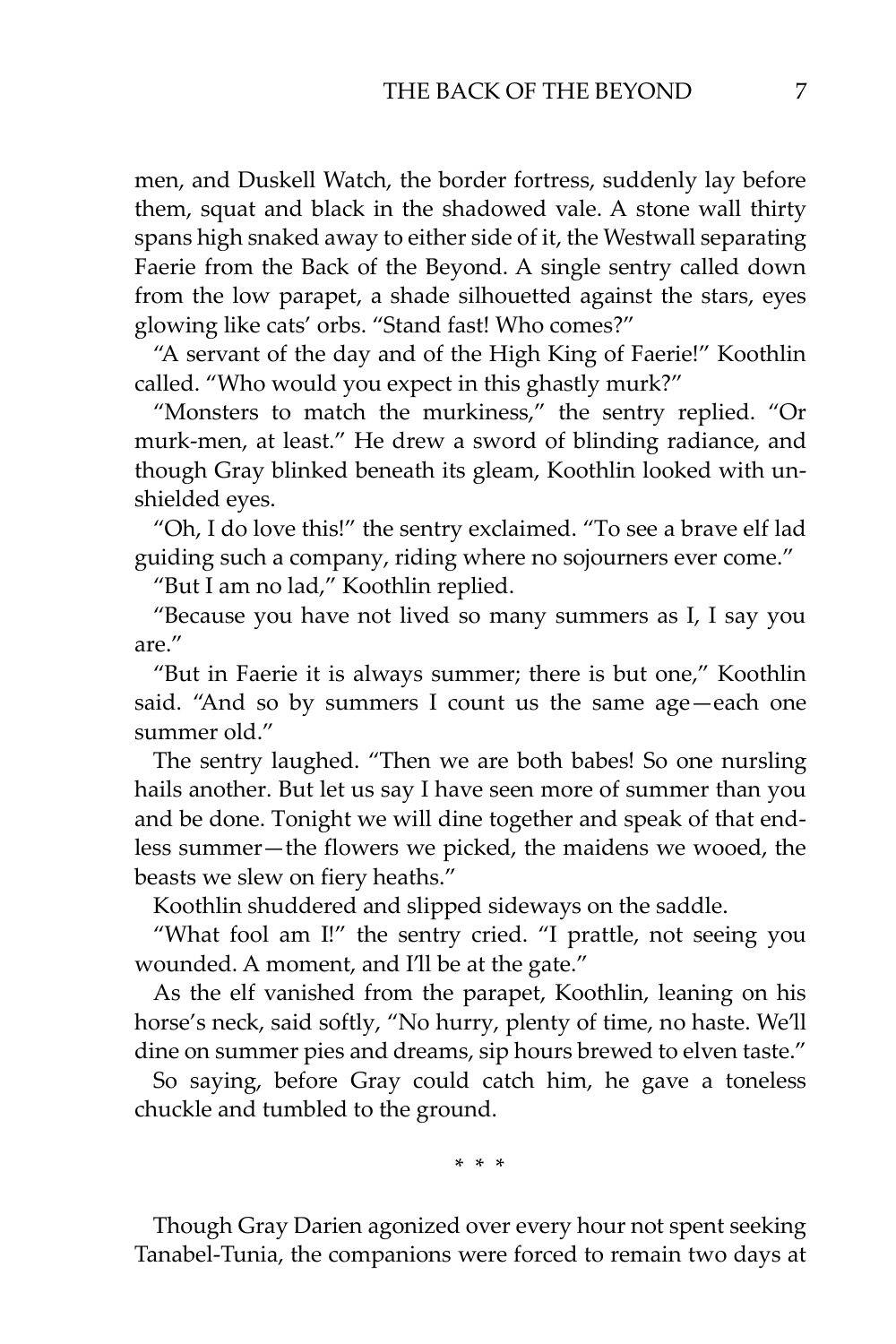men, and Duskell Watch, the border fortress, suddenly lay before them, squat and black in the shadowed vale. A stone wall thirty spans high snaked away to either side of it, the Westwall separating Faerie from the Back of the Beyond. A single sentry called down from the low parapet, a shade silhouetted against the stars, eyes glowing like cats' orbs. "Stand fast! Who comes?"

"A servant of the day and of the High King of Faerie!" Koothlin called. "Who would you expect in this ghastly murk?"

"Monsters to match the murkiness," the sentry replied. "Or murk-men, at least." He drew a sword of blinding radiance, and though Gray blinked beneath its gleam, Koothlin looked with unshielded eyes.

"Oh, I do love this!" the sentry exclaimed. "To see a brave elf lad guiding such a company, riding where no sojourners ever come."

"But I am no lad," Koothlin replied.

"Because you have not lived so many summers as I, I say you are."

"But in Faerie it is always summer; there is but one," Koothlin said. "And so by summers I count us the same age—each one summer old."

The sentry laughed. "Then we are both babes! So one nursling hails another. But let us say I have seen more of summer than you and be done. Tonight we will dine together and speak of that endless summer—the flowers we picked, the maidens we wooed, the beasts we slew on fiery heaths."

Koothlin shuddered and slipped sideways on the saddle.

"What fool am I!" the sentry cried. "I prattle, not seeing you wounded. A moment, and I'll be at the gate."

As the elf vanished from the parapet, Koothlin, leaning on his horse's neck, said softly, "No hurry, plenty of time, no haste. We'll dine on summer pies and dreams, sip hours brewed to elven taste."

So saying, before Gray could catch him, he gave a toneless chuckle and tumbled to the ground.

\* \* \*

Though Gray Darien agonized over every hour not spent seeking Tanabel-Tunia, the companions were forced to remain two days at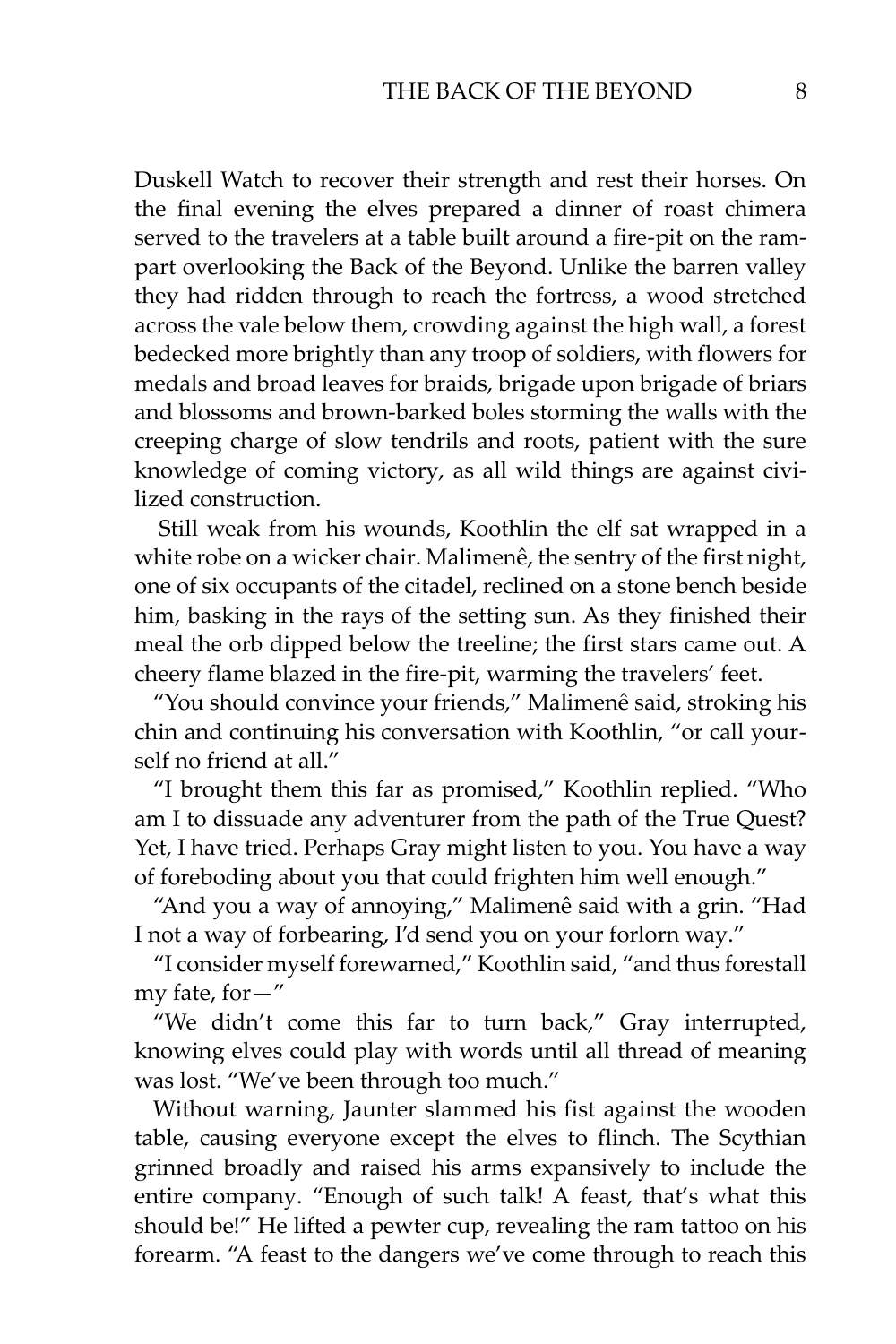Duskell Watch to recover their strength and rest their horses. On the final evening the elves prepared a dinner of roast chimera served to the travelers at a table built around a fire-pit on the rampart overlooking the Back of the Beyond. Unlike the barren valley they had ridden through to reach the fortress, a wood stretched across the vale below them, crowding against the high wall, a forest bedecked more brightly than any troop of soldiers, with flowers for medals and broad leaves for braids, brigade upon brigade of briars and blossoms and brown-barked boles storming the walls with the creeping charge of slow tendrils and roots, patient with the sure knowledge of coming victory, as all wild things are against civilized construction.

Still weak from his wounds, Koothlin the elf sat wrapped in a white robe on a wicker chair. Malimenê, the sentry of the first night, one of six occupants of the citadel, reclined on a stone bench beside him, basking in the rays of the setting sun. As they finished their meal the orb dipped below the treeline; the first stars came out. A cheery flame blazed in the fire-pit, warming the travelers' feet.

"You should convince your friends," Malimenê said, stroking his chin and continuing his conversation with Koothlin, "or call yourself no friend at all."

"I brought them this far as promised," Koothlin replied. "Who am I to dissuade any adventurer from the path of the True Quest? Yet, I have tried. Perhaps Gray might listen to you. You have a way of foreboding about you that could frighten him well enough."

"And you a way of annoying," Malimenê said with a grin. "Had I not a way of forbearing, I'd send you on your forlorn way."

"I consider myself forewarned," Koothlin said, "and thus forestall my fate, for—"

"We didn't come this far to turn back," Gray interrupted, knowing elves could play with words until all thread of meaning was lost. "We've been through too much."

Without warning, Jaunter slammed his fist against the wooden table, causing everyone except the elves to flinch. The Scythian grinned broadly and raised his arms expansively to include the entire company. "Enough of such talk! A feast, that's what this should be!" He lifted a pewter cup, revealing the ram tattoo on his forearm. "A feast to the dangers we've come through to reach this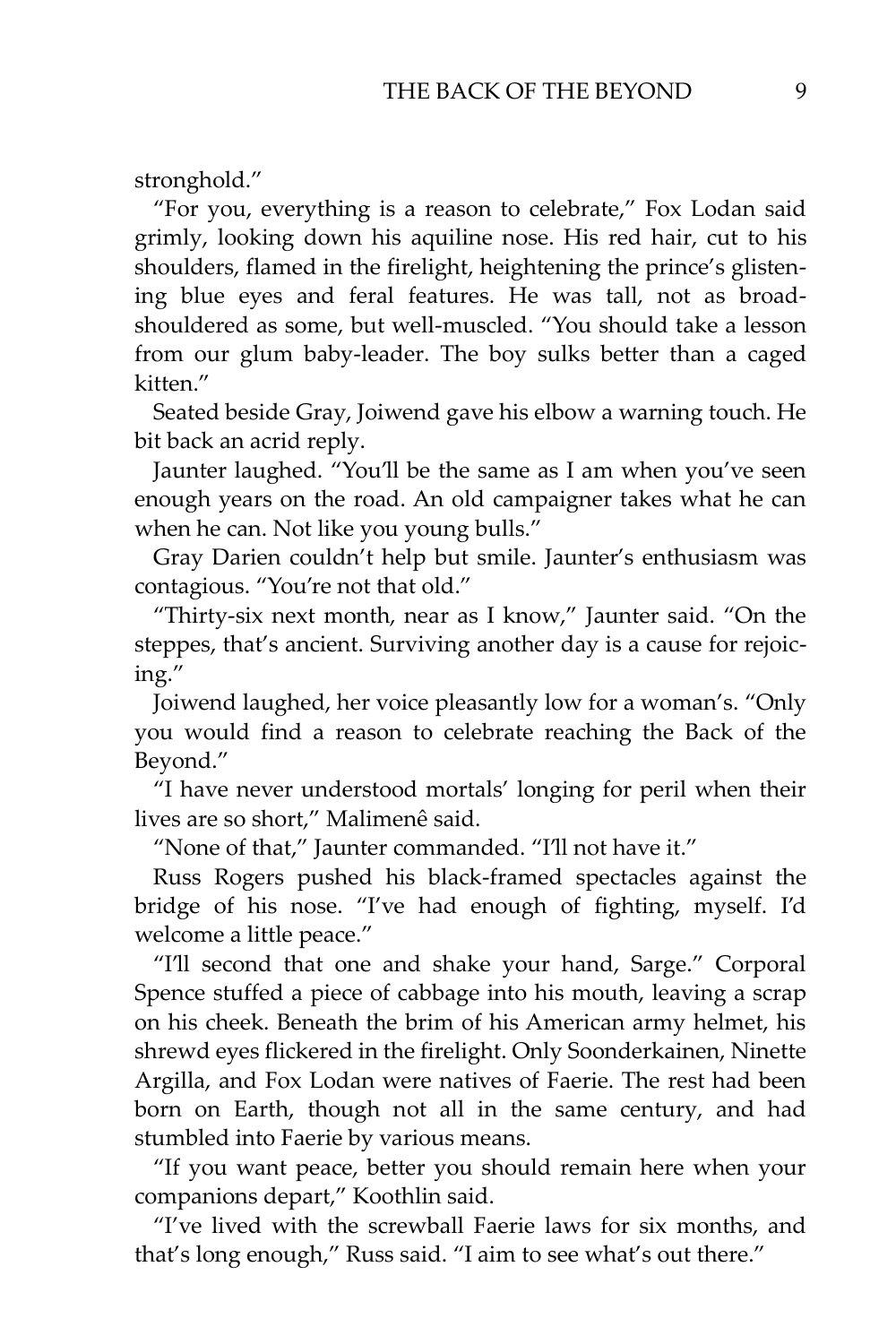stronghold."

"For you, everything is a reason to celebrate," Fox Lodan said grimly, looking down his aquiline nose. His red hair, cut to his shoulders, flamed in the firelight, heightening the prince's glistening blue eyes and feral features. He was tall, not as broadshouldered as some, but well-muscled. "You should take a lesson from our glum baby-leader. The boy sulks better than a caged kitten."

Seated beside Gray, Joiwend gave his elbow a warning touch. He bit back an acrid reply.

Jaunter laughed. "You'll be the same as I am when you've seen enough years on the road. An old campaigner takes what he can when he can. Not like you young bulls."

Gray Darien couldn't help but smile. Jaunter's enthusiasm was contagious. "You're not that old."

"Thirty-six next month, near as I know," Jaunter said. "On the steppes, that's ancient. Surviving another day is a cause for rejoicing."

Joiwend laughed, her voice pleasantly low for a woman's. "Only you would find a reason to celebrate reaching the Back of the Beyond."

"I have never understood mortals' longing for peril when their lives are so short," Malimenê said.

"None of that," Jaunter commanded. "I'll not have it."

Russ Rogers pushed his black-framed spectacles against the bridge of his nose. "I've had enough of fighting, myself. I'd welcome a little peace."

"I'll second that one and shake your hand, Sarge." Corporal Spence stuffed a piece of cabbage into his mouth, leaving a scrap on his cheek. Beneath the brim of his American army helmet, his shrewd eyes flickered in the firelight. Only Soonderkainen, Ninette Argilla, and Fox Lodan were natives of Faerie. The rest had been born on Earth, though not all in the same century, and had stumbled into Faerie by various means.

"If you want peace, better you should remain here when your companions depart," Koothlin said.

"I've lived with the screwball Faerie laws for six months, and that's long enough," Russ said. "I aim to see what's out there."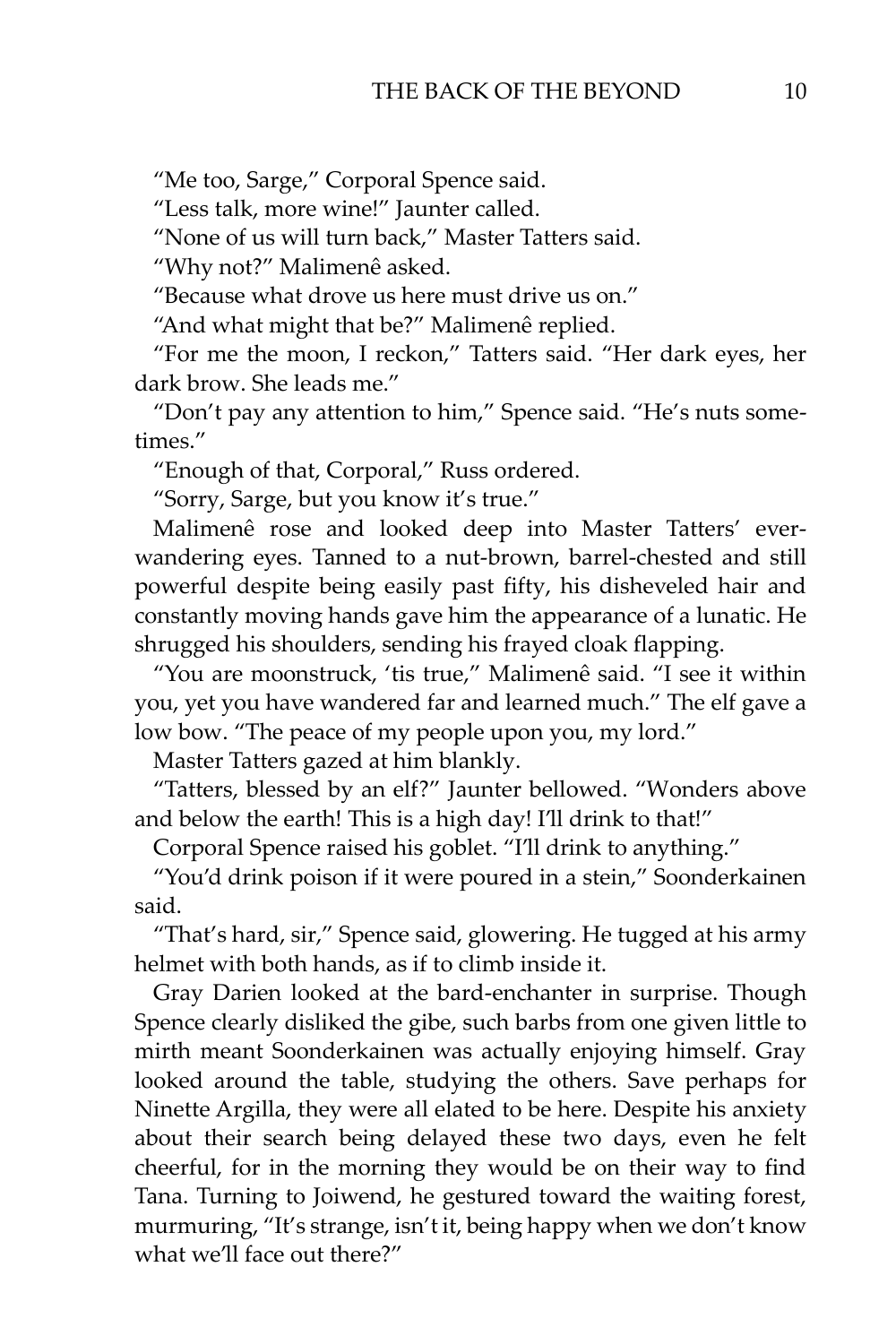"Me too, Sarge," Corporal Spence said.

"Less talk, more wine!" Jaunter called.

"None of us will turn back," Master Tatters said.

"Why not?" Malimenê asked.

"Because what drove us here must drive us on."

"And what might that be?" Malimenê replied.

"For me the moon, I reckon," Tatters said. "Her dark eyes, her dark brow. She leads me."

"Don't pay any attention to him," Spence said. "He's nuts sometimes."

"Enough of that, Corporal," Russ ordered.

"Sorry, Sarge, but you know it's true."

Malimenê rose and looked deep into Master Tatters' everwandering eyes. Tanned to a nut-brown, barrel-chested and still powerful despite being easily past fifty, his disheveled hair and constantly moving hands gave him the appearance of a lunatic. He shrugged his shoulders, sending his frayed cloak flapping.

"You are moonstruck, 'tis true," Malimenê said. "I see it within you, yet you have wandered far and learned much." The elf gave a low bow. "The peace of my people upon you, my lord."

Master Tatters gazed at him blankly.

"Tatters, blessed by an elf?" Jaunter bellowed. "Wonders above and below the earth! This is a high day! I'll drink to that!"

Corporal Spence raised his goblet. "I'll drink to anything."

"You'd drink poison if it were poured in a stein," Soonderkainen said.

"That's hard, sir," Spence said, glowering. He tugged at his army helmet with both hands, as if to climb inside it.

Gray Darien looked at the bard-enchanter in surprise. Though Spence clearly disliked the gibe, such barbs from one given little to mirth meant Soonderkainen was actually enjoying himself. Gray looked around the table, studying the others. Save perhaps for Ninette Argilla, they were all elated to be here. Despite his anxiety about their search being delayed these two days, even he felt cheerful, for in the morning they would be on their way to find Tana. Turning to Joiwend, he gestured toward the waiting forest, murmuring, "It's strange, isn't it, being happy when we don't know what we'll face out there?"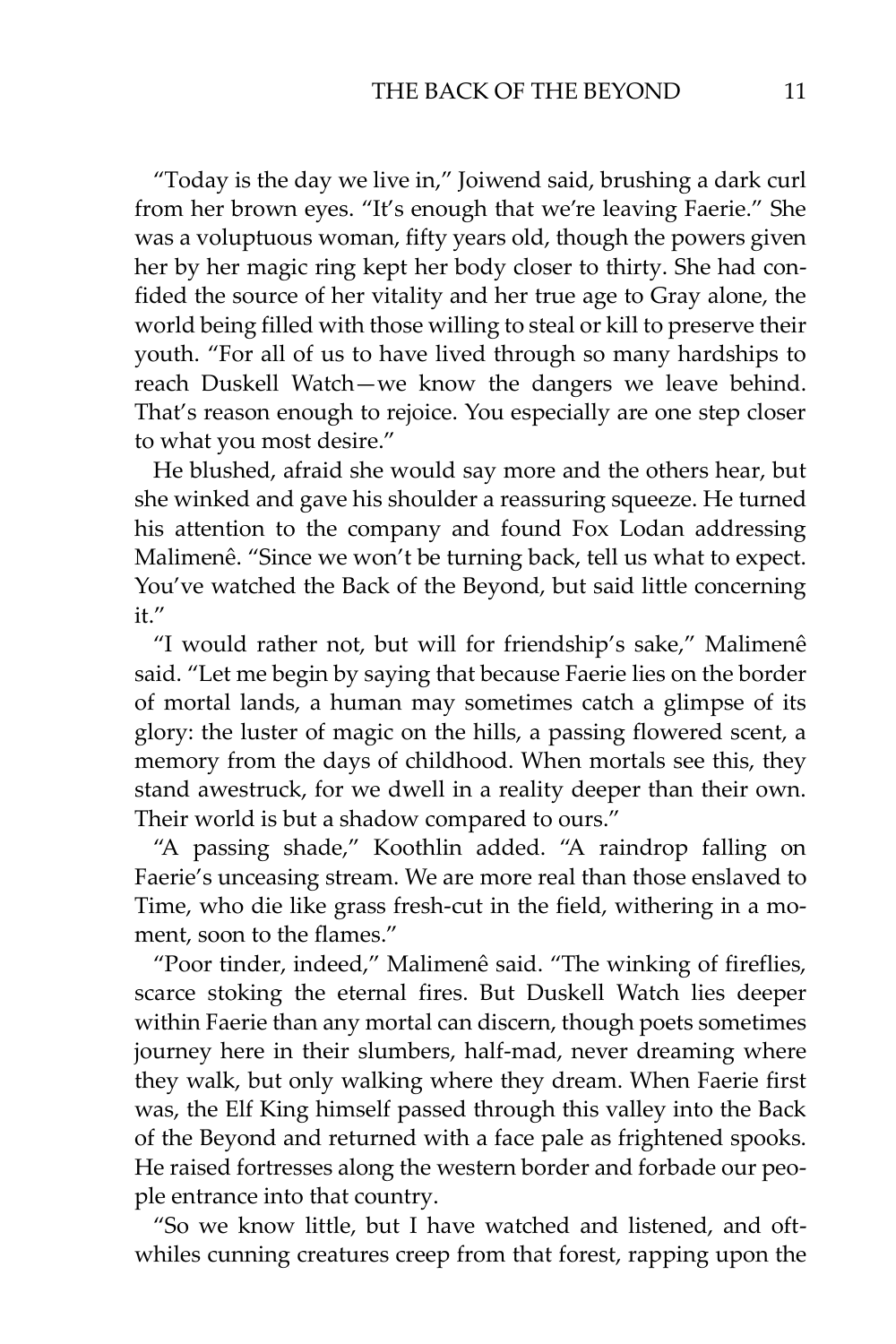"Today is the day we live in," Joiwend said, brushing a dark curl from her brown eyes. "It's enough that we're leaving Faerie." She was a voluptuous woman, fifty years old, though the powers given her by her magic ring kept her body closer to thirty. She had confided the source of her vitality and her true age to Gray alone, the world being filled with those willing to steal or kill to preserve their youth. "For all of us to have lived through so many hardships to reach Duskell Watch—we know the dangers we leave behind. That's reason enough to rejoice. You especially are one step closer to what you most desire."

He blushed, afraid she would say more and the others hear, but she winked and gave his shoulder a reassuring squeeze. He turned his attention to the company and found Fox Lodan addressing Malimenê. "Since we won't be turning back, tell us what to expect. You've watched the Back of the Beyond, but said little concerning it."

"I would rather not, but will for friendship's sake," Malimenê said. "Let me begin by saying that because Faerie lies on the border of mortal lands, a human may sometimes catch a glimpse of its glory: the luster of magic on the hills, a passing flowered scent, a memory from the days of childhood. When mortals see this, they stand awestruck, for we dwell in a reality deeper than their own. Their world is but a shadow compared to ours."

"A passing shade," Koothlin added. "A raindrop falling on Faerie's unceasing stream. We are more real than those enslaved to Time, who die like grass fresh-cut in the field, withering in a moment, soon to the flames."

"Poor tinder, indeed," Malimenê said. "The winking of fireflies, scarce stoking the eternal fires. But Duskell Watch lies deeper within Faerie than any mortal can discern, though poets sometimes journey here in their slumbers, half-mad, never dreaming where they walk, but only walking where they dream. When Faerie first was, the Elf King himself passed through this valley into the Back of the Beyond and returned with a face pale as frightened spooks. He raised fortresses along the western border and forbade our people entrance into that country.

"So we know little, but I have watched and listened, and oftwhiles cunning creatures creep from that forest, rapping upon the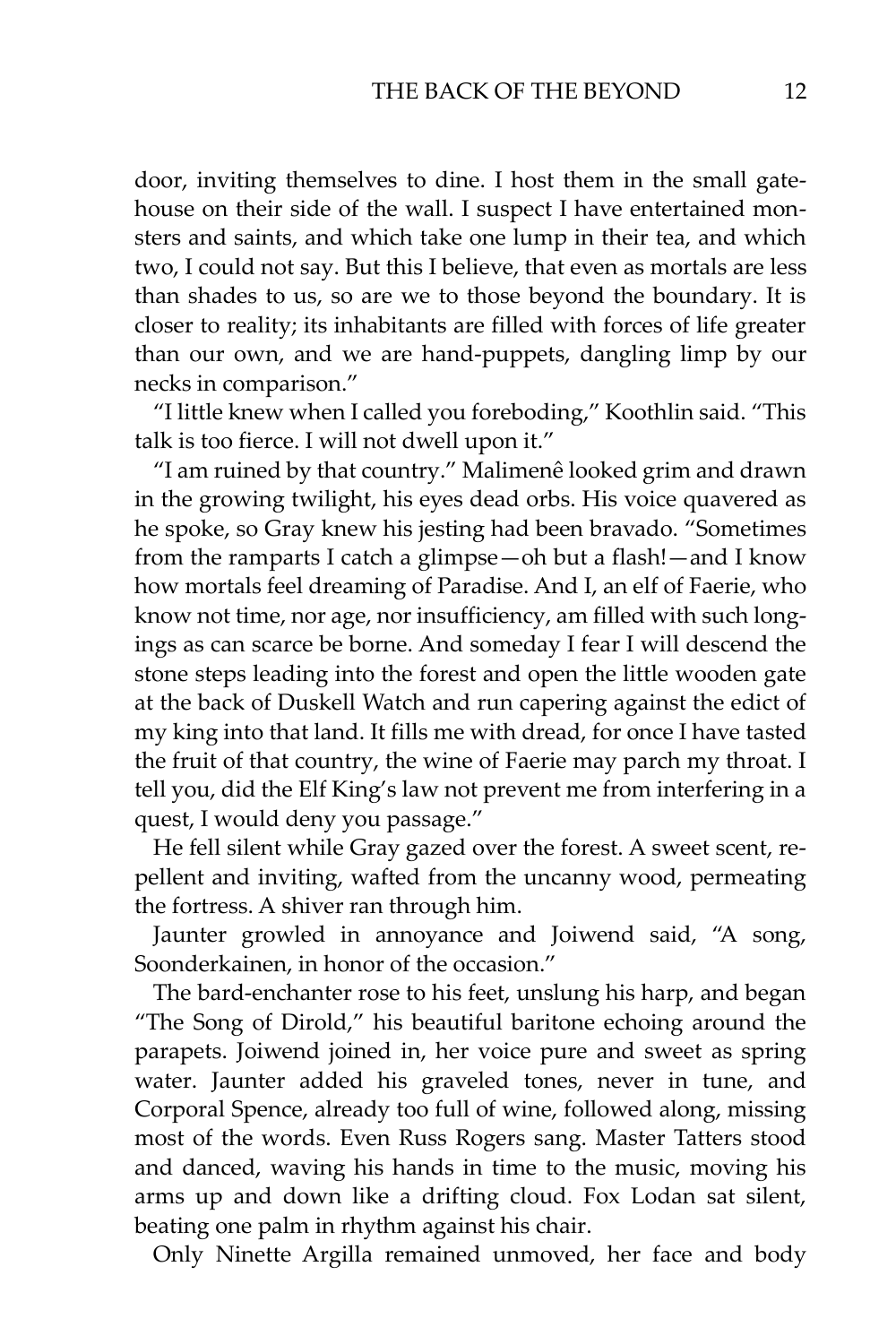door, inviting themselves to dine. I host them in the small gatehouse on their side of the wall. I suspect I have entertained monsters and saints, and which take one lump in their tea, and which two, I could not say. But this I believe, that even as mortals are less than shades to us, so are we to those beyond the boundary. It is closer to reality; its inhabitants are filled with forces of life greater than our own, and we are hand-puppets, dangling limp by our necks in comparison."

"I little knew when I called you foreboding," Koothlin said. "This talk is too fierce. I will not dwell upon it."

"I am ruined by that country." Malimenê looked grim and drawn in the growing twilight, his eyes dead orbs. His voice quavered as he spoke, so Gray knew his jesting had been bravado. "Sometimes from the ramparts I catch a glimpse—oh but a flash!—and I know how mortals feel dreaming of Paradise. And I, an elf of Faerie, who know not time, nor age, nor insufficiency, am filled with such longings as can scarce be borne. And someday I fear I will descend the stone steps leading into the forest and open the little wooden gate at the back of Duskell Watch and run capering against the edict of my king into that land. It fills me with dread, for once I have tasted the fruit of that country, the wine of Faerie may parch my throat. I tell you, did the Elf King's law not prevent me from interfering in a quest, I would deny you passage."

He fell silent while Gray gazed over the forest. A sweet scent, repellent and inviting, wafted from the uncanny wood, permeating the fortress. A shiver ran through him.

Jaunter growled in annoyance and Joiwend said, "A song, Soonderkainen, in honor of the occasion."

The bard-enchanter rose to his feet, unslung his harp, and began "The Song of Dirold," his beautiful baritone echoing around the parapets. Joiwend joined in, her voice pure and sweet as spring water. Jaunter added his graveled tones, never in tune, and Corporal Spence, already too full of wine, followed along, missing most of the words. Even Russ Rogers sang. Master Tatters stood and danced, waving his hands in time to the music, moving his arms up and down like a drifting cloud. Fox Lodan sat silent, beating one palm in rhythm against his chair.

Only Ninette Argilla remained unmoved, her face and body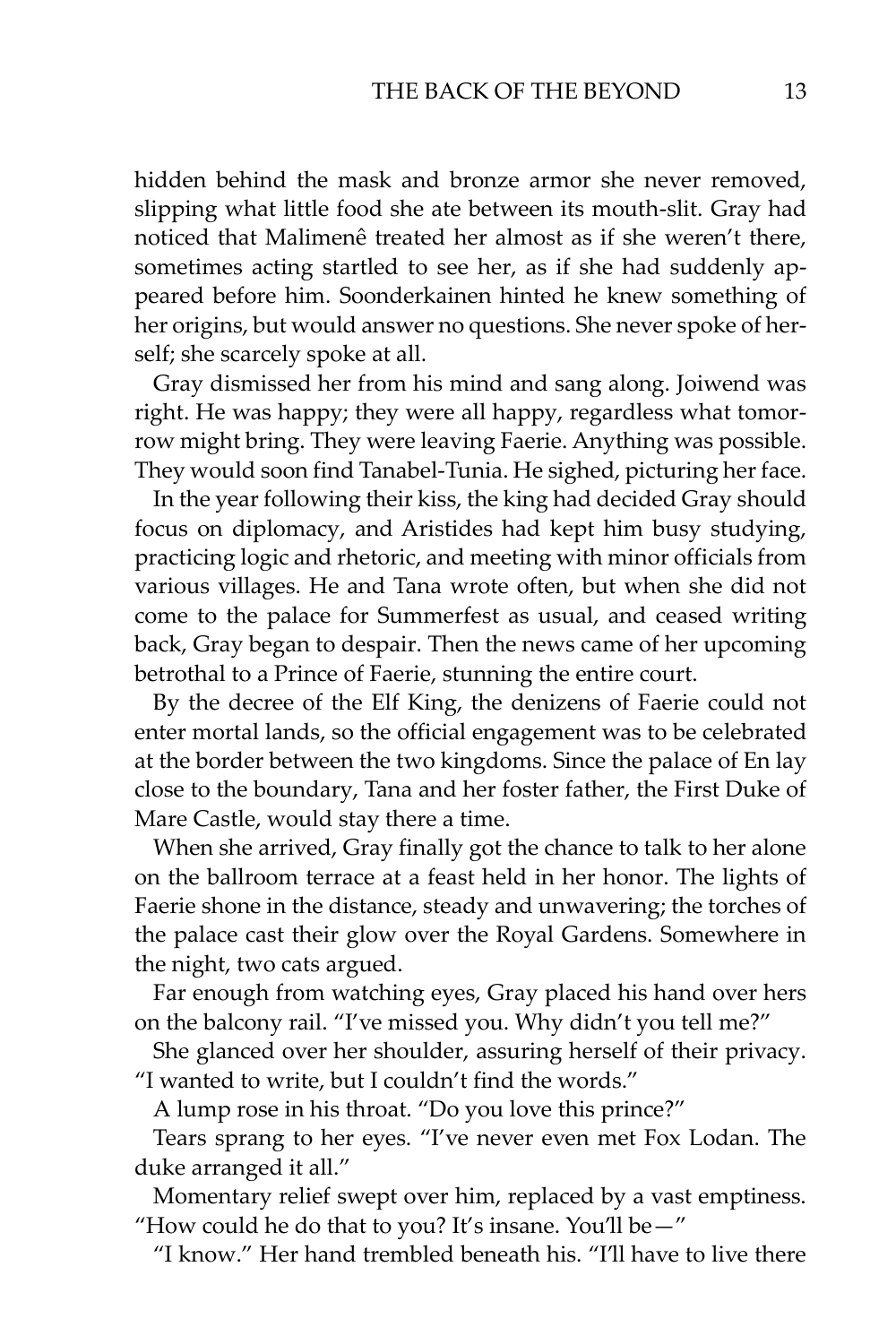hidden behind the mask and bronze armor she never removed, slipping what little food she ate between its mouth-slit. Gray had noticed that Malimenê treated her almost as if she weren't there, sometimes acting startled to see her, as if she had suddenly appeared before him. Soonderkainen hinted he knew something of her origins, but would answer no questions. She never spoke of herself; she scarcely spoke at all.

Gray dismissed her from his mind and sang along. Joiwend was right. He was happy; they were all happy, regardless what tomorrow might bring. They were leaving Faerie. Anything was possible. They would soon find Tanabel-Tunia. He sighed, picturing her face.

In the year following their kiss, the king had decided Gray should focus on diplomacy, and Aristides had kept him busy studying, practicing logic and rhetoric, and meeting with minor officials from various villages. He and Tana wrote often, but when she did not come to the palace for Summerfest as usual, and ceased writing back, Gray began to despair. Then the news came of her upcoming betrothal to a Prince of Faerie, stunning the entire court.

By the decree of the Elf King, the denizens of Faerie could not enter mortal lands, so the official engagement was to be celebrated at the border between the two kingdoms. Since the palace of En lay close to the boundary, Tana and her foster father, the First Duke of Mare Castle, would stay there a time.

When she arrived, Gray finally got the chance to talk to her alone on the ballroom terrace at a feast held in her honor. The lights of Faerie shone in the distance, steady and unwavering; the torches of the palace cast their glow over the Royal Gardens. Somewhere in the night, two cats argued.

Far enough from watching eyes, Gray placed his hand over hers on the balcony rail. "I've missed you. Why didn't you tell me?"

She glanced over her shoulder, assuring herself of their privacy. "I wanted to write, but I couldn't find the words."

A lump rose in his throat. "Do you love this prince?"

Tears sprang to her eyes. "I've never even met Fox Lodan. The duke arranged it all."

Momentary relief swept over him, replaced by a vast emptiness. "How could he do that to you? It's insane. You'll be $-$ "

"I know." Her hand trembled beneath his. "I'll have to live there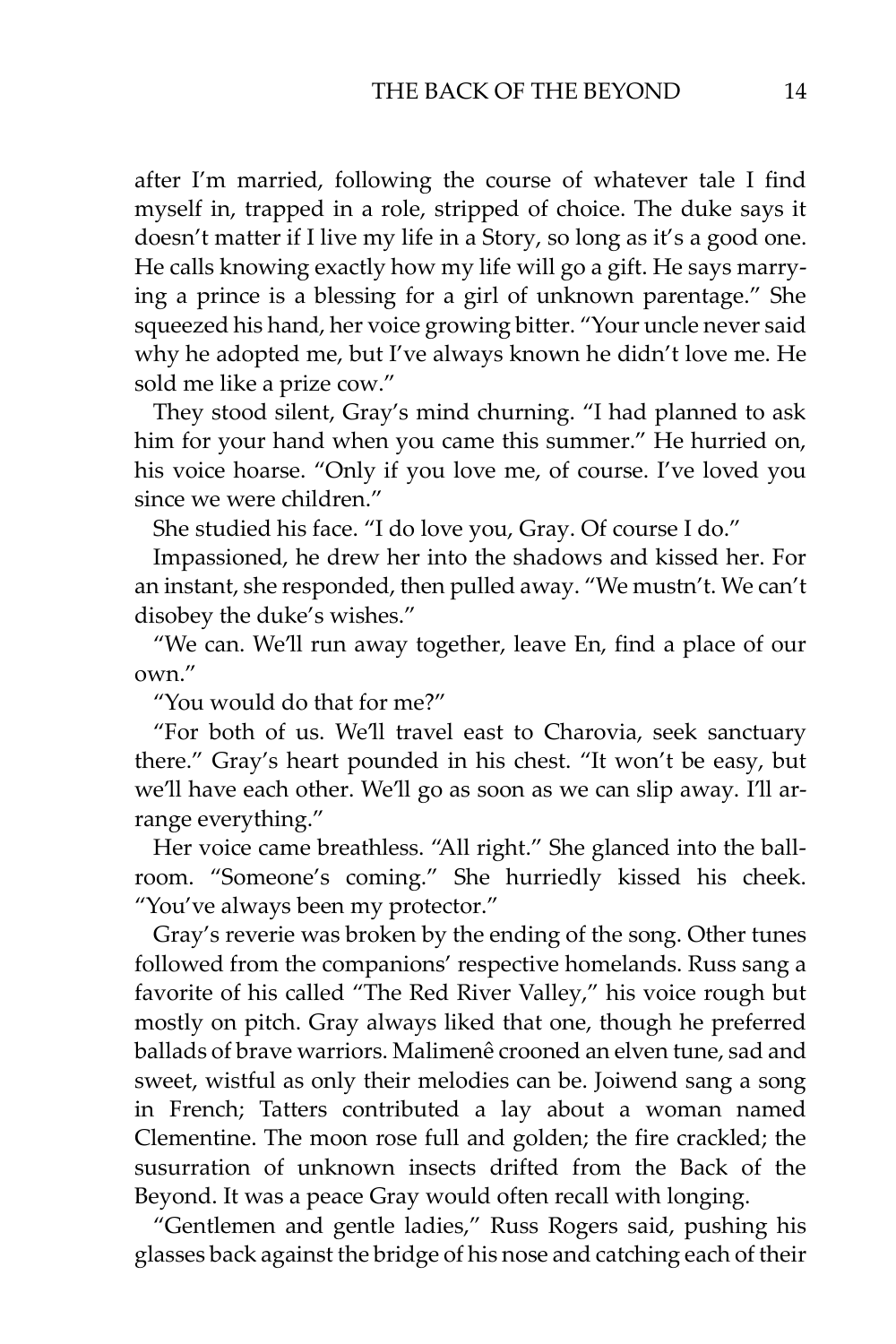after I'm married, following the course of whatever tale I find myself in, trapped in a role, stripped of choice. The duke says it doesn't matter if I live my life in a Story, so long as it's a good one. He calls knowing exactly how my life will go a gift. He says marrying a prince is a blessing for a girl of unknown parentage." She squeezed his hand, her voice growing bitter. "Your uncle never said why he adopted me, but I've always known he didn't love me. He sold me like a prize cow."

They stood silent, Gray's mind churning. "I had planned to ask him for your hand when you came this summer." He hurried on, his voice hoarse. "Only if you love me, of course. I've loved you since we were children."

She studied his face. "I do love you, Gray. Of course I do."

Impassioned, he drew her into the shadows and kissed her. For an instant, she responded, then pulled away. "We mustn't. We can't disobey the duke's wishes."

"We can. We'll run away together, leave En, find a place of our own."

"You would do that for me?"

"For both of us. We'll travel east to Charovia, seek sanctuary there." Gray's heart pounded in his chest. "It won't be easy, but we'll have each other. We'll go as soon as we can slip away. I'll arrange everything."

Her voice came breathless. "All right." She glanced into the ballroom. "Someone's coming." She hurriedly kissed his cheek. "You've always been my protector."

Gray's reverie was broken by the ending of the song. Other tunes followed from the companions' respective homelands. Russ sang a favorite of his called "The Red River Valley," his voice rough but mostly on pitch. Gray always liked that one, though he preferred ballads of brave warriors. Malimenê crooned an elven tune, sad and sweet, wistful as only their melodies can be. Joiwend sang a song in French; Tatters contributed a lay about a woman named Clementine. The moon rose full and golden; the fire crackled; the susurration of unknown insects drifted from the Back of the Beyond. It was a peace Gray would often recall with longing.

"Gentlemen and gentle ladies," Russ Rogers said, pushing his glasses back against the bridge of his nose and catching each of their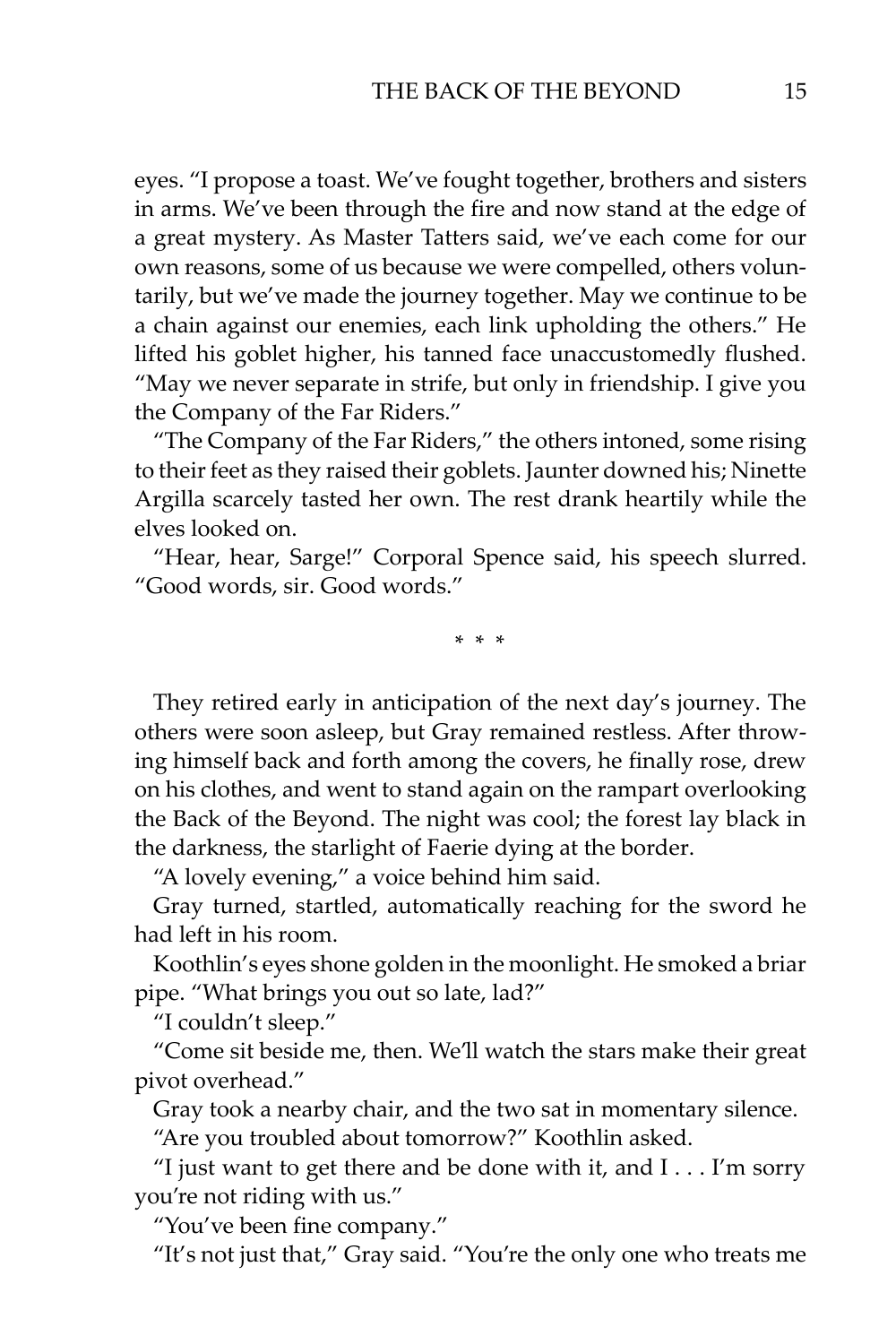eyes. "I propose a toast. We've fought together, brothers and sisters in arms. We've been through the fire and now stand at the edge of a great mystery. As Master Tatters said, we've each come for our own reasons, some of us because we were compelled, others voluntarily, but we've made the journey together. May we continue to be a chain against our enemies, each link upholding the others." He lifted his goblet higher, his tanned face unaccustomedly flushed. "May we never separate in strife, but only in friendship. I give you the Company of the Far Riders."

"The Company of the Far Riders," the others intoned, some rising to their feet as they raised their goblets. Jaunter downed his; Ninette Argilla scarcely tasted her own. The rest drank heartily while the elves looked on.

"Hear, hear, Sarge!" Corporal Spence said, his speech slurred. "Good words, sir. Good words."

\* \* \*

They retired early in anticipation of the next day's journey. The others were soon asleep, but Gray remained restless. After throwing himself back and forth among the covers, he finally rose, drew on his clothes, and went to stand again on the rampart overlooking the Back of the Beyond. The night was cool; the forest lay black in the darkness, the starlight of Faerie dying at the border.

"A lovely evening," a voice behind him said.

Gray turned, startled, automatically reaching for the sword he had left in his room.

Koothlin's eyes shone golden in the moonlight. He smoked a briar pipe. "What brings you out so late, lad?"

"I couldn't sleep."

"Come sit beside me, then. We'll watch the stars make their great pivot overhead."

Gray took a nearby chair, and the two sat in momentary silence.

"Are you troubled about tomorrow?" Koothlin asked.

"I just want to get there and be done with it, and I . . . I'm sorry you're not riding with us."

"You've been fine company."

"It's not just that," Gray said. "You're the only one who treats me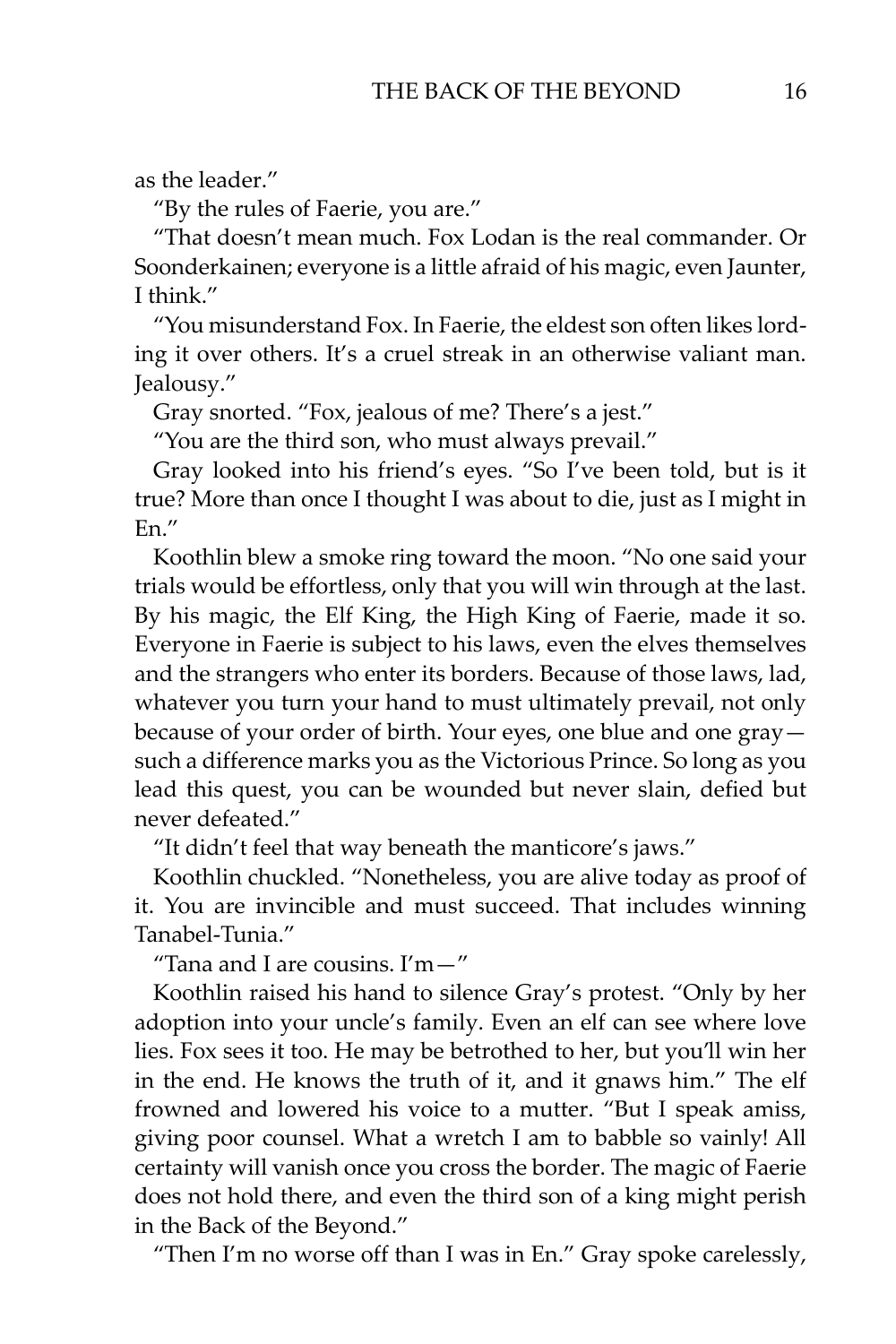as the leader."

"By the rules of Faerie, you are."

"That doesn't mean much. Fox Lodan is the real commander. Or Soonderkainen; everyone is a little afraid of his magic, even Jaunter, I think."

"You misunderstand Fox. In Faerie, the eldest son often likes lording it over others. It's a cruel streak in an otherwise valiant man. Jealousy."

Gray snorted. "Fox, jealous of me? There's a jest."

"You are the third son, who must always prevail."

Gray looked into his friend's eyes. "So I've been told, but is it true? More than once I thought I was about to die, just as I might in En."

Koothlin blew a smoke ring toward the moon. "No one said your trials would be effortless, only that you will win through at the last. By his magic, the Elf King, the High King of Faerie, made it so. Everyone in Faerie is subject to his laws, even the elves themselves and the strangers who enter its borders. Because of those laws, lad, whatever you turn your hand to must ultimately prevail, not only because of your order of birth. Your eyes, one blue and one gray such a difference marks you as the Victorious Prince. So long as you lead this quest, you can be wounded but never slain, defied but never defeated."

"It didn't feel that way beneath the manticore's jaws."

Koothlin chuckled. "Nonetheless, you are alive today as proof of it. You are invincible and must succeed. That includes winning Tanabel-Tunia."

"Tana and I are cousins. I'm—"

Koothlin raised his hand to silence Gray's protest. "Only by her adoption into your uncle's family. Even an elf can see where love lies. Fox sees it too. He may be betrothed to her, but you'll win her in the end. He knows the truth of it, and it gnaws him." The elf frowned and lowered his voice to a mutter. "But I speak amiss, giving poor counsel. What a wretch I am to babble so vainly! All certainty will vanish once you cross the border. The magic of Faerie does not hold there, and even the third son of a king might perish in the Back of the Beyond."

"Then I'm no worse off than I was in En." Gray spoke carelessly,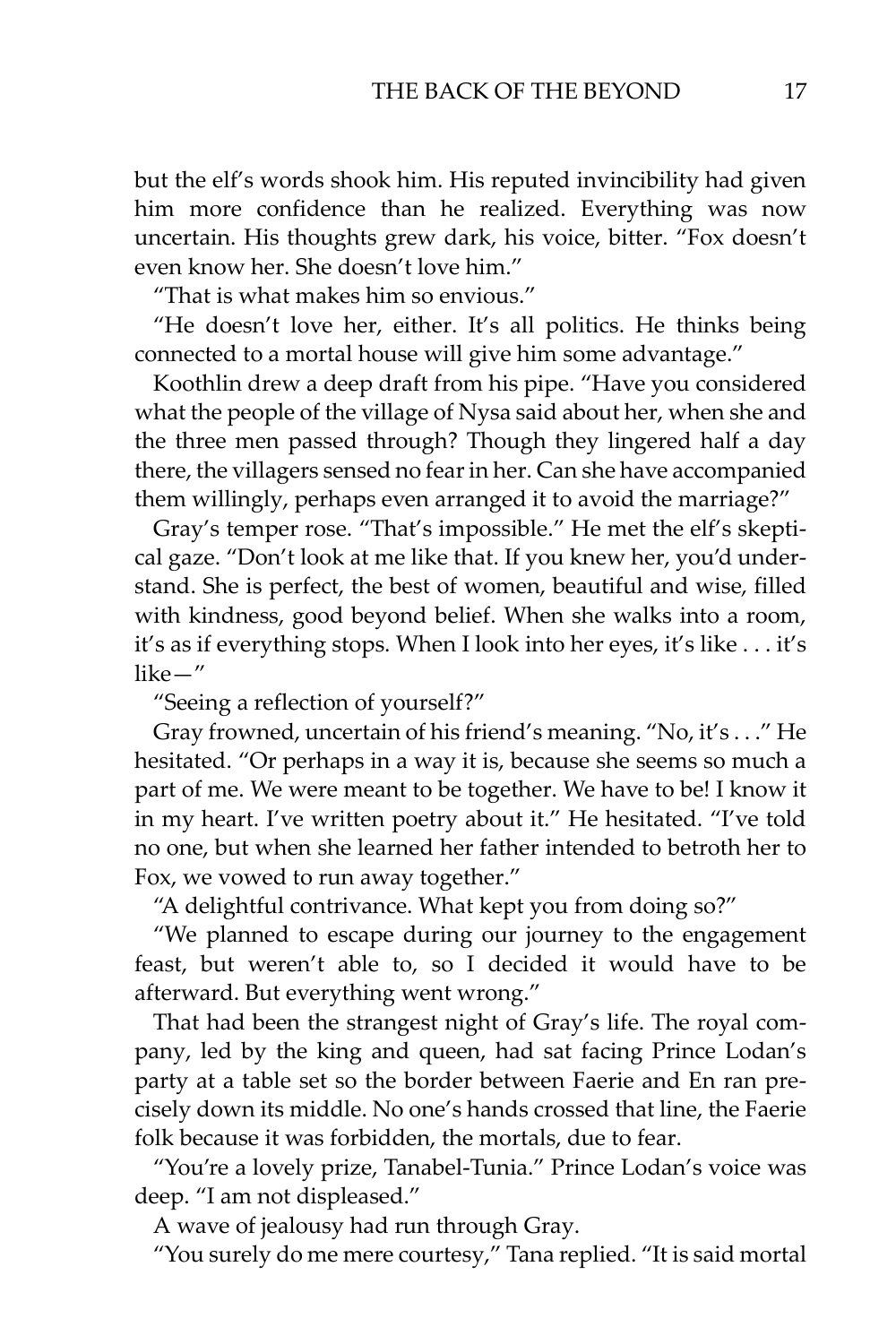but the elf's words shook him. His reputed invincibility had given him more confidence than he realized. Everything was now uncertain. His thoughts grew dark, his voice, bitter. "Fox doesn't even know her. She doesn't love him."

"That is what makes him so envious."

"He doesn't love her, either. It's all politics. He thinks being connected to a mortal house will give him some advantage."

Koothlin drew a deep draft from his pipe. "Have you considered what the people of the village of Nysa said about her, when she and the three men passed through? Though they lingered half a day there, the villagers sensed no fear in her. Can she have accompanied them willingly, perhaps even arranged it to avoid the marriage?"

Gray's temper rose. "That's impossible." He met the elf's skeptical gaze. "Don't look at me like that. If you knew her, you'd understand. She is perfect, the best of women, beautiful and wise, filled with kindness, good beyond belief. When she walks into a room, it's as if everything stops. When I look into her eyes, it's like . . . it's like—"

"Seeing a reflection of yourself?"

Gray frowned, uncertain of his friend's meaning. "No, it's . . ." He hesitated. "Or perhaps in a way it is, because she seems so much a part of me. We were meant to be together. We have to be! I know it in my heart. I've written poetry about it." He hesitated. "I've told no one, but when she learned her father intended to betroth her to Fox, we vowed to run away together."

"A delightful contrivance. What kept you from doing so?"

"We planned to escape during our journey to the engagement feast, but weren't able to, so I decided it would have to be afterward. But everything went wrong."

That had been the strangest night of Gray's life. The royal company, led by the king and queen, had sat facing Prince Lodan's party at a table set so the border between Faerie and En ran precisely down its middle. No one's hands crossed that line, the Faerie folk because it was forbidden, the mortals, due to fear.

"You're a lovely prize, Tanabel-Tunia." Prince Lodan's voice was deep. "I am not displeased."

A wave of jealousy had run through Gray.

"You surely do me mere courtesy," Tana replied. "It is said mortal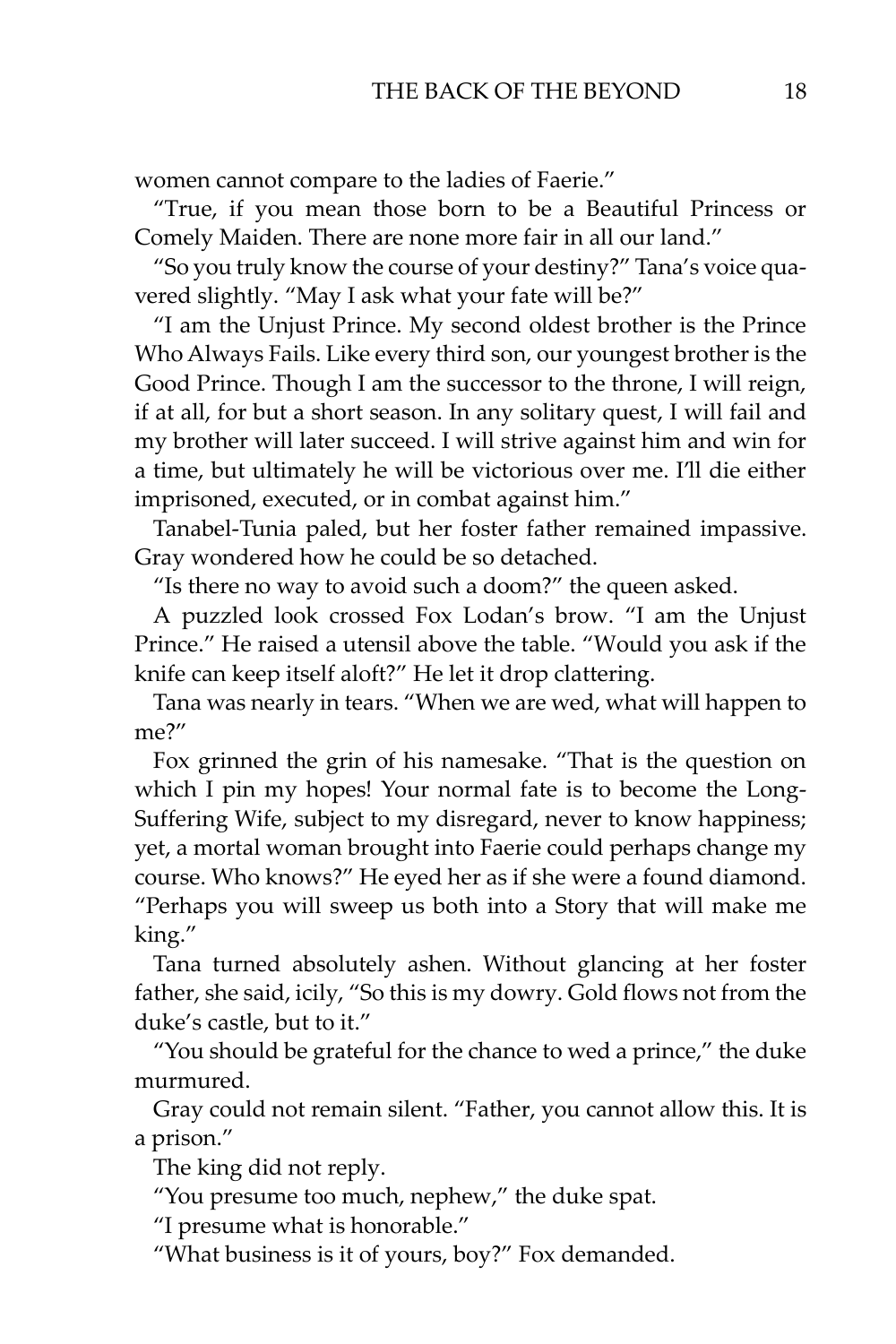women cannot compare to the ladies of Faerie."

"True, if you mean those born to be a Beautiful Princess or Comely Maiden. There are none more fair in all our land."

"So you truly know the course of your destiny?" Tana's voice quavered slightly. "May I ask what your fate will be?"

"I am the Unjust Prince. My second oldest brother is the Prince Who Always Fails. Like every third son, our youngest brother is the Good Prince. Though I am the successor to the throne, I will reign, if at all, for but a short season. In any solitary quest, I will fail and my brother will later succeed. I will strive against him and win for a time, but ultimately he will be victorious over me. I'll die either imprisoned, executed, or in combat against him."

Tanabel-Tunia paled, but her foster father remained impassive. Gray wondered how he could be so detached.

"Is there no way to avoid such a doom?" the queen asked.

A puzzled look crossed Fox Lodan's brow. "I am the Unjust Prince." He raised a utensil above the table. "Would you ask if the knife can keep itself aloft?" He let it drop clattering.

Tana was nearly in tears. "When we are wed, what will happen to me?"

Fox grinned the grin of his namesake. "That is the question on which I pin my hopes! Your normal fate is to become the Long-Suffering Wife, subject to my disregard, never to know happiness; yet, a mortal woman brought into Faerie could perhaps change my course. Who knows?" He eyed her as if she were a found diamond. "Perhaps you will sweep us both into a Story that will make me king."

Tana turned absolutely ashen. Without glancing at her foster father, she said, icily, "So this is my dowry. Gold flows not from the duke's castle, but to it."

"You should be grateful for the chance to wed a prince," the duke murmured.

Gray could not remain silent. "Father, you cannot allow this. It is a prison."

The king did not reply.

"You presume too much, nephew," the duke spat.

"I presume what is honorable."

"What business is it of yours, boy?" Fox demanded.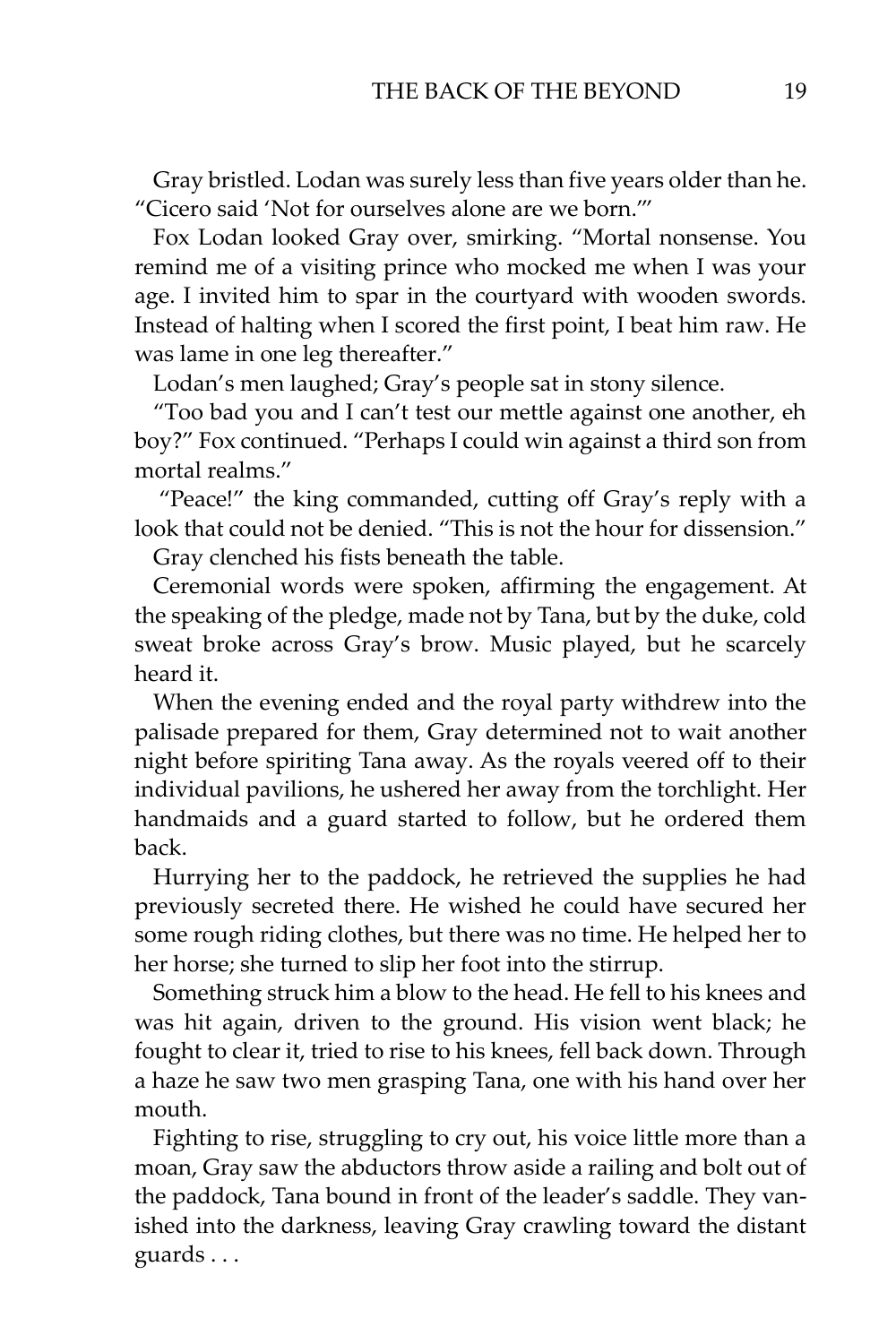Gray bristled. Lodan was surely less than five years older than he. "Cicero said 'Not for ourselves alone are we born.'"

Fox Lodan looked Gray over, smirking. "Mortal nonsense. You remind me of a visiting prince who mocked me when I was your age. I invited him to spar in the courtyard with wooden swords. Instead of halting when I scored the first point, I beat him raw. He was lame in one leg thereafter."

Lodan's men laughed; Gray's people sat in stony silence.

"Too bad you and I can't test our mettle against one another, eh boy?" Fox continued. "Perhaps I could win against a third son from mortal realms."

"Peace!" the king commanded, cutting off Gray's reply with a look that could not be denied. "This is not the hour for dissension."

Gray clenched his fists beneath the table.

Ceremonial words were spoken, affirming the engagement. At the speaking of the pledge, made not by Tana, but by the duke, cold sweat broke across Gray's brow. Music played, but he scarcely heard it.

When the evening ended and the royal party withdrew into the palisade prepared for them, Gray determined not to wait another night before spiriting Tana away. As the royals veered off to their individual pavilions, he ushered her away from the torchlight. Her handmaids and a guard started to follow, but he ordered them back.

Hurrying her to the paddock, he retrieved the supplies he had previously secreted there. He wished he could have secured her some rough riding clothes, but there was no time. He helped her to her horse; she turned to slip her foot into the stirrup.

Something struck him a blow to the head. He fell to his knees and was hit again, driven to the ground. His vision went black; he fought to clear it, tried to rise to his knees, fell back down. Through a haze he saw two men grasping Tana, one with his hand over her mouth.

Fighting to rise, struggling to cry out, his voice little more than a moan, Gray saw the abductors throw aside a railing and bolt out of the paddock, Tana bound in front of the leader's saddle. They vanished into the darkness, leaving Gray crawling toward the distant guards . . .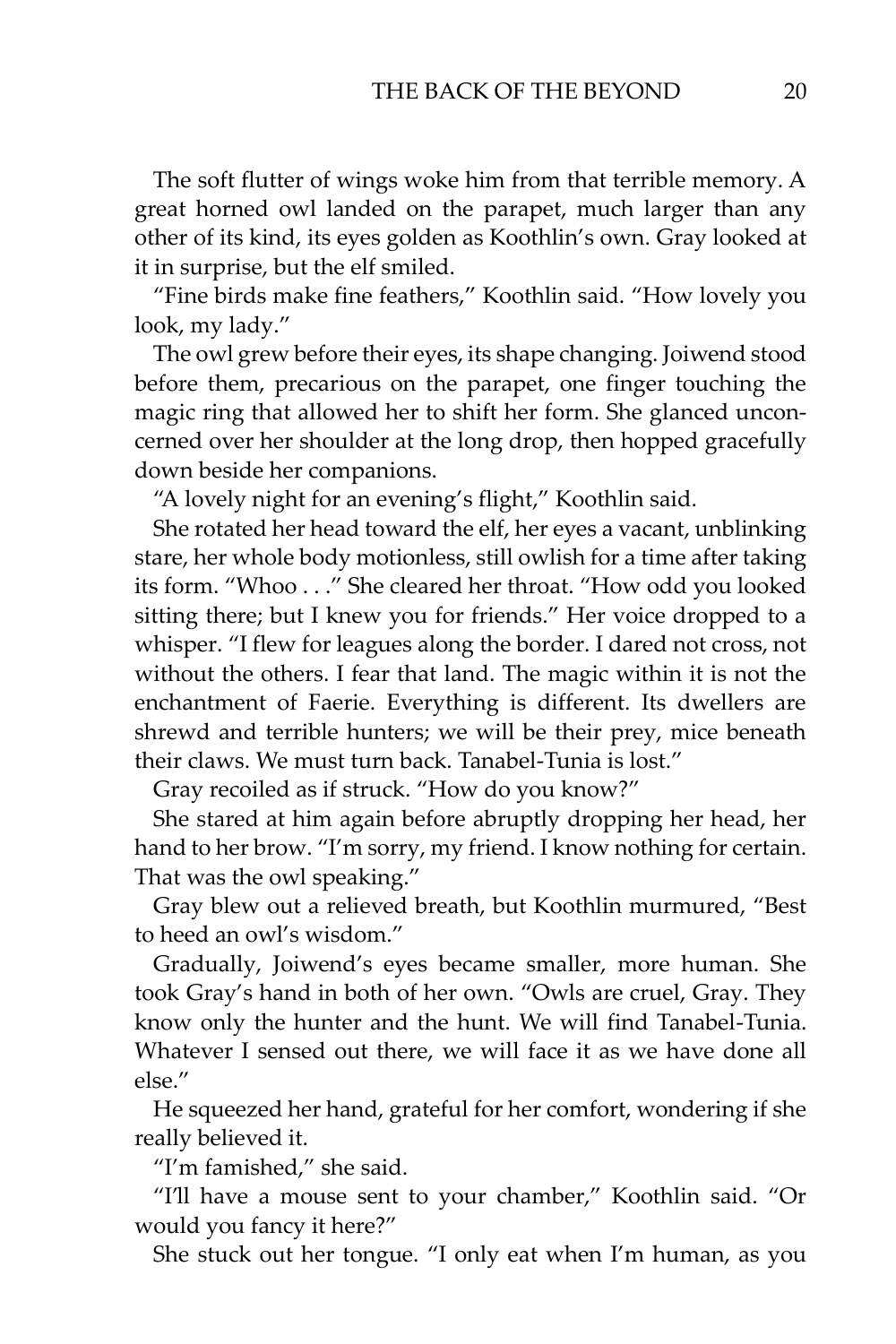The soft flutter of wings woke him from that terrible memory. A great horned owl landed on the parapet, much larger than any other of its kind, its eyes golden as Koothlin's own. Gray looked at it in surprise, but the elf smiled.

"Fine birds make fine feathers," Koothlin said. "How lovely you look, my lady."

The owl grew before their eyes, its shape changing. Joiwend stood before them, precarious on the parapet, one finger touching the magic ring that allowed her to shift her form. She glanced unconcerned over her shoulder at the long drop, then hopped gracefully down beside her companions.

"A lovely night for an evening's flight," Koothlin said.

She rotated her head toward the elf, her eyes a vacant, unblinking stare, her whole body motionless, still owlish for a time after taking its form. "Whoo . . ." She cleared her throat. "How odd you looked sitting there; but I knew you for friends." Her voice dropped to a whisper. "I flew for leagues along the border. I dared not cross, not without the others. I fear that land. The magic within it is not the enchantment of Faerie. Everything is different. Its dwellers are shrewd and terrible hunters; we will be their prey, mice beneath their claws. We must turn back. Tanabel-Tunia is lost."

Gray recoiled as if struck. "How do you know?"

She stared at him again before abruptly dropping her head, her hand to her brow. "I'm sorry, my friend. I know nothing for certain. That was the owl speaking."

Gray blew out a relieved breath, but Koothlin murmured, "Best to heed an owl's wisdom."

Gradually, Joiwend's eyes became smaller, more human. She took Gray's hand in both of her own. "Owls are cruel, Gray. They know only the hunter and the hunt. We will find Tanabel-Tunia. Whatever I sensed out there, we will face it as we have done all else."

He squeezed her hand, grateful for her comfort, wondering if she really believed it.

"I'm famished," she said.

"I'll have a mouse sent to your chamber," Koothlin said. "Or would you fancy it here?"

She stuck out her tongue. "I only eat when I'm human, as you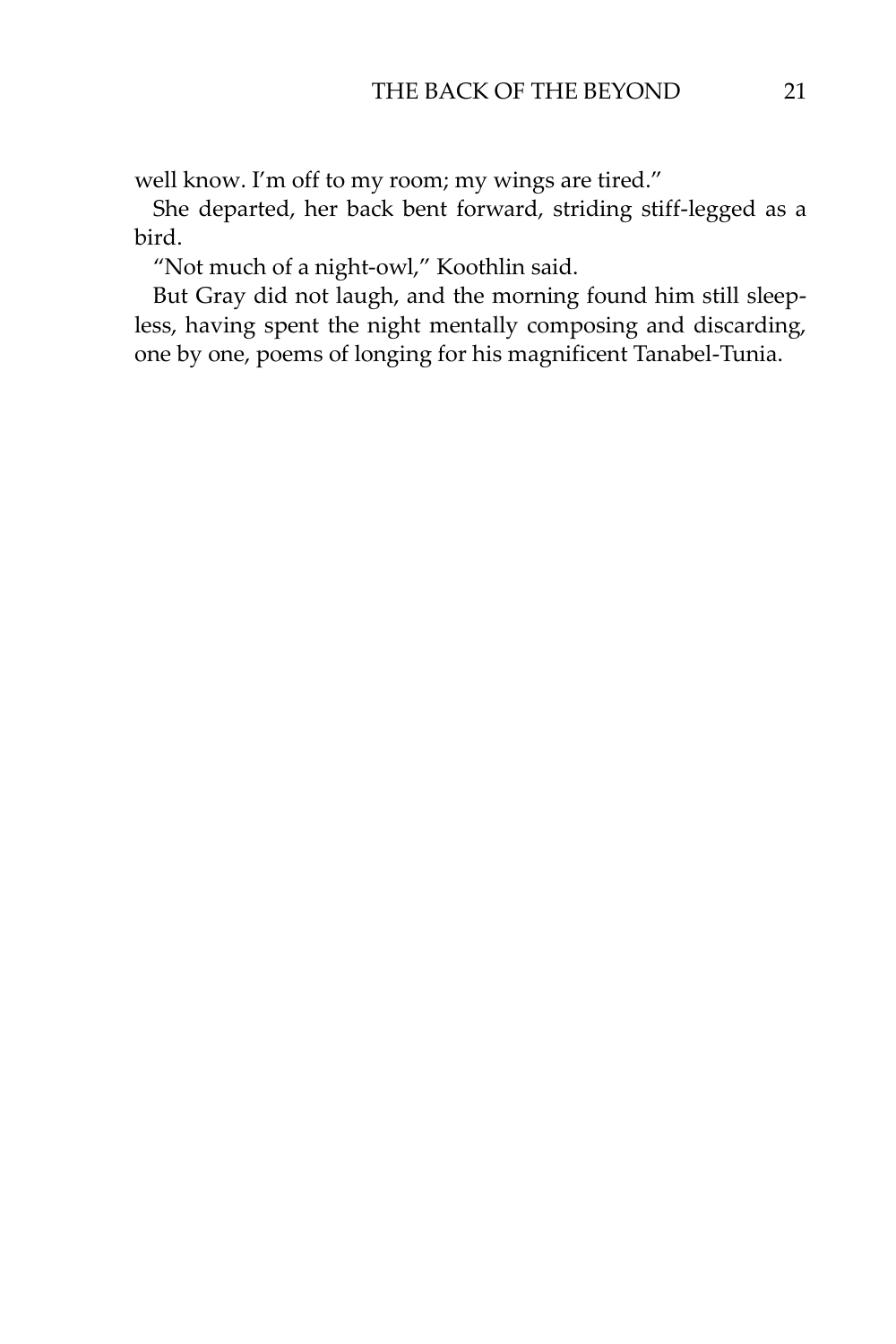well know. I'm off to my room; my wings are tired."

She departed, her back bent forward, striding stiff-legged as a bird.

"Not much of a night-owl," Koothlin said.

But Gray did not laugh, and the morning found him still sleepless, having spent the night mentally composing and discarding, one by one, poems of longing for his magnificent Tanabel-Tunia.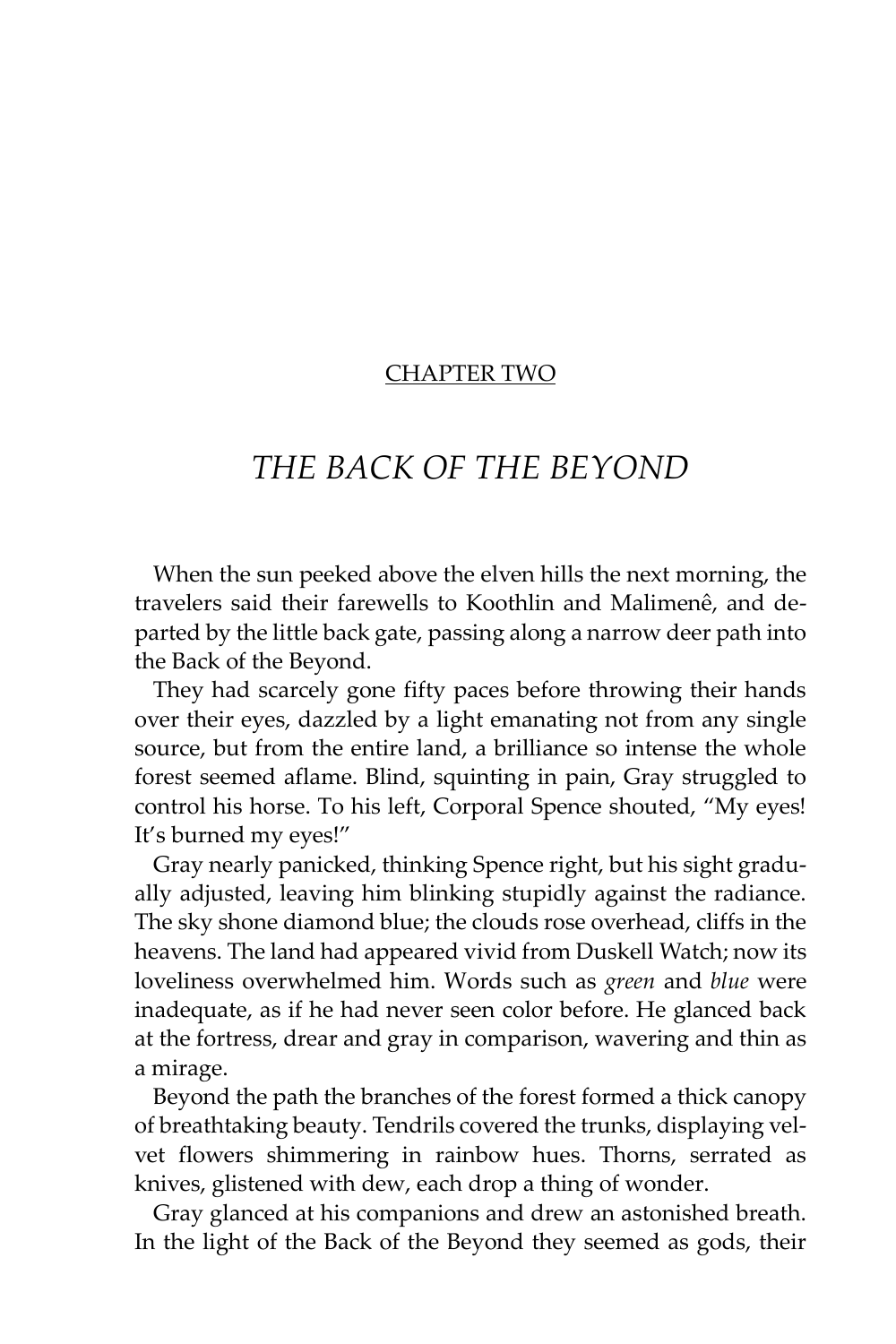#### CHAPTER TWO

# *THE BACK OF THE BEYOND*

When the sun peeked above the elven hills the next morning, the travelers said their farewells to Koothlin and Malimenê, and departed by the little back gate, passing along a narrow deer path into the Back of the Beyond.

They had scarcely gone fifty paces before throwing their hands over their eyes, dazzled by a light emanating not from any single source, but from the entire land, a brilliance so intense the whole forest seemed aflame. Blind, squinting in pain, Gray struggled to control his horse. To his left, Corporal Spence shouted, "My eyes! It's burned my eyes!"

Gray nearly panicked, thinking Spence right, but his sight gradually adjusted, leaving him blinking stupidly against the radiance. The sky shone diamond blue; the clouds rose overhead, cliffs in the heavens. The land had appeared vivid from Duskell Watch; now its loveliness overwhelmed him. Words such as *green* and *blue* were inadequate, as if he had never seen color before. He glanced back at the fortress, drear and gray in comparison, wavering and thin as a mirage.

Beyond the path the branches of the forest formed a thick canopy of breathtaking beauty. Tendrils covered the trunks, displaying velvet flowers shimmering in rainbow hues. Thorns, serrated as knives, glistened with dew, each drop a thing of wonder.

Gray glanced at his companions and drew an astonished breath. In the light of the Back of the Beyond they seemed as gods, their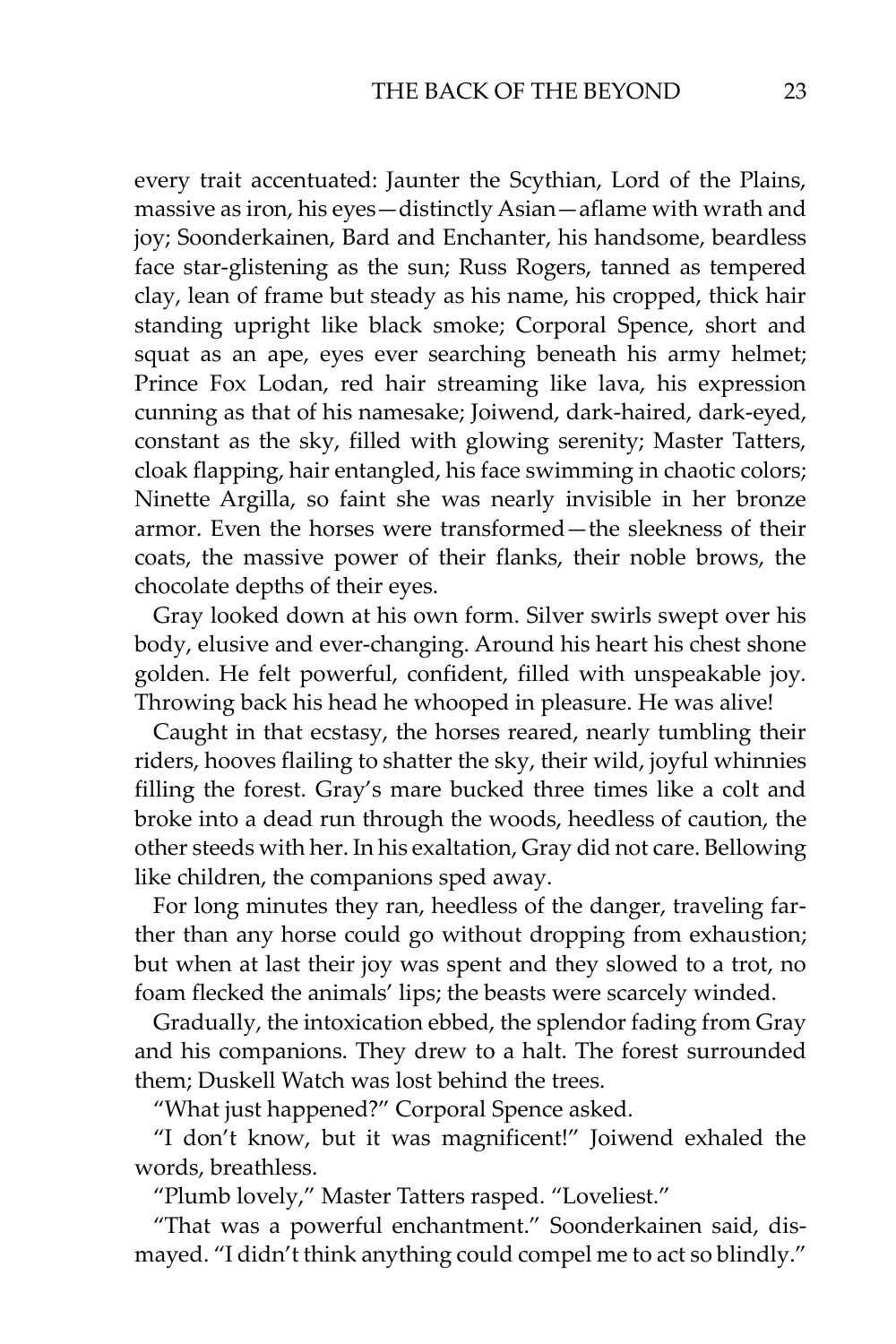every trait accentuated: Jaunter the Scythian, Lord of the Plains, massive as iron, his eyes—distinctly Asian—aflame with wrath and joy; Soonderkainen, Bard and Enchanter, his handsome, beardless face star-glistening as the sun; Russ Rogers, tanned as tempered clay, lean of frame but steady as his name, his cropped, thick hair standing upright like black smoke; Corporal Spence, short and squat as an ape, eyes ever searching beneath his army helmet; Prince Fox Lodan, red hair streaming like lava, his expression cunning as that of his namesake; Joiwend, dark-haired, dark-eyed, constant as the sky, filled with glowing serenity; Master Tatters, cloak flapping, hair entangled, his face swimming in chaotic colors; Ninette Argilla, so faint she was nearly invisible in her bronze armor. Even the horses were transformed—the sleekness of their coats, the massive power of their flanks, their noble brows, the chocolate depths of their eyes.

Gray looked down at his own form. Silver swirls swept over his body, elusive and ever-changing. Around his heart his chest shone golden. He felt powerful, confident, filled with unspeakable joy. Throwing back his head he whooped in pleasure. He was alive!

Caught in that ecstasy, the horses reared, nearly tumbling their riders, hooves flailing to shatter the sky, their wild, joyful whinnies filling the forest. Gray's mare bucked three times like a colt and broke into a dead run through the woods, heedless of caution, the other steeds with her. In his exaltation, Gray did not care. Bellowing like children, the companions sped away.

For long minutes they ran, heedless of the danger, traveling farther than any horse could go without dropping from exhaustion; but when at last their joy was spent and they slowed to a trot, no foam flecked the animals' lips; the beasts were scarcely winded.

Gradually, the intoxication ebbed, the splendor fading from Gray and his companions. They drew to a halt. The forest surrounded them; Duskell Watch was lost behind the trees.

"What just happened?" Corporal Spence asked.

"I don't know, but it was magnificent!" Joiwend exhaled the words, breathless.

"Plumb lovely," Master Tatters rasped. "Loveliest."

"That was a powerful enchantment." Soonderkainen said, dismayed. "I didn't think anything could compel me to act so blindly."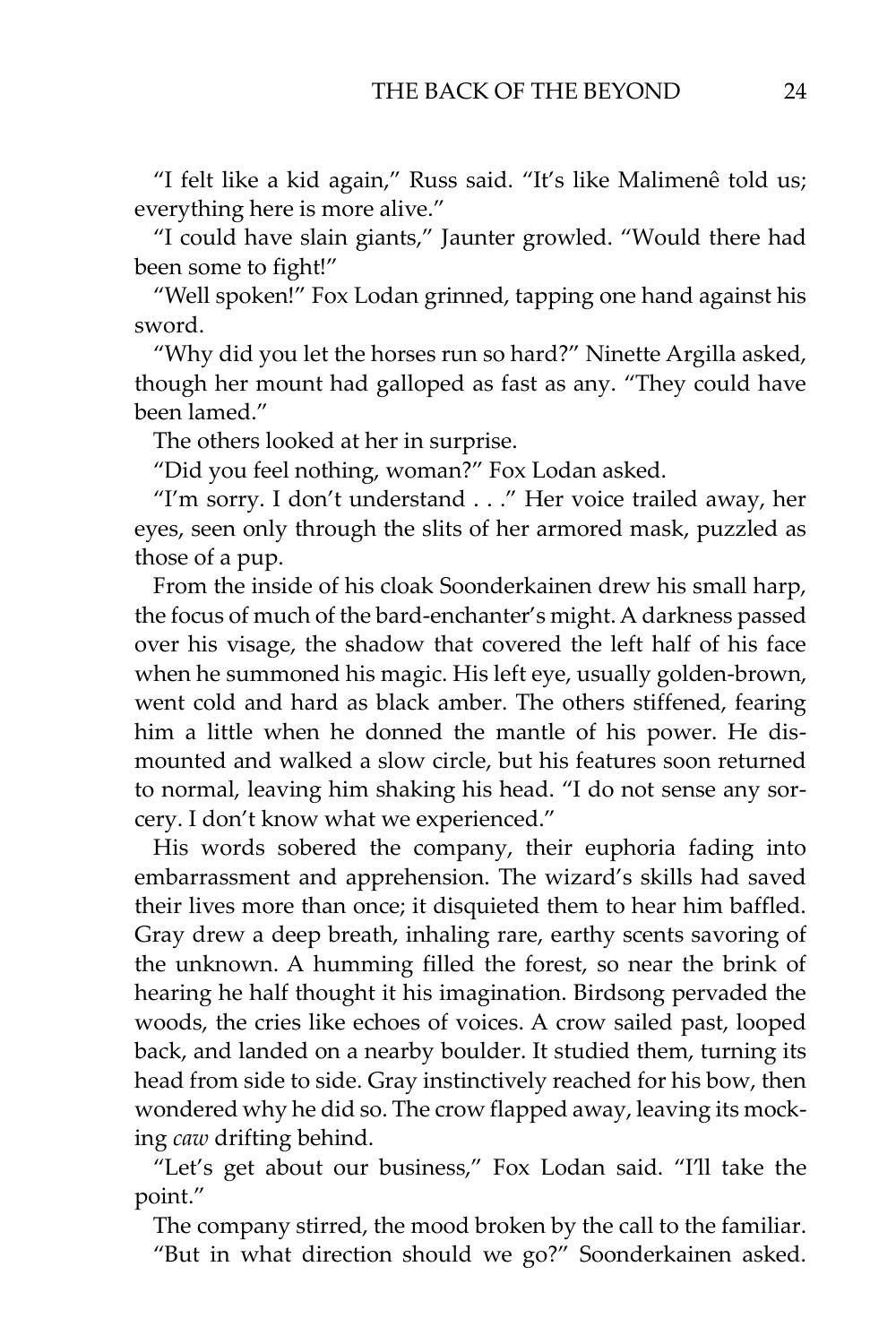"I felt like a kid again," Russ said. "It's like Malimenê told us; everything here is more alive."

"I could have slain giants," Jaunter growled. "Would there had been some to fight!"

"Well spoken!" Fox Lodan grinned, tapping one hand against his sword.

"Why did you let the horses run so hard?" Ninette Argilla asked, though her mount had galloped as fast as any. "They could have been lamed."

The others looked at her in surprise.

"Did you feel nothing, woman?" Fox Lodan asked.

"I'm sorry. I don't understand . . ." Her voice trailed away, her eyes, seen only through the slits of her armored mask, puzzled as those of a pup.

From the inside of his cloak Soonderkainen drew his small harp, the focus of much of the bard-enchanter's might. A darkness passed over his visage, the shadow that covered the left half of his face when he summoned his magic. His left eye, usually golden-brown, went cold and hard as black amber. The others stiffened, fearing him a little when he donned the mantle of his power. He dismounted and walked a slow circle, but his features soon returned to normal, leaving him shaking his head. "I do not sense any sorcery. I don't know what we experienced."

His words sobered the company, their euphoria fading into embarrassment and apprehension. The wizard's skills had saved their lives more than once; it disquieted them to hear him baffled. Gray drew a deep breath, inhaling rare, earthy scents savoring of the unknown. A humming filled the forest, so near the brink of hearing he half thought it his imagination. Birdsong pervaded the woods, the cries like echoes of voices. A crow sailed past, looped back, and landed on a nearby boulder. It studied them, turning its head from side to side. Gray instinctively reached for his bow, then wondered why he did so. The crow flapped away, leaving its mocking *caw* drifting behind.

"Let's get about our business," Fox Lodan said. "I'll take the point."

The company stirred, the mood broken by the call to the familiar. "But in what direction should we go?" Soonderkainen asked.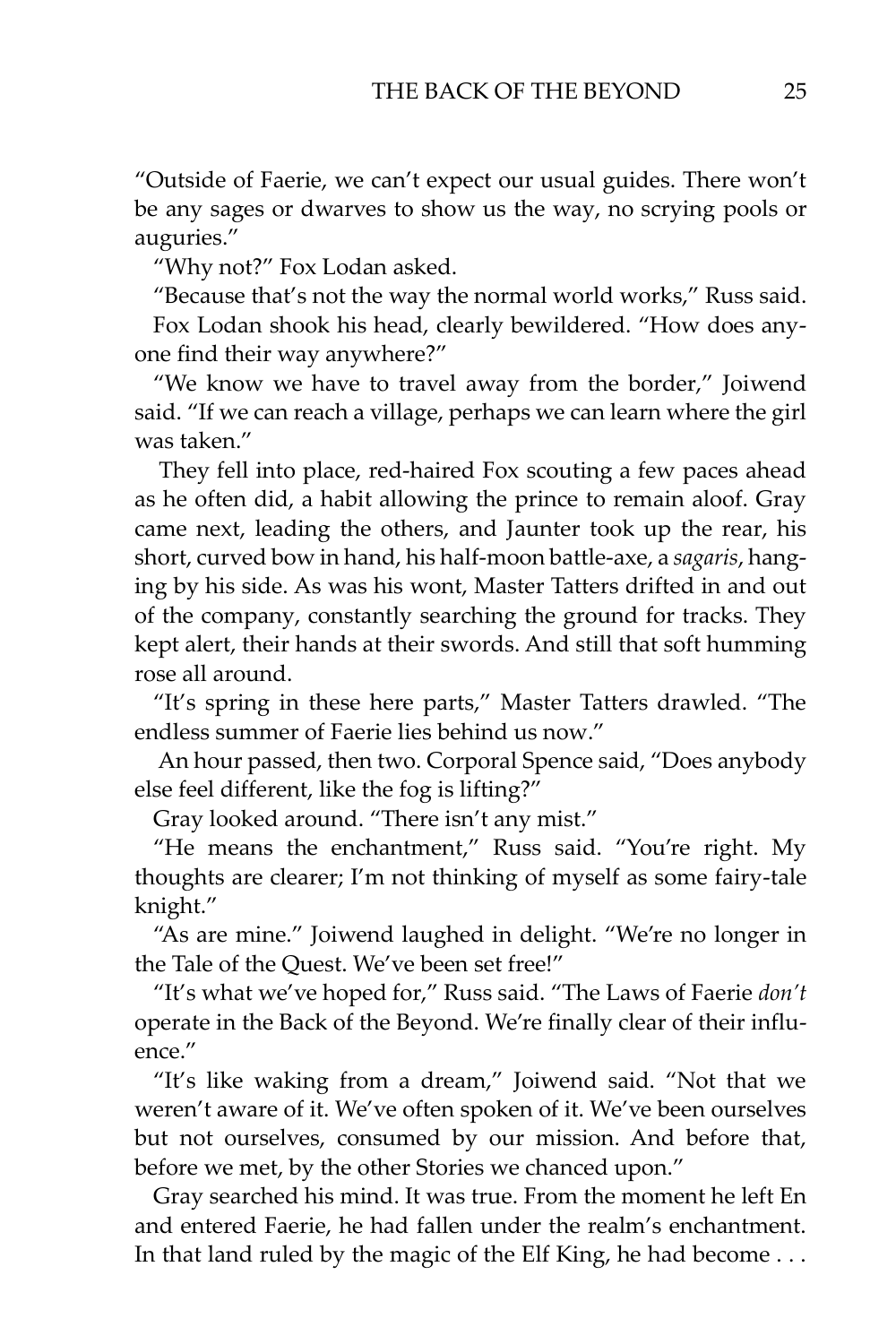"Outside of Faerie, we can't expect our usual guides. There won't be any sages or dwarves to show us the way, no scrying pools or auguries."

"Why not?" Fox Lodan asked.

"Because that's not the way the normal world works," Russ said. Fox Lodan shook his head, clearly bewildered. "How does anyone find their way anywhere?"

"We know we have to travel away from the border," Joiwend said. "If we can reach a village, perhaps we can learn where the girl was taken."

They fell into place, red-haired Fox scouting a few paces ahead as he often did, a habit allowing the prince to remain aloof. Gray came next, leading the others, and Jaunter took up the rear, his short, curved bow in hand, his half-moon battle-axe, a *sagaris*, hanging by his side. As was his wont, Master Tatters drifted in and out of the company, constantly searching the ground for tracks. They kept alert, their hands at their swords. And still that soft humming rose all around.

"It's spring in these here parts," Master Tatters drawled. "The endless summer of Faerie lies behind us now."

An hour passed, then two. Corporal Spence said, "Does anybody else feel different, like the fog is lifting?"

Gray looked around. "There isn't any mist."

"He means the enchantment," Russ said. "You're right. My thoughts are clearer; I'm not thinking of myself as some fairy-tale knight."

"As are mine." Joiwend laughed in delight. "We're no longer in the Tale of the Quest. We've been set free!"

"It's what we've hoped for," Russ said. "The Laws of Faerie *don't* operate in the Back of the Beyond. We're finally clear of their influence."

"It's like waking from a dream," Joiwend said. "Not that we weren't aware of it. We've often spoken of it. We've been ourselves but not ourselves, consumed by our mission. And before that, before we met, by the other Stories we chanced upon."

Gray searched his mind. It was true. From the moment he left En and entered Faerie, he had fallen under the realm's enchantment. In that land ruled by the magic of the Elf King, he had become . . .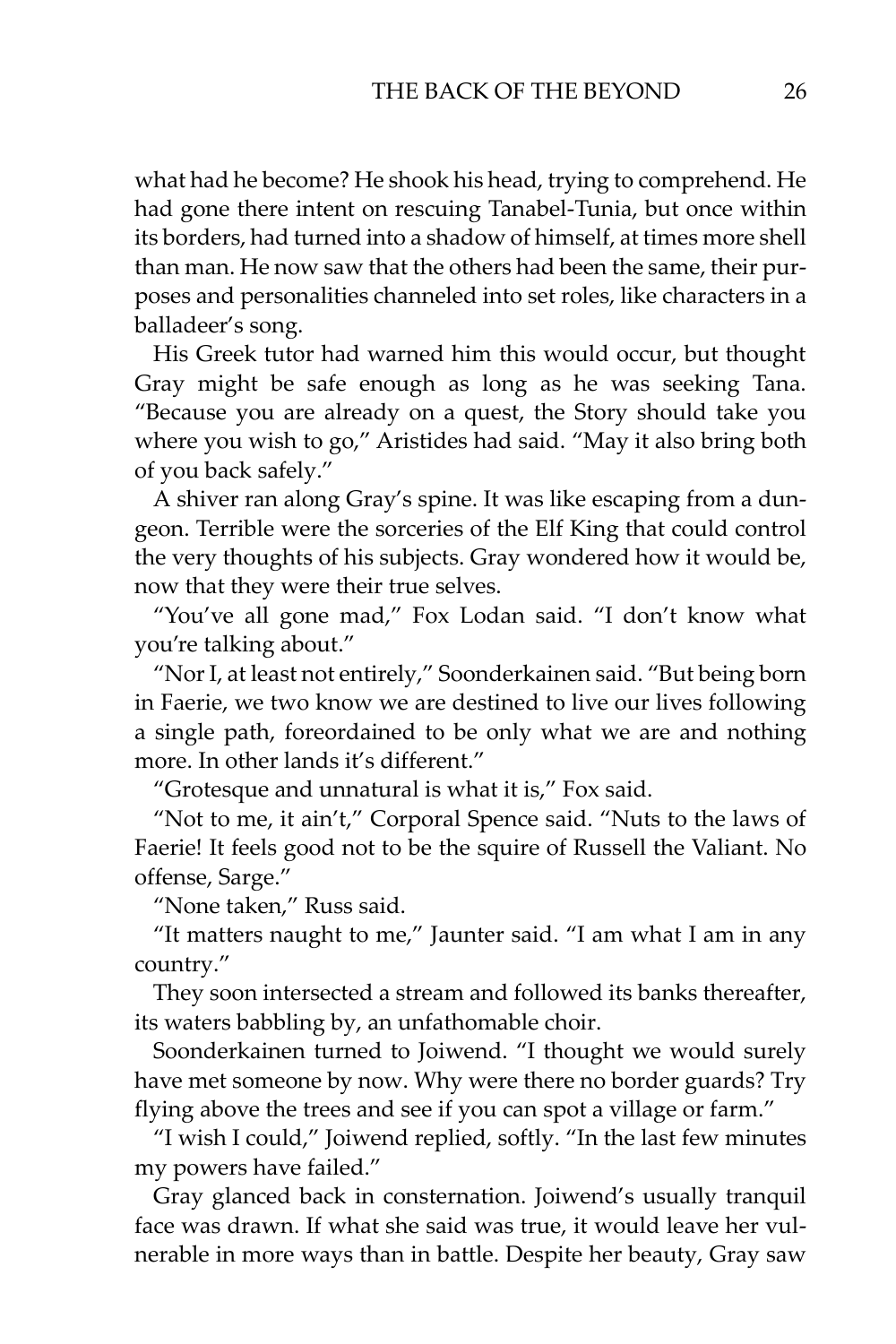what had he become? He shook his head, trying to comprehend. He had gone there intent on rescuing Tanabel-Tunia, but once within its borders, had turned into a shadow of himself, at times more shell than man. He now saw that the others had been the same, their purposes and personalities channeled into set roles, like characters in a balladeer's song.

His Greek tutor had warned him this would occur, but thought Gray might be safe enough as long as he was seeking Tana. "Because you are already on a quest, the Story should take you where you wish to go," Aristides had said. "May it also bring both of you back safely."

A shiver ran along Gray's spine. It was like escaping from a dungeon. Terrible were the sorceries of the Elf King that could control the very thoughts of his subjects. Gray wondered how it would be, now that they were their true selves.

"You've all gone mad," Fox Lodan said. "I don't know what you're talking about."

"Nor I, at least not entirely," Soonderkainen said. "But being born in Faerie, we two know we are destined to live our lives following a single path, foreordained to be only what we are and nothing more. In other lands it's different."

"Grotesque and unnatural is what it is," Fox said.

"Not to me, it ain't," Corporal Spence said. "Nuts to the laws of Faerie! It feels good not to be the squire of Russell the Valiant. No offense, Sarge."

"None taken," Russ said.

"It matters naught to me," Jaunter said. "I am what I am in any country."

They soon intersected a stream and followed its banks thereafter, its waters babbling by, an unfathomable choir.

Soonderkainen turned to Joiwend. "I thought we would surely have met someone by now. Why were there no border guards? Try flying above the trees and see if you can spot a village or farm."

"I wish I could," Joiwend replied, softly. "In the last few minutes my powers have failed."

Gray glanced back in consternation. Joiwend's usually tranquil face was drawn. If what she said was true, it would leave her vulnerable in more ways than in battle. Despite her beauty, Gray saw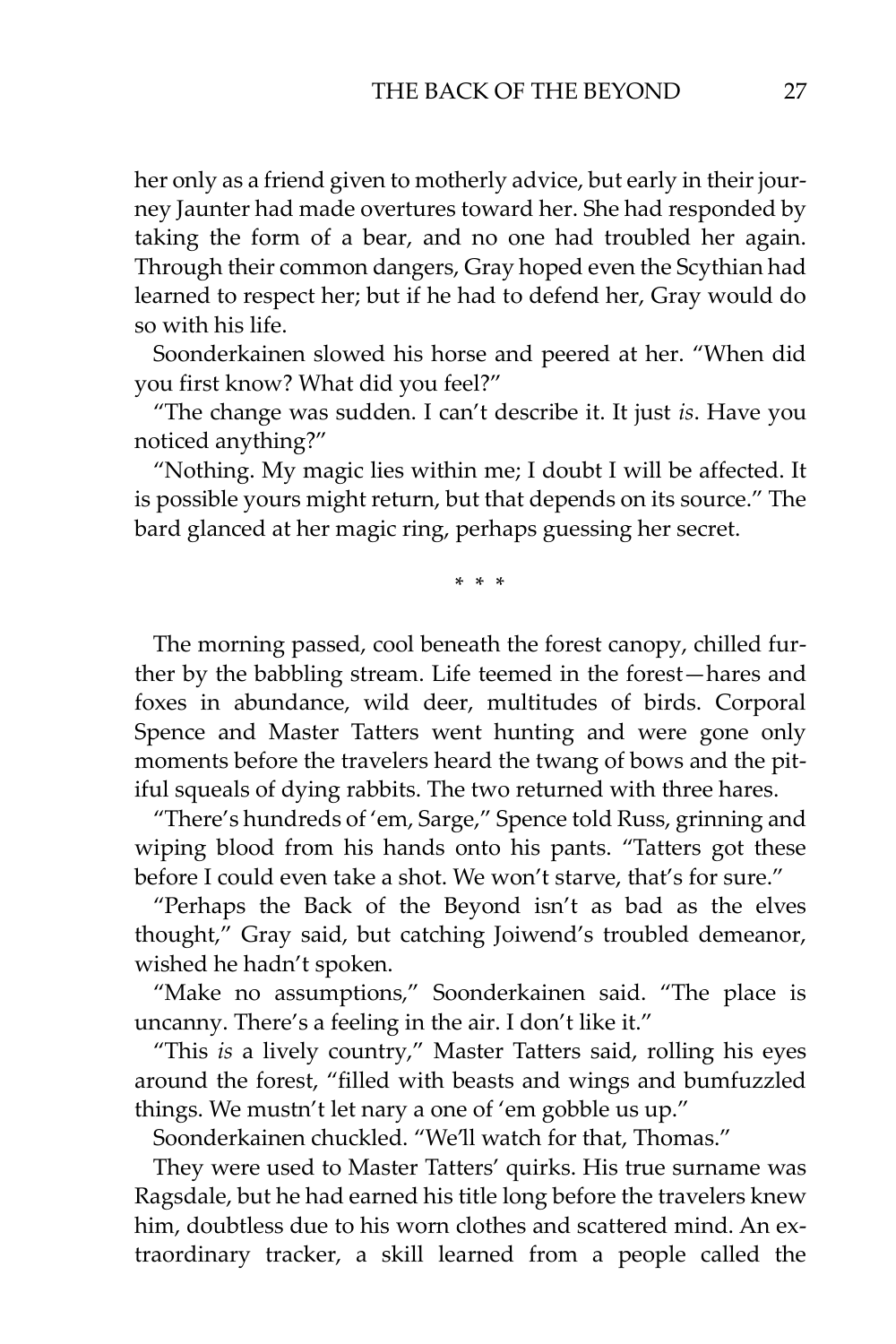her only as a friend given to motherly advice, but early in their journey Jaunter had made overtures toward her. She had responded by taking the form of a bear, and no one had troubled her again. Through their common dangers, Gray hoped even the Scythian had learned to respect her; but if he had to defend her, Gray would do so with his life.

Soonderkainen slowed his horse and peered at her. "When did you first know? What did you feel?"

"The change was sudden. I can't describe it. It just *is*. Have you noticed anything?"

"Nothing. My magic lies within me; I doubt I will be affected. It is possible yours might return, but that depends on its source." The bard glanced at her magic ring, perhaps guessing her secret.

\* \* \*

The morning passed, cool beneath the forest canopy, chilled further by the babbling stream. Life teemed in the forest—hares and foxes in abundance, wild deer, multitudes of birds. Corporal Spence and Master Tatters went hunting and were gone only moments before the travelers heard the twang of bows and the pitiful squeals of dying rabbits. The two returned with three hares.

"There's hundreds of 'em, Sarge," Spence told Russ, grinning and wiping blood from his hands onto his pants. "Tatters got these before I could even take a shot. We won't starve, that's for sure."

"Perhaps the Back of the Beyond isn't as bad as the elves thought," Gray said, but catching Joiwend's troubled demeanor, wished he hadn't spoken.

"Make no assumptions," Soonderkainen said. "The place is uncanny. There's a feeling in the air. I don't like it."

"This *is* a lively country," Master Tatters said, rolling his eyes around the forest, "filled with beasts and wings and bumfuzzled things. We mustn't let nary a one of 'em gobble us up."

Soonderkainen chuckled. "We'll watch for that, Thomas."

They were used to Master Tatters' quirks. His true surname was Ragsdale, but he had earned his title long before the travelers knew him, doubtless due to his worn clothes and scattered mind. An extraordinary tracker, a skill learned from a people called the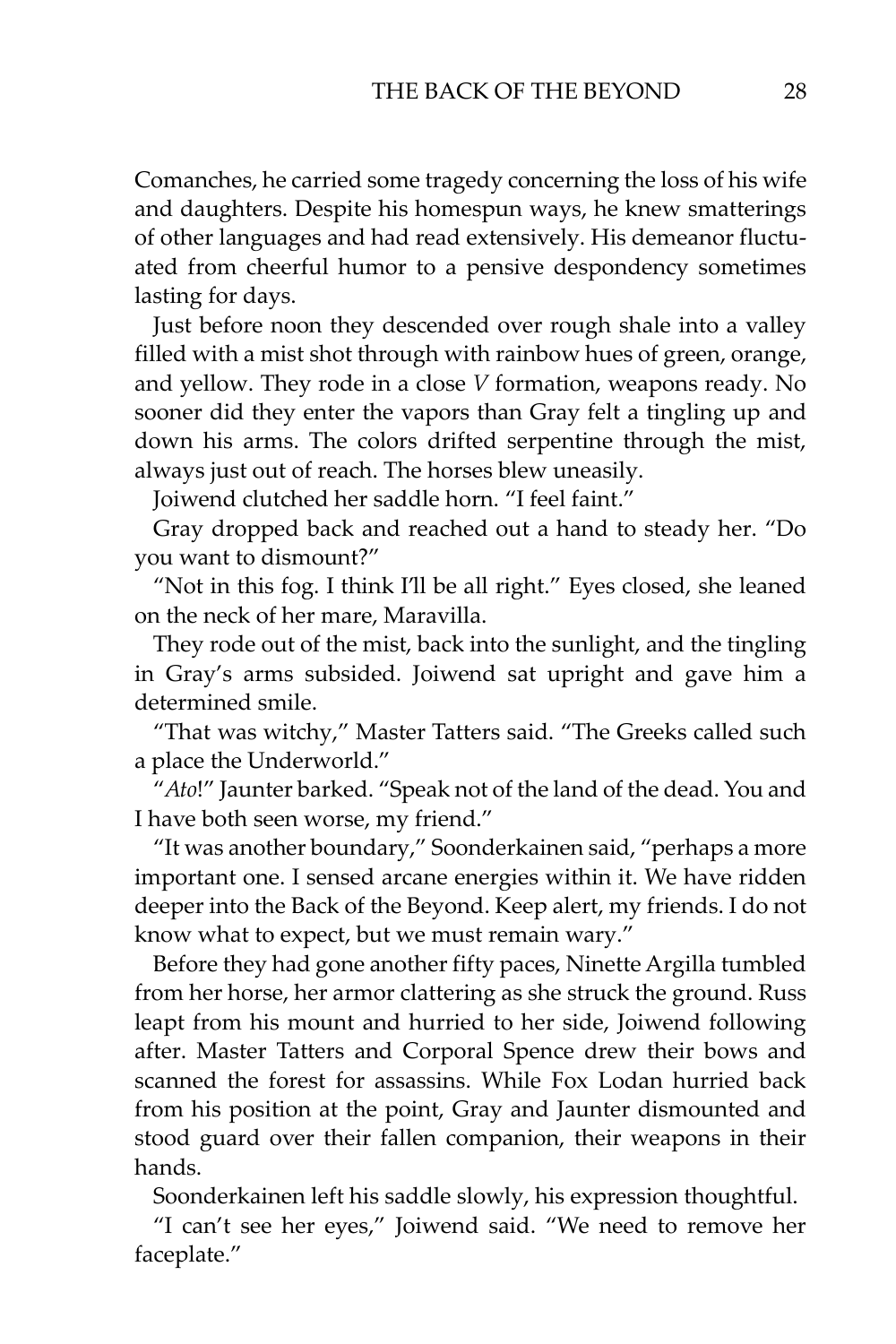Comanches, he carried some tragedy concerning the loss of his wife and daughters. Despite his homespun ways, he knew smatterings of other languages and had read extensively. His demeanor fluctuated from cheerful humor to a pensive despondency sometimes lasting for days.

Just before noon they descended over rough shale into a valley filled with a mist shot through with rainbow hues of green, orange, and yellow. They rode in a close *V* formation, weapons ready. No sooner did they enter the vapors than Gray felt a tingling up and down his arms. The colors drifted serpentine through the mist, always just out of reach. The horses blew uneasily.

Joiwend clutched her saddle horn. "I feel faint."

Gray dropped back and reached out a hand to steady her. "Do you want to dismount?"

"Not in this fog. I think I'll be all right." Eyes closed, she leaned on the neck of her mare, Maravilla.

They rode out of the mist, back into the sunlight, and the tingling in Gray's arms subsided. Joiwend sat upright and gave him a determined smile.

"That was witchy," Master Tatters said. "The Greeks called such a place the Underworld."

"*Ato*!" Jaunter barked. "Speak not of the land of the dead. You and I have both seen worse, my friend."

"It was another boundary," Soonderkainen said, "perhaps a more important one. I sensed arcane energies within it. We have ridden deeper into the Back of the Beyond. Keep alert, my friends. I do not know what to expect, but we must remain wary."

Before they had gone another fifty paces, Ninette Argilla tumbled from her horse, her armor clattering as she struck the ground. Russ leapt from his mount and hurried to her side, Joiwend following after. Master Tatters and Corporal Spence drew their bows and scanned the forest for assassins. While Fox Lodan hurried back from his position at the point, Gray and Jaunter dismounted and stood guard over their fallen companion, their weapons in their hands.

Soonderkainen left his saddle slowly, his expression thoughtful.

"I can't see her eyes," Joiwend said. "We need to remove her faceplate."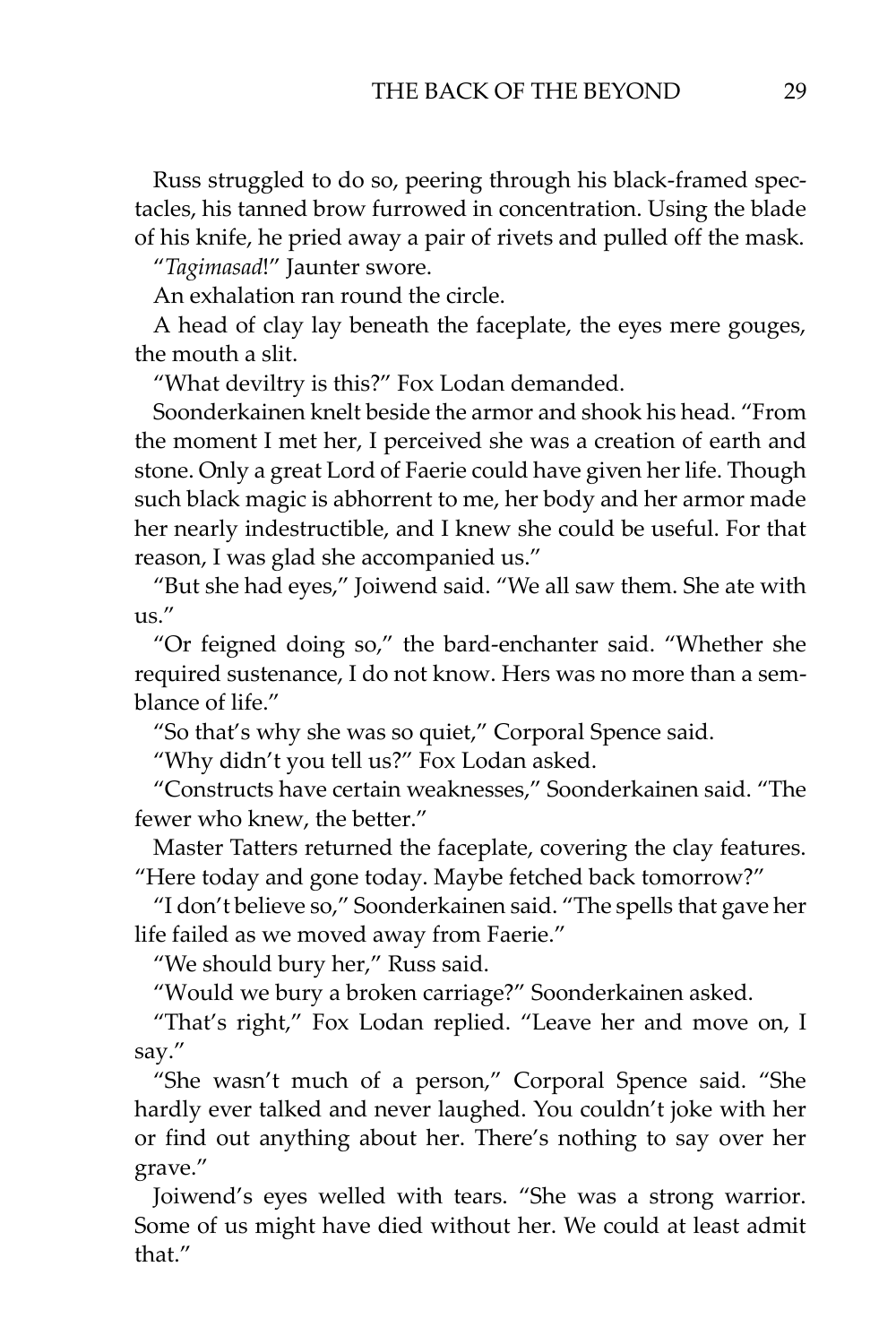Russ struggled to do so, peering through his black-framed spectacles, his tanned brow furrowed in concentration. Using the blade of his knife, he pried away a pair of rivets and pulled off the mask.

"*Tagimasad*!" Jaunter swore.

An exhalation ran round the circle.

A head of clay lay beneath the faceplate, the eyes mere gouges, the mouth a slit.

"What deviltry is this?" Fox Lodan demanded.

Soonderkainen knelt beside the armor and shook his head. "From the moment I met her, I perceived she was a creation of earth and stone. Only a great Lord of Faerie could have given her life. Though such black magic is abhorrent to me, her body and her armor made her nearly indestructible, and I knew she could be useful. For that reason, I was glad she accompanied us."

"But she had eyes," Joiwend said. "We all saw them. She ate with us."

"Or feigned doing so," the bard-enchanter said. "Whether she required sustenance, I do not know. Hers was no more than a semblance of life."

"So that's why she was so quiet," Corporal Spence said.

"Why didn't you tell us?" Fox Lodan asked.

"Constructs have certain weaknesses," Soonderkainen said. "The fewer who knew, the better."

Master Tatters returned the faceplate, covering the clay features. "Here today and gone today. Maybe fetched back tomorrow?"

"I don't believe so," Soonderkainen said. "The spells that gave her life failed as we moved away from Faerie."

"We should bury her," Russ said.

"Would we bury a broken carriage?" Soonderkainen asked.

"That's right," Fox Lodan replied. "Leave her and move on, I say."

"She wasn't much of a person," Corporal Spence said. "She hardly ever talked and never laughed. You couldn't joke with her or find out anything about her. There's nothing to say over her grave."

Joiwend's eyes welled with tears. "She was a strong warrior. Some of us might have died without her. We could at least admit that"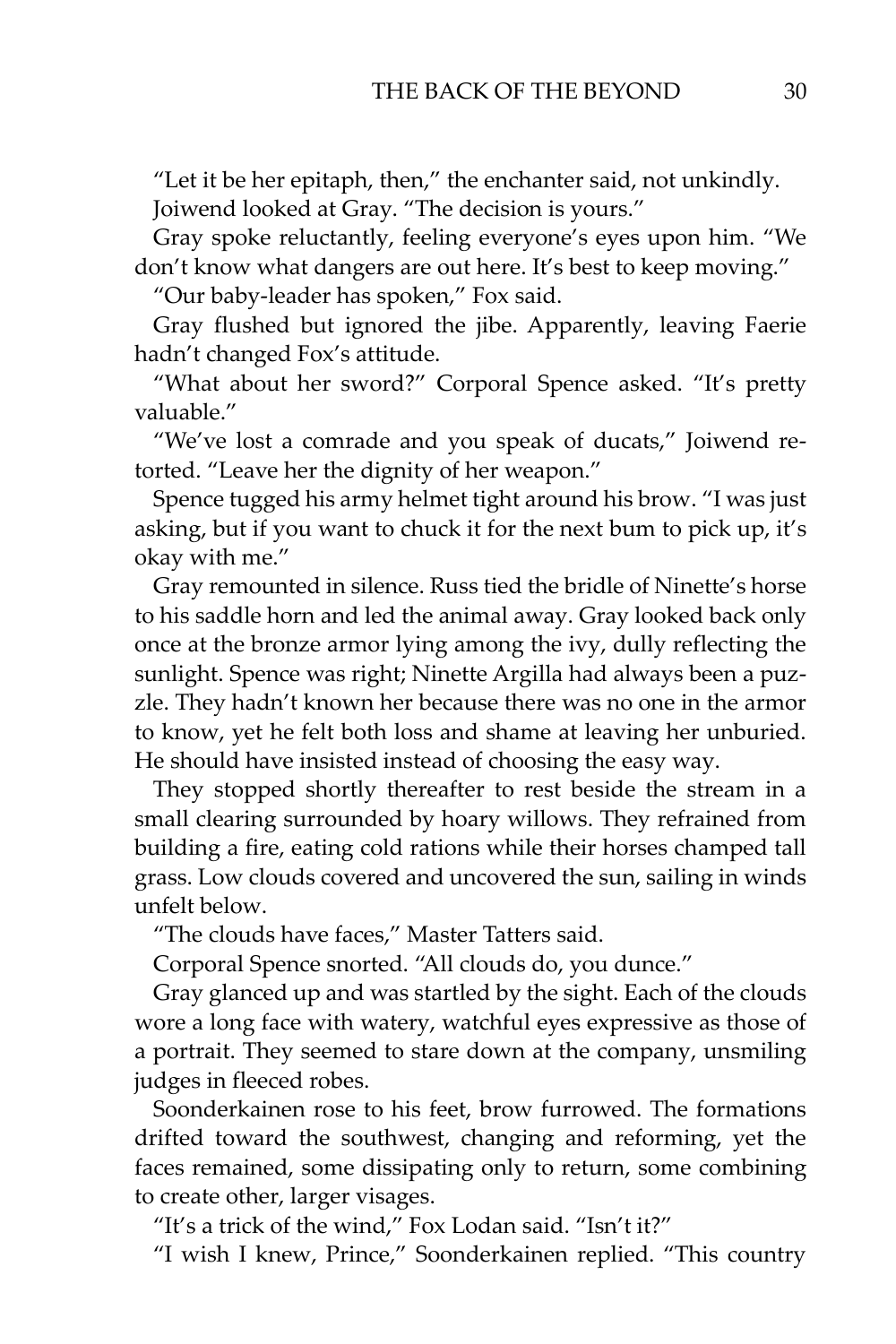"Let it be her epitaph, then," the enchanter said, not unkindly. Joiwend looked at Gray. "The decision is yours."

Gray spoke reluctantly, feeling everyone's eyes upon him. "We don't know what dangers are out here. It's best to keep moving."

"Our baby-leader has spoken," Fox said.

Gray flushed but ignored the jibe. Apparently, leaving Faerie hadn't changed Fox's attitude.

"What about her sword?" Corporal Spence asked. "It's pretty valuable."

"We've lost a comrade and you speak of ducats," Joiwend retorted. "Leave her the dignity of her weapon."

Spence tugged his army helmet tight around his brow. "I was just asking, but if you want to chuck it for the next bum to pick up, it's okay with me."

Gray remounted in silence. Russ tied the bridle of Ninette's horse to his saddle horn and led the animal away. Gray looked back only once at the bronze armor lying among the ivy, dully reflecting the sunlight. Spence was right; Ninette Argilla had always been a puzzle. They hadn't known her because there was no one in the armor to know, yet he felt both loss and shame at leaving her unburied. He should have insisted instead of choosing the easy way.

They stopped shortly thereafter to rest beside the stream in a small clearing surrounded by hoary willows. They refrained from building a fire, eating cold rations while their horses champed tall grass. Low clouds covered and uncovered the sun, sailing in winds unfelt below.

"The clouds have faces," Master Tatters said.

Corporal Spence snorted. "All clouds do, you dunce."

Gray glanced up and was startled by the sight. Each of the clouds wore a long face with watery, watchful eyes expressive as those of a portrait. They seemed to stare down at the company, unsmiling judges in fleeced robes.

Soonderkainen rose to his feet, brow furrowed. The formations drifted toward the southwest, changing and reforming, yet the faces remained, some dissipating only to return, some combining to create other, larger visages.

"It's a trick of the wind," Fox Lodan said. "Isn't it?"

"I wish I knew, Prince," Soonderkainen replied. "This country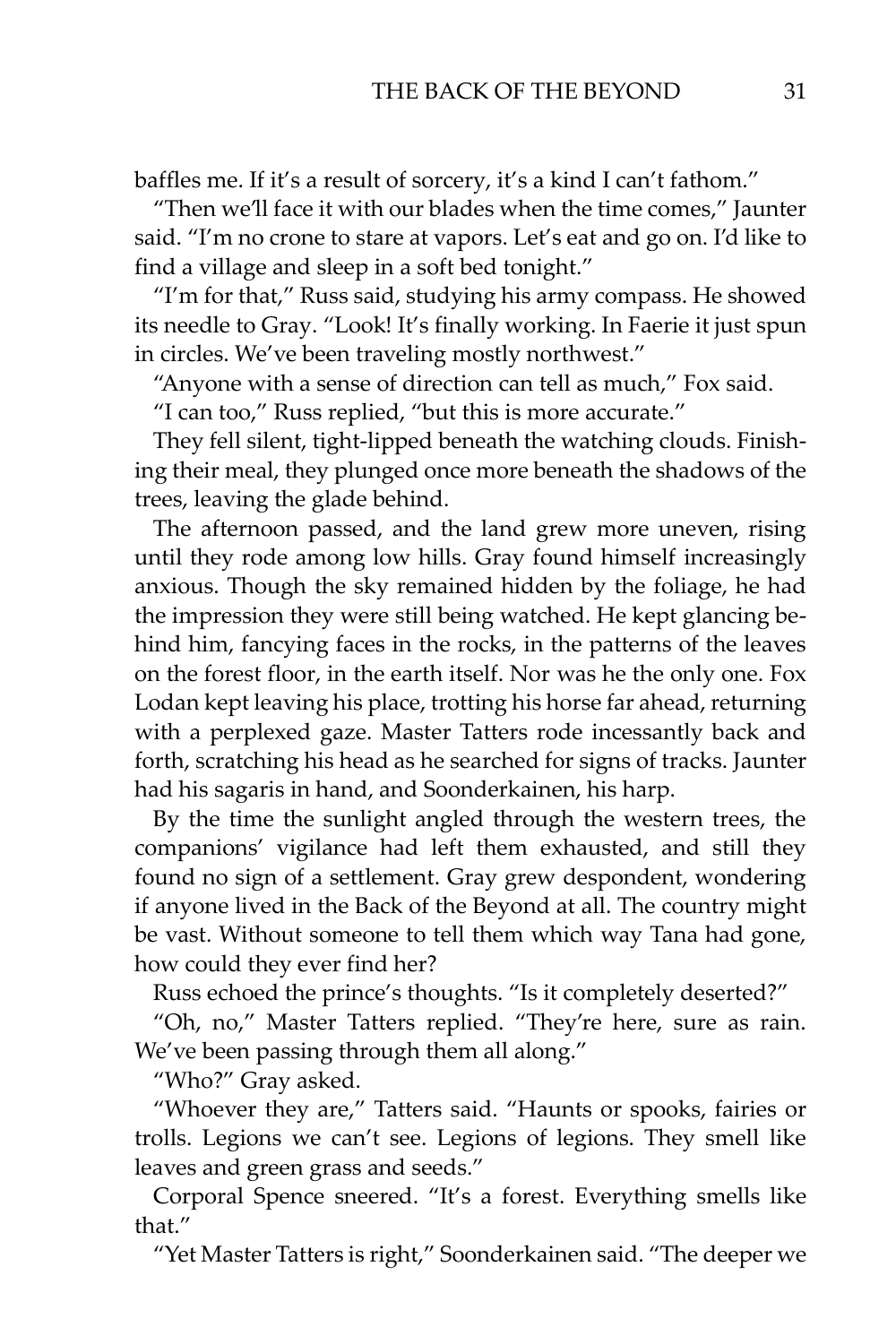baffles me. If it's a result of sorcery, it's a kind I can't fathom."

"Then we'll face it with our blades when the time comes," Jaunter said. "I'm no crone to stare at vapors. Let's eat and go on. I'd like to find a village and sleep in a soft bed tonight."

"I'm for that," Russ said, studying his army compass. He showed its needle to Gray. "Look! It's finally working. In Faerie it just spun in circles. We've been traveling mostly northwest."

"Anyone with a sense of direction can tell as much," Fox said.

"I can too," Russ replied, "but this is more accurate."

They fell silent, tight-lipped beneath the watching clouds. Finishing their meal, they plunged once more beneath the shadows of the trees, leaving the glade behind.

The afternoon passed, and the land grew more uneven, rising until they rode among low hills. Gray found himself increasingly anxious. Though the sky remained hidden by the foliage, he had the impression they were still being watched. He kept glancing behind him, fancying faces in the rocks, in the patterns of the leaves on the forest floor, in the earth itself. Nor was he the only one. Fox Lodan kept leaving his place, trotting his horse far ahead, returning with a perplexed gaze. Master Tatters rode incessantly back and forth, scratching his head as he searched for signs of tracks. Jaunter had his sagaris in hand, and Soonderkainen, his harp.

By the time the sunlight angled through the western trees, the companions' vigilance had left them exhausted, and still they found no sign of a settlement. Gray grew despondent, wondering if anyone lived in the Back of the Beyond at all. The country might be vast. Without someone to tell them which way Tana had gone, how could they ever find her?

Russ echoed the prince's thoughts. "Is it completely deserted?"

"Oh, no," Master Tatters replied. "They're here, sure as rain. We've been passing through them all along."

"Who?" Gray asked.

"Whoever they are," Tatters said. "Haunts or spooks, fairies or trolls. Legions we can't see. Legions of legions. They smell like leaves and green grass and seeds."

Corporal Spence sneered. "It's a forest. Everything smells like that."

"Yet Master Tatters is right," Soonderkainen said. "The deeper we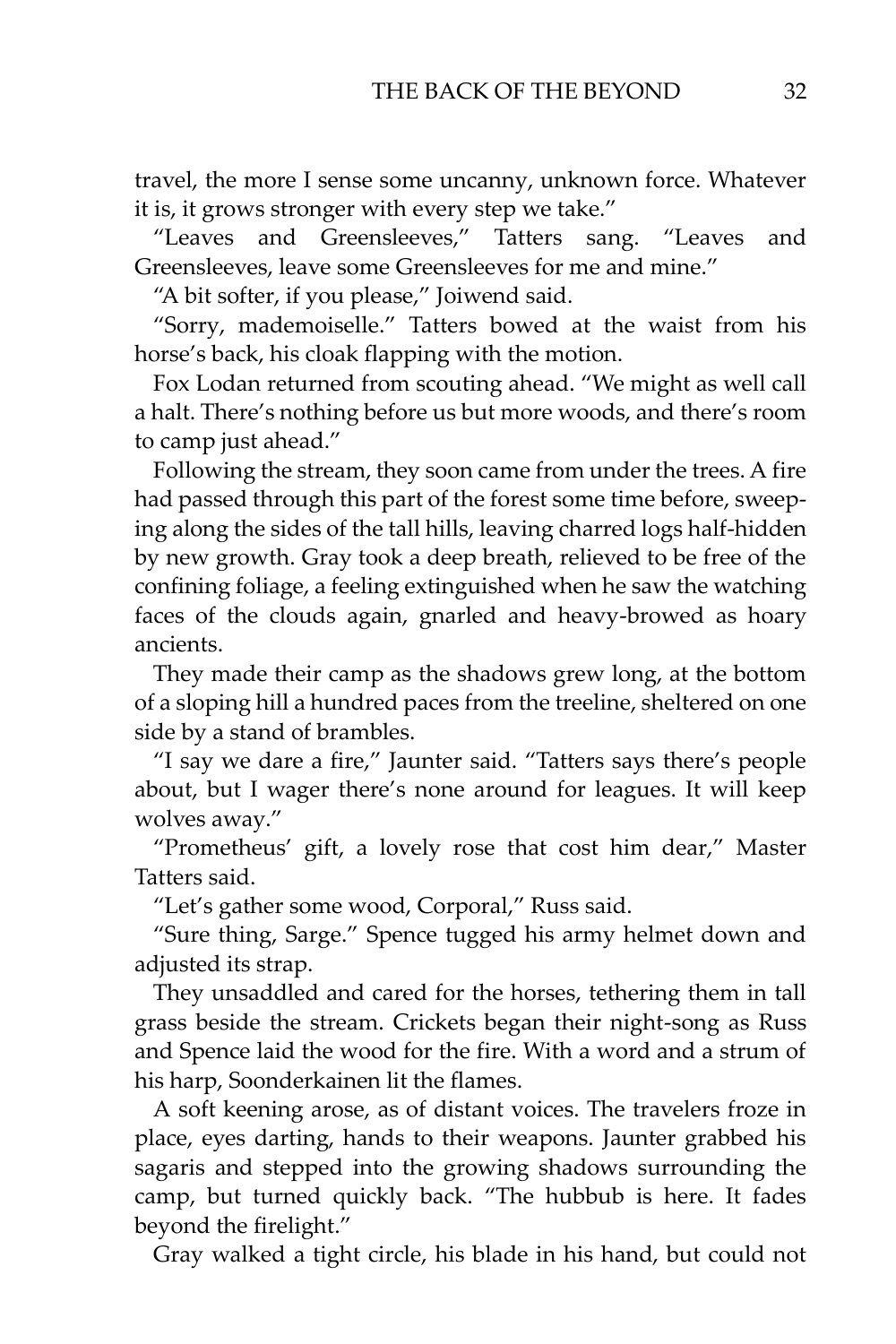travel, the more I sense some uncanny, unknown force. Whatever it is, it grows stronger with every step we take."

"Leaves and Greensleeves," Tatters sang. "Leaves and Greensleeves, leave some Greensleeves for me and mine."

"A bit softer, if you please," Joiwend said.

"Sorry, mademoiselle." Tatters bowed at the waist from his horse's back, his cloak flapping with the motion.

Fox Lodan returned from scouting ahead. "We might as well call a halt. There's nothing before us but more woods, and there's room to camp just ahead."

Following the stream, they soon came from under the trees. A fire had passed through this part of the forest some time before, sweeping along the sides of the tall hills, leaving charred logs half-hidden by new growth. Gray took a deep breath, relieved to be free of the confining foliage, a feeling extinguished when he saw the watching faces of the clouds again, gnarled and heavy-browed as hoary ancients.

They made their camp as the shadows grew long, at the bottom of a sloping hill a hundred paces from the treeline, sheltered on one side by a stand of brambles.

"I say we dare a fire," Jaunter said. "Tatters says there's people about, but I wager there's none around for leagues. It will keep wolves away."

"Prometheus' gift, a lovely rose that cost him dear," Master Tatters said.

"Let's gather some wood, Corporal," Russ said.

"Sure thing, Sarge." Spence tugged his army helmet down and adjusted its strap.

They unsaddled and cared for the horses, tethering them in tall grass beside the stream. Crickets began their night-song as Russ and Spence laid the wood for the fire. With a word and a strum of his harp, Soonderkainen lit the flames.

A soft keening arose, as of distant voices. The travelers froze in place, eyes darting, hands to their weapons. Jaunter grabbed his sagaris and stepped into the growing shadows surrounding the camp, but turned quickly back. "The hubbub is here. It fades beyond the firelight."

Gray walked a tight circle, his blade in his hand, but could not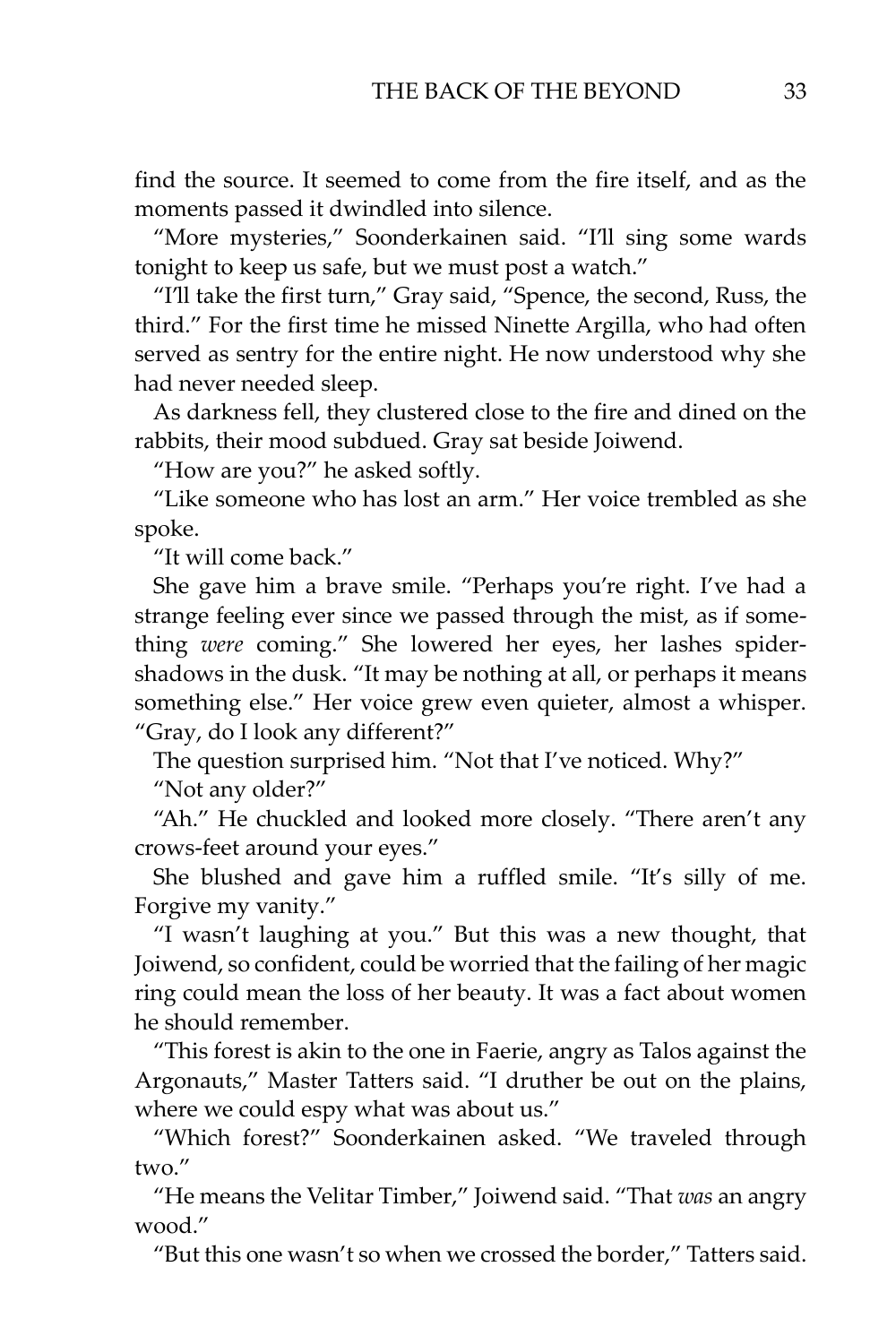find the source. It seemed to come from the fire itself, and as the moments passed it dwindled into silence.

"More mysteries," Soonderkainen said. "I'll sing some wards tonight to keep us safe, but we must post a watch."

"I'll take the first turn," Gray said, "Spence, the second, Russ, the third." For the first time he missed Ninette Argilla, who had often served as sentry for the entire night. He now understood why she had never needed sleep.

As darkness fell, they clustered close to the fire and dined on the rabbits, their mood subdued. Gray sat beside Joiwend.

"How are you?" he asked softly.

"Like someone who has lost an arm." Her voice trembled as she spoke.

"It will come back."

She gave him a brave smile. "Perhaps you're right. I've had a strange feeling ever since we passed through the mist, as if something *were* coming." She lowered her eyes, her lashes spidershadows in the dusk. "It may be nothing at all, or perhaps it means something else." Her voice grew even quieter, almost a whisper. "Gray, do I look any different?"

The question surprised him. "Not that I've noticed. Why?"

"Not any older?"

"Ah." He chuckled and looked more closely. "There aren't any crows-feet around your eyes."

She blushed and gave him a ruffled smile. "It's silly of me. Forgive my vanity."

"I wasn't laughing at you." But this was a new thought, that Joiwend, so confident, could be worried that the failing of her magic ring could mean the loss of her beauty. It was a fact about women he should remember.

"This forest is akin to the one in Faerie, angry as Talos against the Argonauts," Master Tatters said. "I druther be out on the plains, where we could espy what was about us."

"Which forest?" Soonderkainen asked. "We traveled through two."

"He means the Velitar Timber," Joiwend said. "That *was* an angry wood."

"But this one wasn't so when we crossed the border," Tatters said.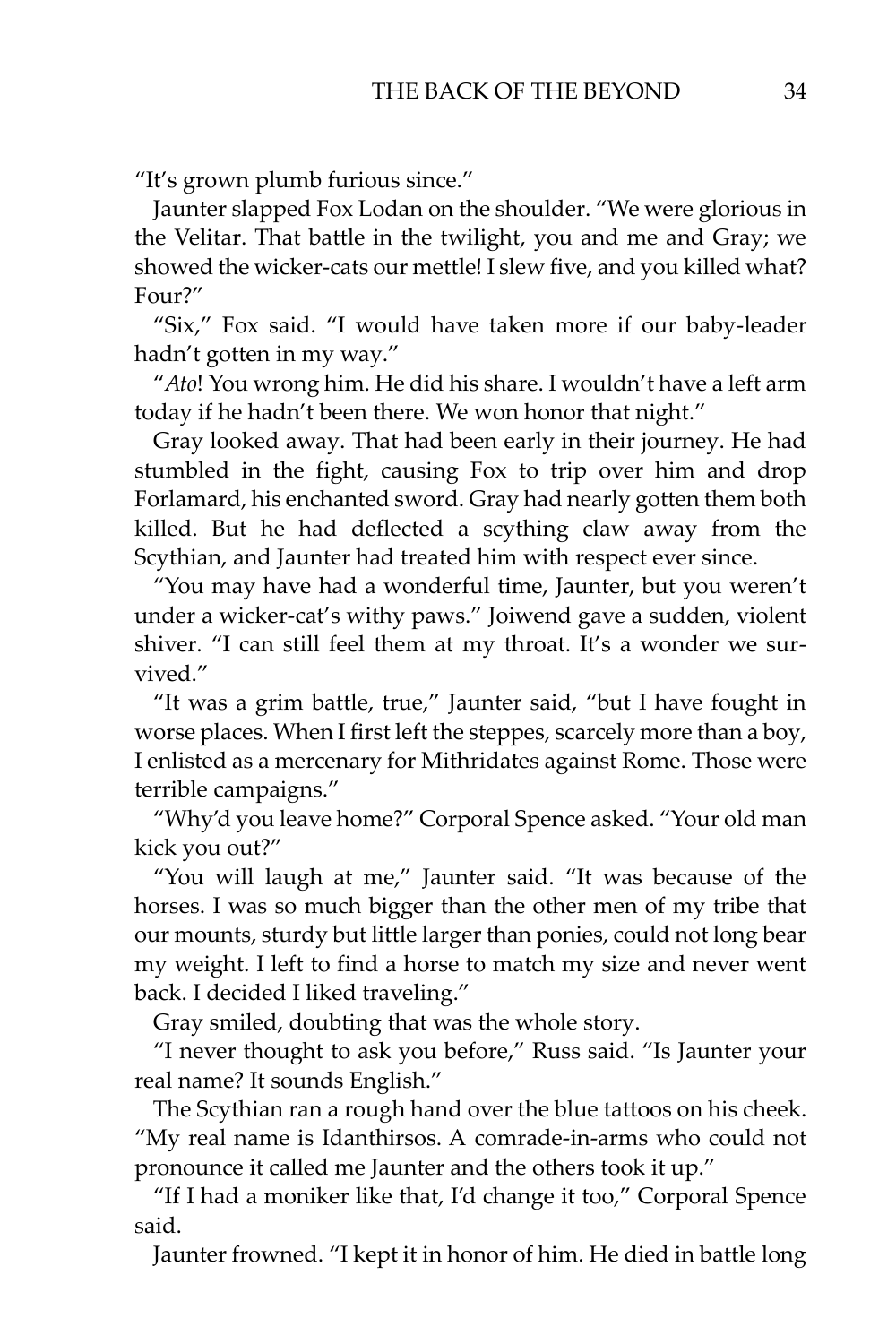"It's grown plumb furious since."

Jaunter slapped Fox Lodan on the shoulder. "We were glorious in the Velitar. That battle in the twilight, you and me and Gray; we showed the wicker-cats our mettle! I slew five, and you killed what? Four?"

"Six," Fox said. "I would have taken more if our baby-leader hadn't gotten in my way."

"*Ato*! You wrong him. He did his share. I wouldn't have a left arm today if he hadn't been there. We won honor that night."

Gray looked away. That had been early in their journey. He had stumbled in the fight, causing Fox to trip over him and drop Forlamard, his enchanted sword. Gray had nearly gotten them both killed. But he had deflected a scything claw away from the Scythian, and Jaunter had treated him with respect ever since.

"You may have had a wonderful time, Jaunter, but you weren't under a wicker-cat's withy paws." Joiwend gave a sudden, violent shiver. "I can still feel them at my throat. It's a wonder we survived."

"It was a grim battle, true," Jaunter said, "but I have fought in worse places. When I first left the steppes, scarcely more than a boy, I enlisted as a mercenary for Mithridates against Rome. Those were terrible campaigns."

"Why'd you leave home?" Corporal Spence asked. "Your old man kick you out?"

"You will laugh at me," Jaunter said. "It was because of the horses. I was so much bigger than the other men of my tribe that our mounts, sturdy but little larger than ponies, could not long bear my weight. I left to find a horse to match my size and never went back. I decided I liked traveling."

Gray smiled, doubting that was the whole story.

"I never thought to ask you before," Russ said. "Is Jaunter your real name? It sounds English."

The Scythian ran a rough hand over the blue tattoos on his cheek. "My real name is Idanthirsos. A comrade-in-arms who could not pronounce it called me Jaunter and the others took it up."

"If I had a moniker like that, I'd change it too," Corporal Spence said.

Jaunter frowned. "I kept it in honor of him. He died in battle long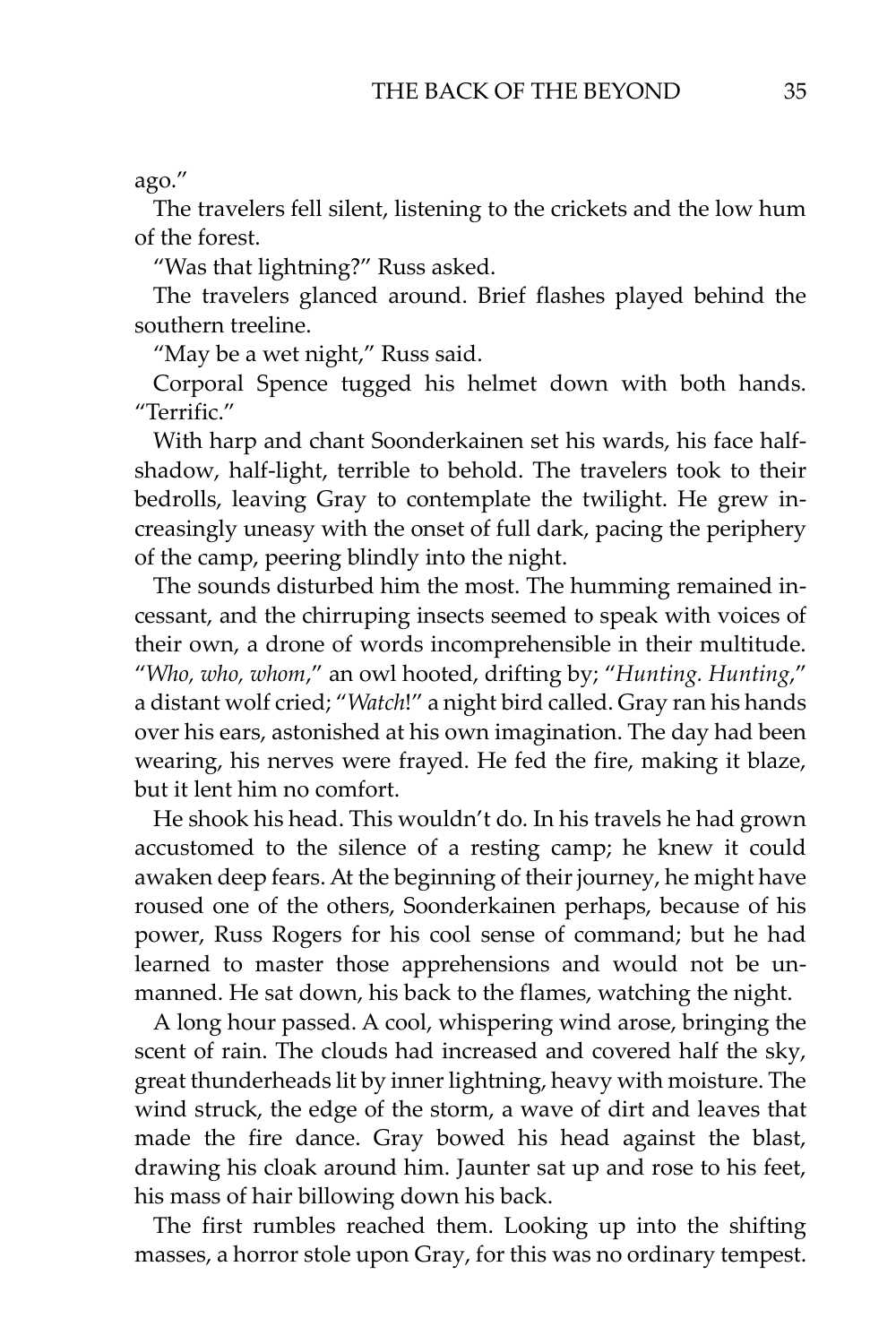#### ago."

The travelers fell silent, listening to the crickets and the low hum of the forest.

"Was that lightning?" Russ asked.

The travelers glanced around. Brief flashes played behind the southern treeline.

"May be a wet night," Russ said.

Corporal Spence tugged his helmet down with both hands. "Terrific."

With harp and chant Soonderkainen set his wards, his face halfshadow, half-light, terrible to behold. The travelers took to their bedrolls, leaving Gray to contemplate the twilight. He grew increasingly uneasy with the onset of full dark, pacing the periphery of the camp, peering blindly into the night.

The sounds disturbed him the most. The humming remained incessant, and the chirruping insects seemed to speak with voices of their own, a drone of words incomprehensible in their multitude. "*Who, who, whom*," an owl hooted, drifting by; "*Hunting. Hunting*," a distant wolf cried; "*Watch*!" a night bird called. Gray ran his hands over his ears, astonished at his own imagination. The day had been wearing, his nerves were frayed. He fed the fire, making it blaze, but it lent him no comfort.

He shook his head. This wouldn't do. In his travels he had grown accustomed to the silence of a resting camp; he knew it could awaken deep fears. At the beginning of their journey, he might have roused one of the others, Soonderkainen perhaps, because of his power, Russ Rogers for his cool sense of command; but he had learned to master those apprehensions and would not be unmanned. He sat down, his back to the flames, watching the night.

A long hour passed. A cool, whispering wind arose, bringing the scent of rain. The clouds had increased and covered half the sky, great thunderheads lit by inner lightning, heavy with moisture. The wind struck, the edge of the storm, a wave of dirt and leaves that made the fire dance. Gray bowed his head against the blast, drawing his cloak around him. Jaunter sat up and rose to his feet, his mass of hair billowing down his back.

The first rumbles reached them. Looking up into the shifting masses, a horror stole upon Gray, for this was no ordinary tempest.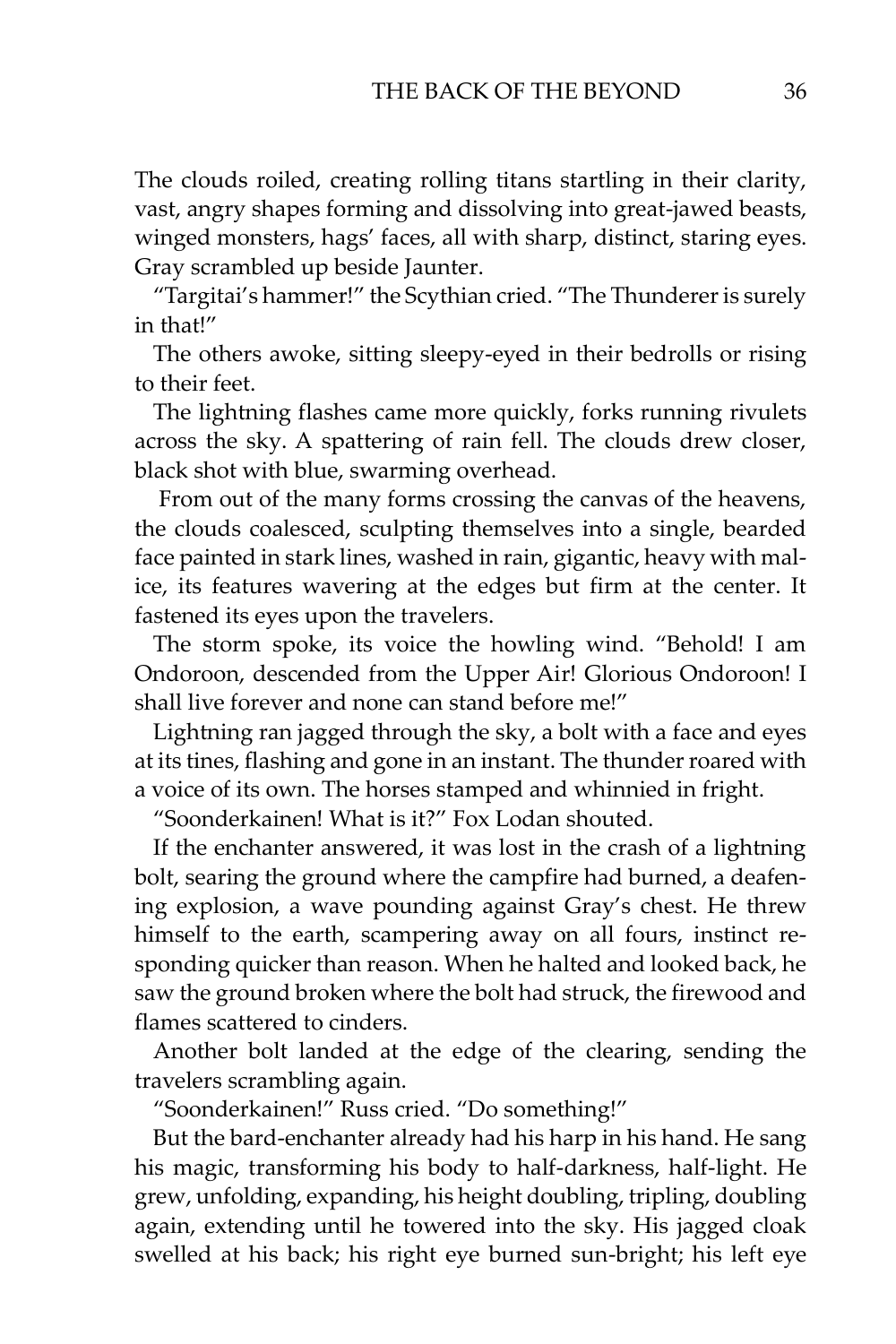The clouds roiled, creating rolling titans startling in their clarity, vast, angry shapes forming and dissolving into great-jawed beasts, winged monsters, hags' faces, all with sharp, distinct, staring eyes. Gray scrambled up beside Jaunter.

"Targitai's hammer!" the Scythian cried. "The Thunderer is surely in that!"

The others awoke, sitting sleepy-eyed in their bedrolls or rising to their feet.

The lightning flashes came more quickly, forks running rivulets across the sky. A spattering of rain fell. The clouds drew closer, black shot with blue, swarming overhead.

From out of the many forms crossing the canvas of the heavens, the clouds coalesced, sculpting themselves into a single, bearded face painted in stark lines, washed in rain, gigantic, heavy with malice, its features wavering at the edges but firm at the center. It fastened its eyes upon the travelers.

The storm spoke, its voice the howling wind. "Behold! I am Ondoroon, descended from the Upper Air! Glorious Ondoroon! I shall live forever and none can stand before me!"

Lightning ran jagged through the sky, a bolt with a face and eyes at its tines, flashing and gone in an instant. The thunder roared with a voice of its own. The horses stamped and whinnied in fright.

"Soonderkainen! What is it?" Fox Lodan shouted.

If the enchanter answered, it was lost in the crash of a lightning bolt, searing the ground where the campfire had burned, a deafening explosion, a wave pounding against Gray's chest. He threw himself to the earth, scampering away on all fours, instinct responding quicker than reason. When he halted and looked back, he saw the ground broken where the bolt had struck, the firewood and flames scattered to cinders.

Another bolt landed at the edge of the clearing, sending the travelers scrambling again.

"Soonderkainen!" Russ cried. "Do something!"

But the bard-enchanter already had his harp in his hand. He sang his magic, transforming his body to half-darkness, half-light. He grew, unfolding, expanding, his height doubling, tripling, doubling again, extending until he towered into the sky. His jagged cloak swelled at his back; his right eye burned sun-bright; his left eye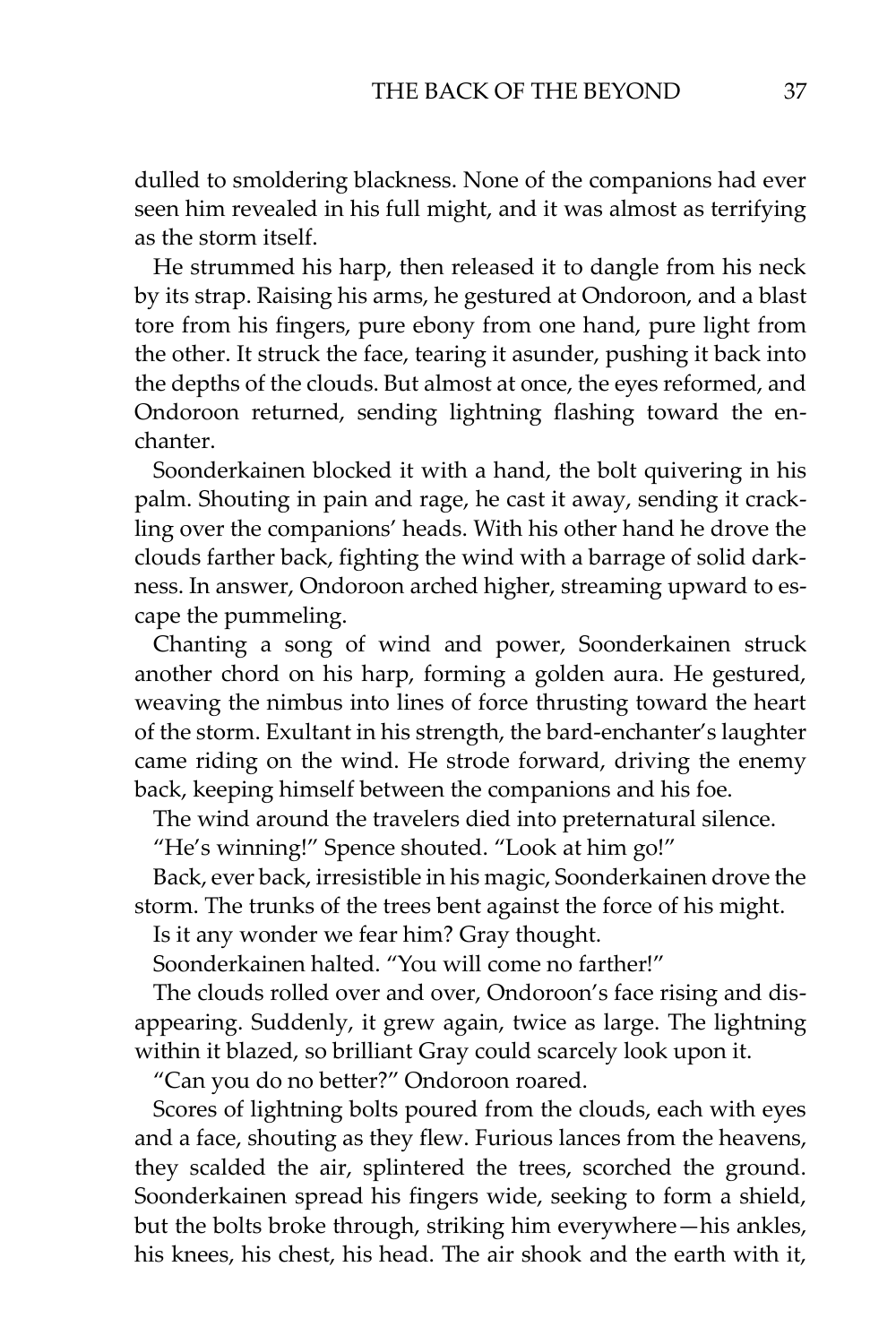dulled to smoldering blackness. None of the companions had ever seen him revealed in his full might, and it was almost as terrifying as the storm itself.

He strummed his harp, then released it to dangle from his neck by its strap. Raising his arms, he gestured at Ondoroon, and a blast tore from his fingers, pure ebony from one hand, pure light from the other. It struck the face, tearing it asunder, pushing it back into the depths of the clouds. But almost at once, the eyes reformed, and Ondoroon returned, sending lightning flashing toward the enchanter.

Soonderkainen blocked it with a hand, the bolt quivering in his palm. Shouting in pain and rage, he cast it away, sending it crackling over the companions' heads. With his other hand he drove the clouds farther back, fighting the wind with a barrage of solid darkness. In answer, Ondoroon arched higher, streaming upward to escape the pummeling.

Chanting a song of wind and power, Soonderkainen struck another chord on his harp, forming a golden aura. He gestured, weaving the nimbus into lines of force thrusting toward the heart of the storm. Exultant in his strength, the bard-enchanter's laughter came riding on the wind. He strode forward, driving the enemy back, keeping himself between the companions and his foe.

The wind around the travelers died into preternatural silence.

"He's winning!" Spence shouted. "Look at him go!"

Back, ever back, irresistible in his magic, Soonderkainen drove the storm. The trunks of the trees bent against the force of his might.

Is it any wonder we fear him? Gray thought.

Soonderkainen halted. "You will come no farther!"

The clouds rolled over and over, Ondoroon's face rising and disappearing. Suddenly, it grew again, twice as large. The lightning within it blazed, so brilliant Gray could scarcely look upon it.

"Can you do no better?" Ondoroon roared.

Scores of lightning bolts poured from the clouds, each with eyes and a face, shouting as they flew. Furious lances from the heavens, they scalded the air, splintered the trees, scorched the ground. Soonderkainen spread his fingers wide, seeking to form a shield, but the bolts broke through, striking him everywhere—his ankles, his knees, his chest, his head. The air shook and the earth with it,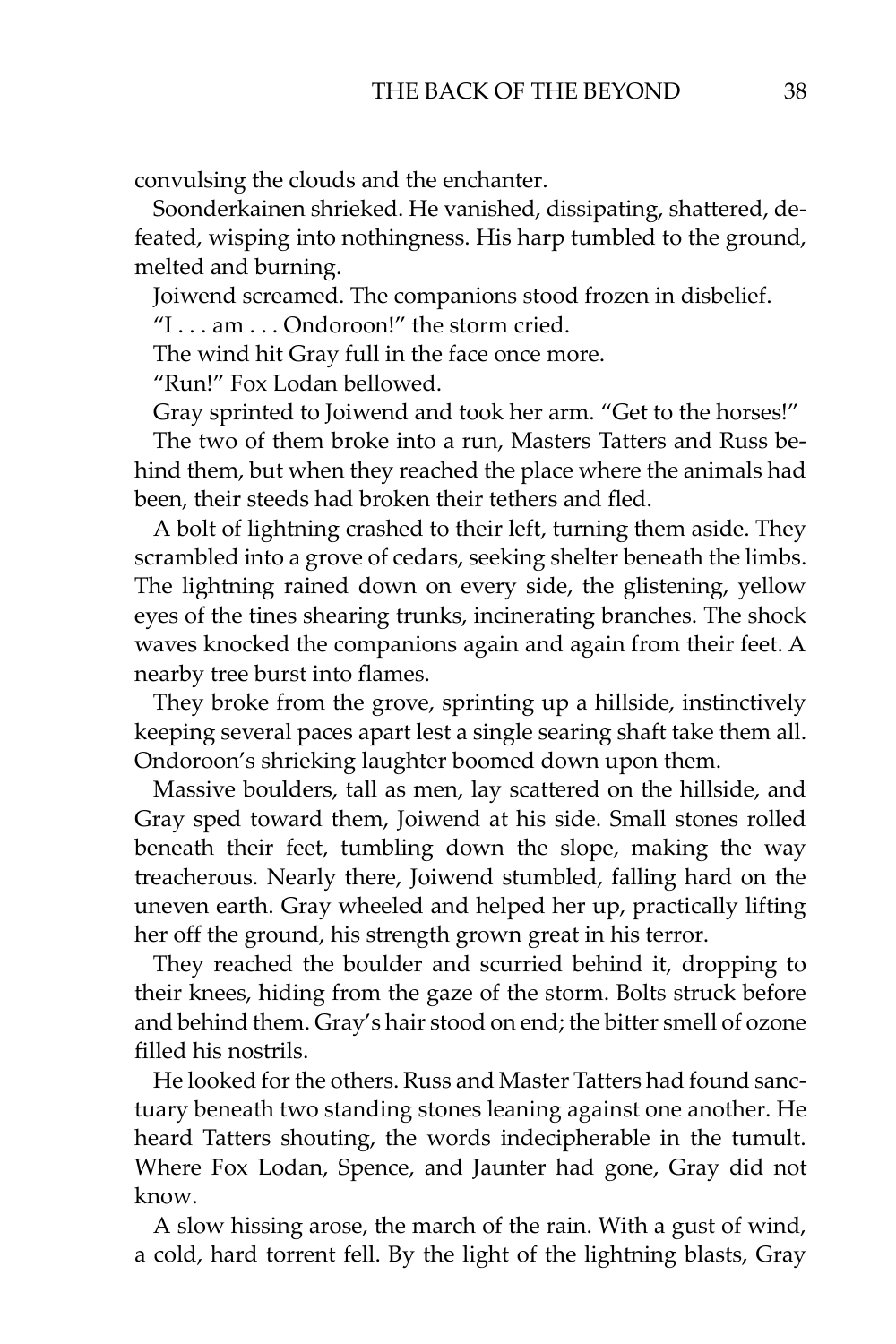convulsing the clouds and the enchanter.

Soonderkainen shrieked. He vanished, dissipating, shattered, defeated, wisping into nothingness. His harp tumbled to the ground, melted and burning.

Joiwend screamed. The companions stood frozen in disbelief.

"I . . . am . . . Ondoroon!" the storm cried.

The wind hit Gray full in the face once more.

"Run!" Fox Lodan bellowed.

Gray sprinted to Joiwend and took her arm. "Get to the horses!"

The two of them broke into a run, Masters Tatters and Russ behind them, but when they reached the place where the animals had been, their steeds had broken their tethers and fled.

A bolt of lightning crashed to their left, turning them aside. They scrambled into a grove of cedars, seeking shelter beneath the limbs. The lightning rained down on every side, the glistening, yellow eyes of the tines shearing trunks, incinerating branches. The shock waves knocked the companions again and again from their feet. A nearby tree burst into flames.

They broke from the grove, sprinting up a hillside, instinctively keeping several paces apart lest a single searing shaft take them all. Ondoroon's shrieking laughter boomed down upon them.

Massive boulders, tall as men, lay scattered on the hillside, and Gray sped toward them, Joiwend at his side. Small stones rolled beneath their feet, tumbling down the slope, making the way treacherous. Nearly there, Joiwend stumbled, falling hard on the uneven earth. Gray wheeled and helped her up, practically lifting her off the ground, his strength grown great in his terror.

They reached the boulder and scurried behind it, dropping to their knees, hiding from the gaze of the storm. Bolts struck before and behind them. Gray's hair stood on end; the bitter smell of ozone filled his nostrils.

He looked for the others. Russ and Master Tatters had found sanctuary beneath two standing stones leaning against one another. He heard Tatters shouting, the words indecipherable in the tumult. Where Fox Lodan, Spence, and Jaunter had gone, Gray did not know.

A slow hissing arose, the march of the rain. With a gust of wind, a cold, hard torrent fell. By the light of the lightning blasts, Gray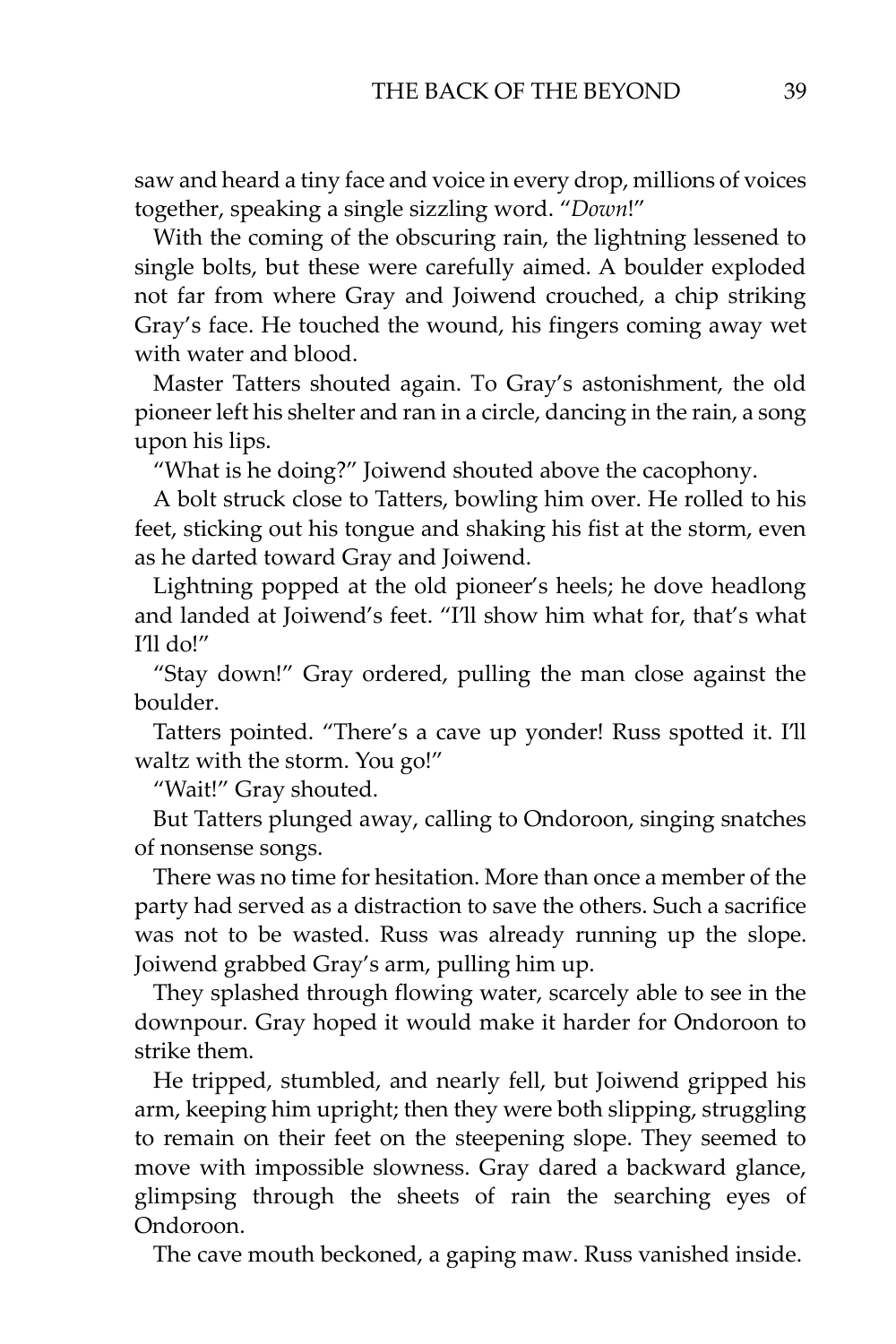saw and heard a tiny face and voice in every drop, millions of voices together, speaking a single sizzling word. "*Down*!"

With the coming of the obscuring rain, the lightning lessened to single bolts, but these were carefully aimed. A boulder exploded not far from where Gray and Joiwend crouched, a chip striking Gray's face. He touched the wound, his fingers coming away wet with water and blood.

Master Tatters shouted again. To Gray's astonishment, the old pioneer left his shelter and ran in a circle, dancing in the rain, a song upon his lips.

"What is he doing?" Joiwend shouted above the cacophony.

A bolt struck close to Tatters, bowling him over. He rolled to his feet, sticking out his tongue and shaking his fist at the storm, even as he darted toward Gray and Joiwend.

Lightning popped at the old pioneer's heels; he dove headlong and landed at Joiwend's feet. "I'll show him what for, that's what I'll do!"

"Stay down!" Gray ordered, pulling the man close against the boulder.

Tatters pointed. "There's a cave up yonder! Russ spotted it. I'll waltz with the storm. You go!"

"Wait!" Gray shouted.

But Tatters plunged away, calling to Ondoroon, singing snatches of nonsense songs.

There was no time for hesitation. More than once a member of the party had served as a distraction to save the others. Such a sacrifice was not to be wasted. Russ was already running up the slope. Joiwend grabbed Gray's arm, pulling him up.

They splashed through flowing water, scarcely able to see in the downpour. Gray hoped it would make it harder for Ondoroon to strike them.

He tripped, stumbled, and nearly fell, but Joiwend gripped his arm, keeping him upright; then they were both slipping, struggling to remain on their feet on the steepening slope. They seemed to move with impossible slowness. Gray dared a backward glance, glimpsing through the sheets of rain the searching eyes of Ondoroon.

The cave mouth beckoned, a gaping maw. Russ vanished inside.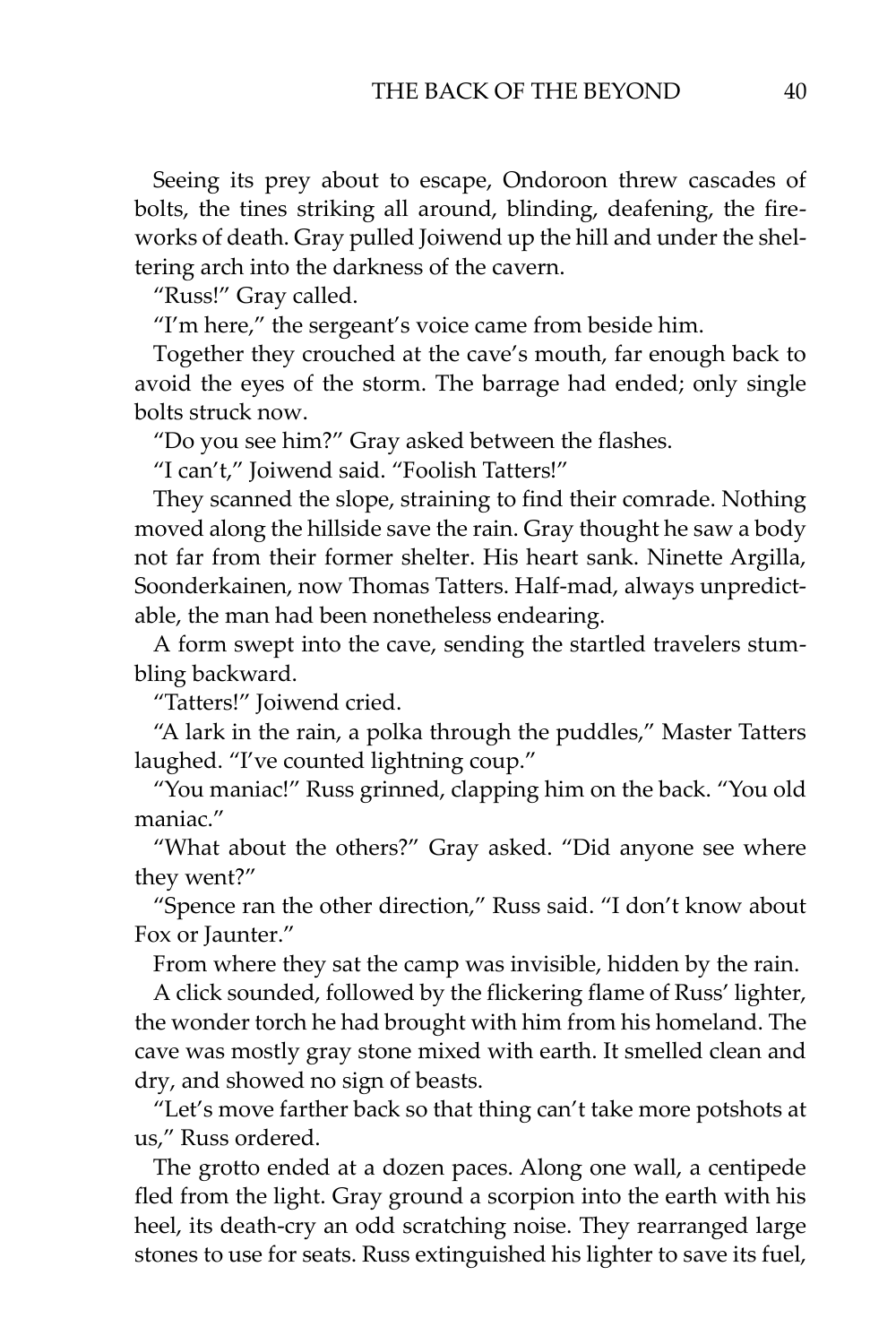Seeing its prey about to escape, Ondoroon threw cascades of bolts, the tines striking all around, blinding, deafening, the fireworks of death. Gray pulled Joiwend up the hill and under the sheltering arch into the darkness of the cavern.

"Russ!" Gray called.

"I'm here," the sergeant's voice came from beside him.

Together they crouched at the cave's mouth, far enough back to avoid the eyes of the storm. The barrage had ended; only single bolts struck now.

"Do you see him?" Gray asked between the flashes.

"I can't," Joiwend said. "Foolish Tatters!"

They scanned the slope, straining to find their comrade. Nothing moved along the hillside save the rain. Gray thought he saw a body not far from their former shelter. His heart sank. Ninette Argilla, Soonderkainen, now Thomas Tatters. Half-mad, always unpredictable, the man had been nonetheless endearing.

A form swept into the cave, sending the startled travelers stumbling backward.

"Tatters!" Joiwend cried.

"A lark in the rain, a polka through the puddles," Master Tatters laughed. "I've counted lightning coup."

"You maniac!" Russ grinned, clapping him on the back. "You old maniac."

"What about the others?" Gray asked. "Did anyone see where they went?"

"Spence ran the other direction," Russ said. "I don't know about Fox or Jaunter."

From where they sat the camp was invisible, hidden by the rain.

A click sounded, followed by the flickering flame of Russ' lighter, the wonder torch he had brought with him from his homeland. The cave was mostly gray stone mixed with earth. It smelled clean and dry, and showed no sign of beasts.

"Let's move farther back so that thing can't take more potshots at us," Russ ordered.

The grotto ended at a dozen paces. Along one wall, a centipede fled from the light. Gray ground a scorpion into the earth with his heel, its death-cry an odd scratching noise. They rearranged large stones to use for seats. Russ extinguished his lighter to save its fuel,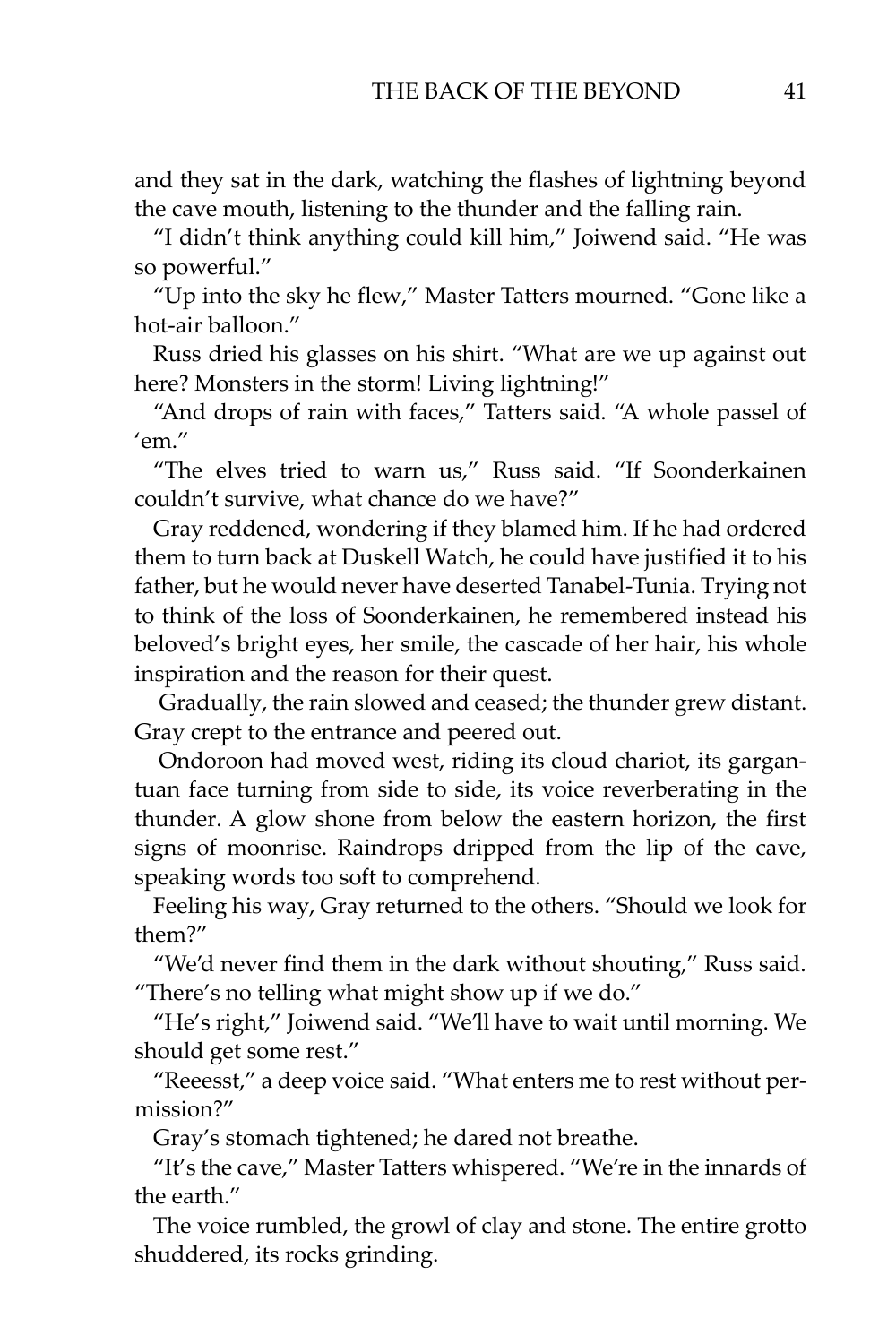and they sat in the dark, watching the flashes of lightning beyond the cave mouth, listening to the thunder and the falling rain.

"I didn't think anything could kill him," Joiwend said. "He was so powerful."

"Up into the sky he flew," Master Tatters mourned. "Gone like a hot-air balloon."

Russ dried his glasses on his shirt. "What are we up against out here? Monsters in the storm! Living lightning!"

"And drops of rain with faces," Tatters said. "A whole passel of 'em."

"The elves tried to warn us," Russ said. "If Soonderkainen couldn't survive, what chance do we have?"

Gray reddened, wondering if they blamed him. If he had ordered them to turn back at Duskell Watch, he could have justified it to his father, but he would never have deserted Tanabel-Tunia. Trying not to think of the loss of Soonderkainen, he remembered instead his beloved's bright eyes, her smile, the cascade of her hair, his whole inspiration and the reason for their quest.

Gradually, the rain slowed and ceased; the thunder grew distant. Gray crept to the entrance and peered out.

Ondoroon had moved west, riding its cloud chariot, its gargantuan face turning from side to side, its voice reverberating in the thunder. A glow shone from below the eastern horizon, the first signs of moonrise. Raindrops dripped from the lip of the cave, speaking words too soft to comprehend.

Feeling his way, Gray returned to the others. "Should we look for them?"

"We'd never find them in the dark without shouting," Russ said. "There's no telling what might show up if we do."

"He's right," Joiwend said. "We'll have to wait until morning. We should get some rest."

"Reeesst," a deep voice said. "What enters me to rest without permission?"

Gray's stomach tightened; he dared not breathe.

"It's the cave," Master Tatters whispered. "We're in the innards of the earth."

The voice rumbled, the growl of clay and stone. The entire grotto shuddered, its rocks grinding.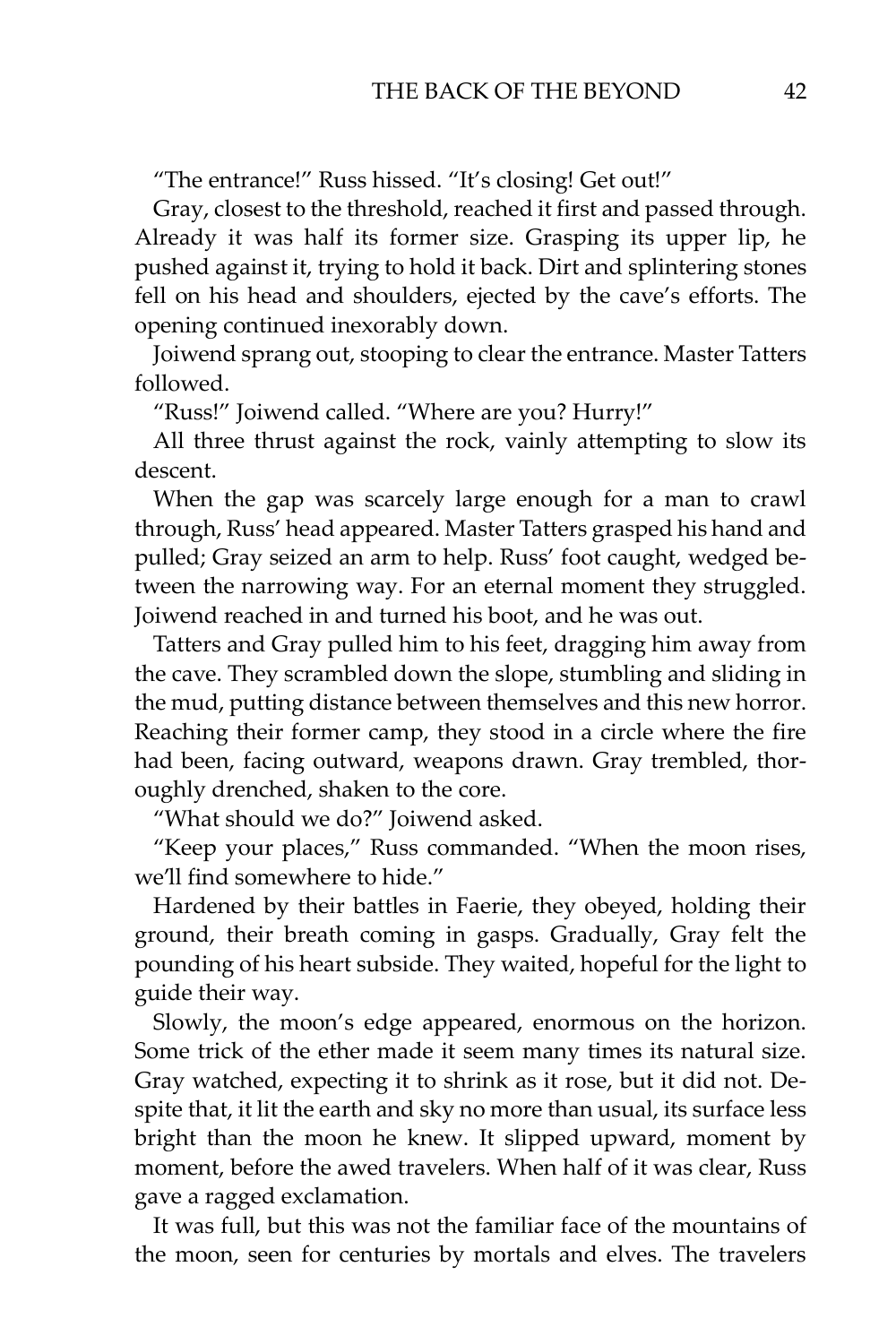"The entrance!" Russ hissed. "It's closing! Get out!"

Gray, closest to the threshold, reached it first and passed through. Already it was half its former size. Grasping its upper lip, he pushed against it, trying to hold it back. Dirt and splintering stones fell on his head and shoulders, ejected by the cave's efforts. The opening continued inexorably down.

Joiwend sprang out, stooping to clear the entrance. Master Tatters followed.

"Russ!" Joiwend called. "Where are you? Hurry!"

All three thrust against the rock, vainly attempting to slow its descent.

When the gap was scarcely large enough for a man to crawl through, Russ' head appeared. Master Tatters grasped his hand and pulled; Gray seized an arm to help. Russ' foot caught, wedged between the narrowing way. For an eternal moment they struggled. Joiwend reached in and turned his boot, and he was out.

Tatters and Gray pulled him to his feet, dragging him away from the cave. They scrambled down the slope, stumbling and sliding in the mud, putting distance between themselves and this new horror. Reaching their former camp, they stood in a circle where the fire had been, facing outward, weapons drawn. Gray trembled, thoroughly drenched, shaken to the core.

"What should we do?" Joiwend asked.

"Keep your places," Russ commanded. "When the moon rises, we'll find somewhere to hide."

Hardened by their battles in Faerie, they obeyed, holding their ground, their breath coming in gasps. Gradually, Gray felt the pounding of his heart subside. They waited, hopeful for the light to guide their way.

Slowly, the moon's edge appeared, enormous on the horizon. Some trick of the ether made it seem many times its natural size. Gray watched, expecting it to shrink as it rose, but it did not. Despite that, it lit the earth and sky no more than usual, its surface less bright than the moon he knew. It slipped upward, moment by moment, before the awed travelers. When half of it was clear, Russ gave a ragged exclamation.

It was full, but this was not the familiar face of the mountains of the moon, seen for centuries by mortals and elves. The travelers